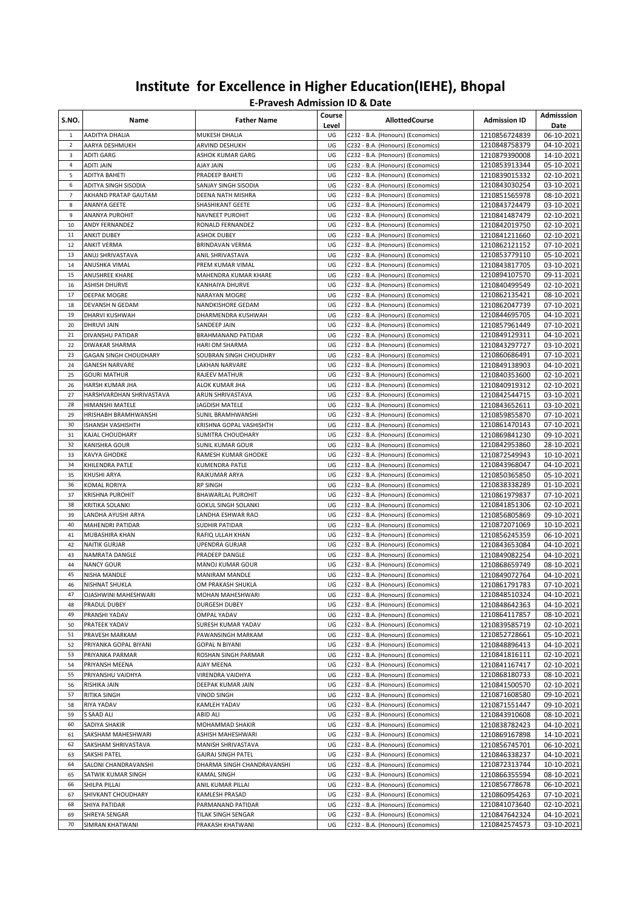| S.NO.               | Name                                               | <b>Father Name</b>                               | Course<br>Level | <b>AllottedCourse</b>                                                  | <b>Admission ID</b>            | Admisssion<br>Date       |
|---------------------|----------------------------------------------------|--------------------------------------------------|-----------------|------------------------------------------------------------------------|--------------------------------|--------------------------|
| 1                   | AADITYA DHALIA                                     | MUKESH DHALIA                                    | UG              | C232 - B.A. (Honours) (Economics)                                      | 1210856724839                  | 06-10-2021               |
| $\overline{2}$      | AARYA DESHMUKH                                     | ARVIND DESHUKH                                   | UG              | C232 - B.A. (Honours) (Economics)                                      | 1210848758379                  | 04-10-2021               |
| 3                   | <b>ADITI GARG</b>                                  | ASHOK KUMAR GARG                                 | UG              | C232 - B.A. (Honours) (Economics)                                      | 1210879390008                  | 14-10-2021               |
| 4                   | <b>ADITI JAIN</b>                                  | <b>AJAY JAIN</b>                                 | UG              | C232 - B.A. (Honours) (Economics)                                      | 1210853913344                  | 05-10-2021               |
| 5                   | <b>ADITYA BAHETI</b>                               | PRADEEP BAHETI                                   | UG              | C232 - B.A. (Honours) (Economics)                                      | 1210839015332                  | 02-10-2021               |
| 6                   | ADITYA SINGH SISODIA                               | SANJAY SINGH SISODIA                             | UG              | C232 - B.A. (Honours) (Economics)                                      | 1210843030254                  | 03-10-2021               |
| $\overline{7}$<br>8 | AKHAND PRATAP GAUTAM<br>ANANYA GEETE               | DEENA NATH MISHRA<br>SHASHIKANT GEETE            | UG<br>UG        | C232 - B.A. (Honours) (Economics)                                      | 1210851565978                  | 08-10-2021               |
| 9                   | ANANYA PUROHIT                                     | NAVNEET PUROHIT                                  | UG              | C232 - B.A. (Honours) (Economics)<br>C232 - B.A. (Honours) (Economics) | 1210843724479<br>1210841487479 | 03-10-2021<br>02-10-2021 |
| 10                  | <b>ANDY FERNANDEZ</b>                              | RONALD FERNANDEZ                                 | UG              | C232 - B.A. (Honours) (Economics)                                      | 1210842019750                  | 02-10-2021               |
| 11                  | <b>ANKIT DUBEY</b>                                 | <b>ASHOK DUBEY</b>                               | UG              | C232 - B.A. (Honours) (Economics)                                      | 1210841211660                  | 02-10-2021               |
| 12                  | <b>ANKIT VERMA</b>                                 | BRINDAVAN VERMA                                  | UG              | C232 - B.A. (Honours) (Economics)                                      | 1210862121152                  | 07-10-2021               |
| 13                  | <b>ANUJ SHRIVASTAVA</b>                            | ANIL SHRIVASTAVA                                 | UG              | C232 - B.A. (Honours) (Economics)                                      | 1210853779110                  | 05-10-2021               |
| 14                  | <b>ANUSHKA VIMAL</b>                               | PREM KUMAR VIMAL                                 | UG              | C232 - B.A. (Honours) (Economics)                                      | 1210843817705                  | 03-10-2021               |
| 15                  | <b>ANUSHREE KHARE</b>                              | MAHENDRA KUMAR KHARE                             | UG              | C232 - B.A. (Honours) (Economics)                                      | 1210894107570                  | 09-11-2021               |
| 16                  | <b>ASHISH DHURVE</b>                               | KANHAIYA DHURVE                                  | UG              | C232 - B.A. (Honours) (Economics)                                      | 1210840499549                  | 02-10-2021               |
| 17                  | <b>DEEPAK MOGRE</b>                                | NARAYAN MOGRE                                    | UG              | C232 - B.A. (Honours) (Economics)                                      | 1210862135421                  | 08-10-2021               |
| 18                  | DEVANSH N GEDAM                                    | NANDKISHORE GEDAM                                | UG              | C232 - B.A. (Honours) (Economics)                                      | 1210862047739                  | 07-10-2021               |
| 19                  | DHARVI KUSHWAH                                     | DHARMENDRA KUSHWAH                               | UG              | C232 - B.A. (Honours) (Economics)                                      | 1210844695705                  | 04-10-2021               |
| 20                  | <b>DHRUVI JAIN</b>                                 | SANDEEP JAIN                                     | UG              | C232 - B.A. (Honours) (Economics)                                      | 1210857961449                  | 07-10-2021               |
| 21                  | DIVANSHU PATIDAR                                   | BRAHMANAND PATIDAR                               | UG              | C232 - B.A. (Honours) (Economics)                                      | 1210849129311                  | 04-10-2021               |
| 22                  | <b>DIWAKAR SHARMA</b>                              | HARI OM SHARMA                                   | UG              | C232 - B.A. (Honours) (Economics)                                      | 1210843297727                  | 03-10-2021               |
| 23                  | <b>GAGAN SINGH CHOUDHARY</b>                       | SOUBRAN SINGH CHOUDHRY                           | UG              | C232 - B.A. (Honours) (Economics)                                      | 1210860686491                  | 07-10-2021               |
| 24                  | <b>GANESH NARVARE</b>                              | LAKHAN NARVARE                                   | UG              | C232 - B.A. (Honours) (Economics)                                      | 1210849138903                  | 04-10-2021               |
| 25                  | <b>GOURI MATHUR</b>                                | RAJEEV MATHUR                                    | UG              | C232 - B.A. (Honours) (Economics)                                      | 1210840353600                  | 02-10-2021               |
| 26<br>27            | <b>HARSH KUMAR JHA</b><br>HARSHVARDHAN SHRIVASTAVA | ALOK KUMAR JHA<br>ARUN SHRIVASTAVA               | UG<br>UG        | C232 - B.A. (Honours) (Economics)<br>C232 - B.A. (Honours) (Economics) | 1210840919312<br>1210842544715 | 02-10-2021<br>03-10-2021 |
| 28                  | HIMANSHI MATELE                                    | JAGDISH MATELE                                   | UG              | C232 - B.A. (Honours) (Economics)                                      | 1210843652611                  | 03-10-2021               |
| 29                  | HRISHABH BRAMHWANSHI                               | SUNIL BRAMHWANSHI                                | UG              | C232 - B.A. (Honours) (Economics)                                      | 1210859855870                  | 07-10-2021               |
| 30                  | ISHANSH VASHISHTH                                  | KRISHNA GOPAL VASHISHTH                          | UG              | C232 - B.A. (Honours) (Economics)                                      | 1210861470143                  | 07-10-2021               |
| 31                  | KAJAL CHOUDHARY                                    | SUMITRA CHOUDHARY                                | UG              | C232 - B.A. (Honours) (Economics)                                      | 1210869841230                  | 09-10-2021               |
| 32                  | KANISHKA GOUR                                      | SUNIL KUMAR GOUR                                 | UG              | C232 - B.A. (Honours) (Economics)                                      | 1210842953860                  | 28-10-2021               |
| 33                  | <b>KAVYA GHODKE</b>                                | RAMESH KUMAR GHODKE                              | UG              | C232 - B.A. (Honours) (Economics)                                      | 1210872549943                  | 10-10-2021               |
| 34                  | KHILENDRA PATLE                                    | KUMENDRA PATLE                                   | UG              | C232 - B.A. (Honours) (Economics)                                      | 1210843968047                  | 04-10-2021               |
| 35                  | KHUSHI ARYA                                        | RAJKUMAR ARYA                                    | UG              | C232 - B.A. (Honours) (Economics)                                      | 1210850365850                  | 05-10-2021               |
| 36                  | KOMAL RORIYA                                       | RP SINGH                                         | UG              | C232 - B.A. (Honours) (Economics)                                      | 1210838338289                  | 01-10-2021               |
| 37                  | <b>KRISHNA PUROHIT</b>                             | BHAWARLAL PUROHIT                                | UG              | C232 - B.A. (Honours) (Economics)                                      | 1210861979837                  | 07-10-2021               |
| 38                  | KRITIKA SOLANKI                                    | <b>GOKUL SINGH SOLANKI</b>                       | UG              | C232 - B.A. (Honours) (Economics)                                      | 1210841851306                  | 02-10-2021               |
| 39                  | LANDHA AYUSHI ARYA                                 | LANDHA ESHWAR RAO                                | UG              | C232 - B.A. (Honours) (Economics)                                      | 1210856805869                  | 09-10-2021               |
| 40                  | <b>MAHENDRI PATIDAR</b>                            | SUDHIR PATIDAR                                   | UG              | C232 - B.A. (Honours) (Economics)                                      | 1210872071069                  | 10-10-2021               |
| 41                  | <b>MUBASHIRA KHAN</b>                              | RAFIQ ULLAH KHAN                                 | UG              | C232 - B.A. (Honours) (Economics)                                      | 1210856245359                  | 06-10-2021               |
| 42                  | <b>NAITIK GURJAR</b>                               | UPENDRA GURJAR                                   | UG              | C232 - B.A. (Honours) (Economics)                                      | 1210843653084                  | 04-10-2021               |
| 43<br>44            | NAMRATA DANGLE<br><b>NANCY GOUR</b>                | PRADEEP DANGLE<br>MANOJ KUMAR GOUR               | UG<br>UG        | C232 - B.A. (Honours) (Economics)<br>C232 - B.A. (Honours) (Economics) | 1210849082254<br>1210868659749 | 04-10-2021<br>08-10-2021 |
| 45                  | NISHA MANDLE                                       | <b>MANIRAM MANDLE</b>                            | UG              | C232 - B.A. (Honours) (Economics)                                      | 1210849072764                  | 04-10-2021               |
| 46                  | NISHNAT SHUKLA                                     | OM PRAKASH SHUKLA                                | UG              | C232 - B.A. (Honours) (Economics)                                      | 1210861791783                  | 07-10-2021               |
| 47                  | OJASHWINI MAHESHWARI                               | MOHAN MAHESHWARI                                 | UG              | C232 - B.A. (Honours) (Economics)                                      | 1210848510324                  | 04-10-2021               |
| 48                  | PRADUL DUBEY                                       | DURGESH DUBEY                                    | UG              | C232 - B.A. (Honours) (Economics)                                      | 1210848642363                  | 04-10-2021               |
| 49                  | PRANSHI YADAV                                      | OMPAL YADAV                                      | UG              | C232 - B.A. (Honours) (Economics)                                      | 1210864117857                  | 08-10-2021               |
| 50                  | PRATEEK YADAV                                      | SURESH KUMAR YADAV                               | UG              | C232 - B.A. (Honours) (Economics)                                      | 1210839585719                  | 02-10-2021               |
| 51                  | PRAVESH MARKAM                                     | PAWANSINGH MARKAM                                | UG              | C232 - B.A. (Honours) (Economics)                                      | 1210852728661                  | 05-10-2021               |
| 52                  | PRIYANKA GOPAL BIYANI                              | <b>GOPAL N BIYANI</b>                            | UG              | C232 - B.A. (Honours) (Economics)                                      | 1210848896413                  | 04-10-2021               |
| 53                  | PRIYANKA PARMAR                                    | ROSHAN SINGH PARMAR                              | UG              | C232 - B.A. (Honours) (Economics)                                      | 1210841816111                  | 02-10-2021               |
| 54                  | PRIYANSH MEENA                                     | AJAY MEENA                                       | UG              | C232 - B.A. (Honours) (Economics)                                      | 1210841167417                  | 02-10-2021               |
| 55                  | PRIYANSHU VAIDHYA                                  | VIRENDRA VAIDHYA                                 | UG              | C232 - B.A. (Honours) (Economics)                                      | 1210868180733                  | 08-10-2021               |
| 56                  | RISHIKA JAIN                                       | DEEPAK KUMAR JAIN                                | UG              | C232 - B.A. (Honours) (Economics)                                      | 1210841500570                  | 02-10-2021               |
| 57                  | RITIKA SINGH                                       | VINOD SINGH                                      | UG              | C232 - B.A. (Honours) (Economics)                                      | 1210871608580                  | 09-10-2021               |
| 58                  | RIYA YADAV                                         | KAMLEH YADAV                                     | UG              | C232 - B.A. (Honours) (Economics)                                      | 1210871551447                  | 09-10-2021               |
| 59                  | S SAAD ALI                                         | ABID ALI                                         | UG              | C232 - B.A. (Honours) (Economics)                                      | 1210843910608                  | 08-10-2021               |
| 60                  | SADIYA SHAKIR                                      | MOHAMMAD SHAKIR                                  | UG              | C232 - B.A. (Honours) (Economics)                                      | 1210838782423                  | 04-10-2021               |
| 61                  | SAKSHAM MAHESHWARI                                 | ASHISH MAHESHWARI                                | UG              | C232 - B.A. (Honours) (Economics)                                      | 1210869167898                  | 14-10-2021               |
| 62<br>63            | SAKSHAM SHRIVASTAVA                                | MANISH SHRIVASTAVA                               | UG              | C232 - B.A. (Honours) (Economics)                                      | 1210856745701                  | 06-10-2021               |
| 64                  | SAKSHI PATEL<br>SALONI CHANDRAVANSHI               | GAJRAJ SINGH PATEL<br>DHARMA SINGH CHANDRAVANSHI | UG<br>UG        | C232 - B.A. (Honours) (Economics)<br>C232 - B.A. (Honours) (Economics) | 1210846338237<br>1210872313744 | 04-10-2021<br>10-10-2021 |
| 65                  | SATWIK KUMAR SINGH                                 | KAMAL SINGH                                      | UG              | C232 - B.A. (Honours) (Economics)                                      | 1210866355594                  | 08-10-2021               |
| 66                  | SHILPA PILLAI                                      | ANIL KUMAR PILLAI                                | UG              | C232 - B.A. (Honours) (Economics)                                      | 1210856778678                  | 06-10-2021               |
| 67                  | SHIVKANT CHOUDHARY                                 | KAMLESH PRASAD                                   | UG              | C232 - B.A. (Honours) (Economics)                                      | 1210860954263                  | 07-10-2021               |
| 68                  | SHIYA PATIDAR                                      | PARMANAND PATIDAR                                | UG              | C232 - B.A. (Honours) (Economics)                                      | 1210841073640                  | 02-10-2021               |
| 69                  | SHREYA SENGAR                                      | TILAK SINGH SENGAR                               | UG              | C232 - B.A. (Honours) (Economics)                                      | 1210847642324                  | 04-10-2021               |
| 70                  | SIMRAN KHATWANI                                    | PRAKASH KHATWANI                                 | UG              | C232 - B.A. (Honours) (Economics)                                      | 1210842574573                  | 03-10-2021               |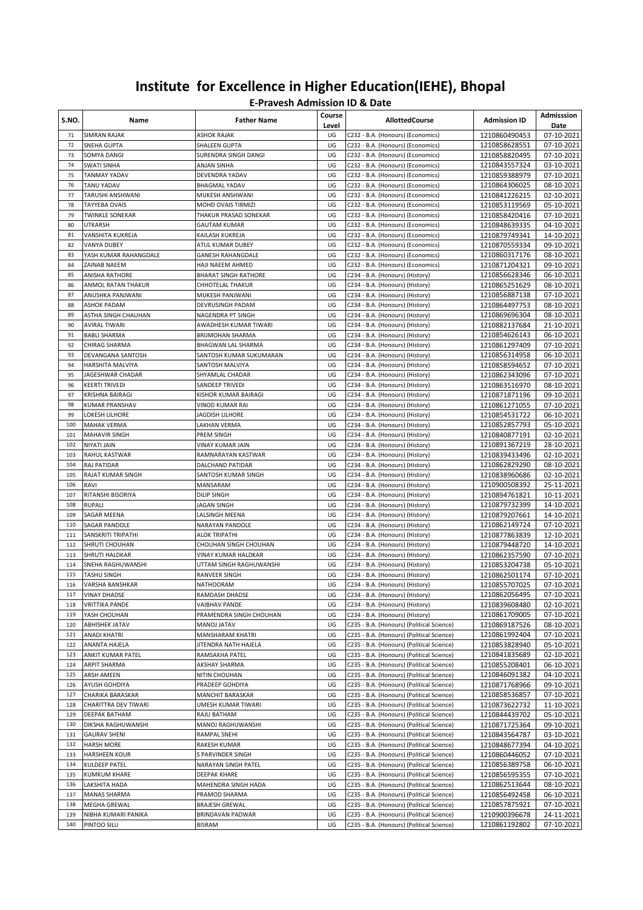| S.NO.      | Name                                     | <b>Father Name</b>                             | Course<br>Level | <b>AllottedCourse</b>                                                                  | <b>Admission ID</b>            | Admisssion<br>Date       |
|------------|------------------------------------------|------------------------------------------------|-----------------|----------------------------------------------------------------------------------------|--------------------------------|--------------------------|
| 71         | <b>SIMRAN RAJAK</b>                      | <b>ASHOK RAJAK</b>                             | UG              | C232 - B.A. (Honours) (Economics)                                                      | 1210860490453                  | 07-10-2021               |
| 72         | SNEHA GUPTA                              | <b>SHALEEN GUPTA</b>                           | UG              | C232 - B.A. (Honours) (Economics)                                                      | 1210858628551                  | 07-10-2021               |
| 73         | SOMYA DANGI                              | SURENDRA SINGH DANGI                           | UG              | C232 - B.A. (Honours) (Economics)                                                      | 1210858820495                  | 07-10-2021               |
| 74         | <b>SWATI SINHA</b>                       | <b>ANJAN SINHA</b>                             | UG              | C232 - B.A. (Honours) (Economics)                                                      | 1210843557324                  | 03-10-2021               |
| 75         | TANMAY YADAV                             | DEVENDRA YADAV                                 | UG              | C232 - B.A. (Honours) (Economics)                                                      | 1210859388979                  | 07-10-2021               |
| 76         | <b>TANU YADAV</b>                        | <b>BHAGMAL YADAV</b>                           | UG              | C232 - B.A. (Honours) (Economics)                                                      | 1210864306025                  | 08-10-2021               |
| 77<br>78   | TARUSHI ANSHWANI                         | MUKESH ANSHWANI                                | UG<br>UG        | C232 - B.A. (Honours) (Economics)                                                      | 1210841226215                  | 02-10-2021               |
| 79         | TAYYEBA OVAIS<br><b>TWINKLE SONEKAR</b>  | MOHD OVAIS TIRMIZI<br>THAKUR PRASAD SONEKAR    | UG              | C232 - B.A. (Honours) (Economics)<br>C232 - B.A. (Honours) (Economics)                 | 1210853119569<br>1210858420416 | 05-10-2021<br>07-10-2021 |
| 80         | UTKARSH                                  | GAUTAM KUMAR                                   | UG              | C232 - B.A. (Honours) (Economics)                                                      | 1210848639335                  | 04-10-2021               |
| 81         | VANSHITA KUKREJA                         | KAILASH KUKREJA                                | UG              | C232 - B.A. (Honours) (Economics)                                                      | 1210879749341                  | 14-10-2021               |
| 82         | <b>VANYA DUBEY</b>                       | ATUL KUMAR DUBEY                               | UG              | C232 - B.A. (Honours) (Economics)                                                      | 1210870559334                  | 09-10-2021               |
| 83         | YASH KUMAR RAHANGDALE                    | <b>GANESH RAHANGDALE</b>                       | UG              | C232 - B.A. (Honours) (Economics)                                                      | 1210860317176                  | 08-10-2021               |
| 84         | ZAINAB NAEEM                             | HAJI NAEEM AHMED                               | UG              | C232 - B.A. (Honours) (Economics)                                                      | 1210871204321                  | 09-10-2021               |
| 85         | ANISHA RATHORE                           | <b>BHARAT SINGH RATHORE</b>                    | UG              | C234 - B.A. (Honours) (History)                                                        | 1210856628346                  | 06-10-2021               |
| 86         | ANMOL RATAN THAKUR                       | CHHOTELAL THAKUR                               | UG              | C234 - B.A. (Honours) (History)                                                        | 1210865251629                  | 08-10-2021               |
| 87         | ANUSHKA PANJWANI                         | MUKESH PANJWANI                                | UG              | C234 - B.A. (Honours) (History)                                                        | 1210856887138                  | 07-10-2021               |
| 88         | <b>ASHOK PADAM</b>                       | DEVRUSINGH PADAM                               | UG              | C234 - B.A. (Honours) (History)                                                        | 1210864497753                  | 08-10-2021               |
| 89         | ASTHA SINGH CHAUHAN                      | NAGENDRA PT SINGH                              | UG              | C234 - B.A. (Honours) (History)                                                        | 1210869696304                  | 08-10-2021               |
| 90         | <b>AVIRAL TIWARI</b>                     | AWADHESH KUMAR TIWARI                          | UG              | C234 - B.A. (Honours) (History)                                                        | 1210882137684                  | 21-10-2021               |
| 91         | <b>BABLI SHARMA</b>                      | <b>BRIJMOHAN SHARMA</b>                        | UG              | C234 - B.A. (Honours) (History)                                                        | 1210854626143                  | 06-10-2021               |
| 92         | CHIRAG SHARMA                            | <b>BHAGWAN LAL SHARMA</b>                      | UG              | C234 - B.A. (Honours) (History)                                                        | 1210861297409                  | 07-10-2021               |
| 93         | DEVANGANA SANTOSH                        | SANTOSH KUMAR SUKUMARAN                        | UG              | C234 - B.A. (Honours) (History)                                                        | 1210856314958                  | 06-10-2021               |
| 94         | HARSHITA MALVIYA                         | SANTOSH MALVIYA                                | UG              | C234 - B.A. (Honours) (History)                                                        | 1210858594652                  | 07-10-2021               |
| 95         | JAGESHWAR CHADAR                         | SHYAMLAL CHADAR                                | UG              | C234 - B.A. (Honours) (History)                                                        | 1210862343096                  | 07-10-2021               |
| 96<br>97   | <b>KEERTI TRIVEDI</b>                    | SANDEEP TRIVEDI                                | UG<br>UG        | C234 - B.A. (Honours) (History)<br>C234 - B.A. (Honours) (History)                     | 1210863516970                  | 08-10-2021               |
| 98         | KRISHNA BAIRAGI<br><b>KUMAR PRANSHAV</b> | KISHOR KUMAR BAIRAGI<br>VINOD KUMAR RAI        | UG              | C234 - B.A. (Honours) (History)                                                        | 1210871871196<br>1210861271055 | 09-10-2021<br>07-10-2021 |
| 99         | LOKESH LILHORE                           | <b>JAGDISH LILHORE</b>                         | UG              | C234 - B.A. (Honours) (History)                                                        | 1210854531722                  | 06-10-2021               |
| 100        | <b>MAHAK VERMA</b>                       | LAKHAN VERMA                                   | UG              | C234 - B.A. (Honours) (History)                                                        | 1210852857793                  | 05-10-2021               |
| 101        | <b>MAHAVIR SINGH</b>                     | PREM SINGH                                     | UG              | C234 - B.A. (Honours) (History)                                                        | 1210840877191                  | 02-10-2021               |
| 102        | NIYATI JAIN                              | VINAY KUMAR JAIN                               | UG              | C234 - B.A. (Honours) (History)                                                        | 1210891367219                  | 28-10-2021               |
| 103        | RAHUL KASTWAR                            | RAMNARAYAN KASTWAR                             | UG              | C234 - B.A. (Honours) (History)                                                        | 1210839433496                  | 02-10-2021               |
| 104        | RAJ PATIDAR                              | DALCHAND PATIDAR                               | UG              | C234 - B.A. (Honours) (History)                                                        | 1210862829290                  | 08-10-2021               |
| 105        | RAJAT KUMAR SINGH                        | SANTOSH KUMAR SINGH                            | UG              | C234 - B.A. (Honours) (History)                                                        | 1210838960686                  | 02-10-2021               |
| 106        | RAVI                                     | MANSARAM                                       | UG              | C234 - B.A. (Honours) (History)                                                        | 1210900508392                  | 25-11-2021               |
| 107        | RITANSHI BISORIYA                        | DILIP SINGH                                    | UG              | C234 - B.A. (Honours) (History)                                                        | 1210894761821                  | 10-11-2021               |
| 108        | RUPALI                                   | <b>JAGAN SINGH</b>                             | UG              | C234 - B.A. (Honours) (History)                                                        | 1210879732399                  | 14-10-2021               |
| 109        | SAGAR MEENA                              | LALSINGH MEENA                                 | UG              | C234 - B.A. (Honours) (History)                                                        | 1210879207661                  | 14-10-2021               |
| 110        | SAGAR PANDOLE                            | NARAYAN PANDOLE                                | UG              | C234 - B.A. (Honours) (History)                                                        | 1210862149724                  | 07-10-2021               |
| 111        | SANSKRITI TRIPATHI                       | <b>ALOK TRIPATHI</b>                           | UG              | C234 - B.A. (Honours) (History)                                                        | 1210877863839                  | 12-10-2021               |
| 112<br>113 | SHRUTI CHOUHAN<br>SHRUTI HALDKAR         | CHOUHAN SINGH CHOUHAN                          | UG              | C234 - B.A. (Honours) (History)                                                        | 1210879448720                  | 14-10-2021               |
| 114        | SNEHA RAGHUWANSHI                        | VINAY KUMAR HALDKAR<br>UTTAM SINGH RAGHUWANSHI | UG<br>UG        | C234 - B.A. (Honours) (History)<br>C234 - B.A. (Honours) (History)                     | 1210862357590<br>1210853204738 | 07-10-2021<br>05-10-2021 |
| 115        | <b>TASHU SINGH</b>                       | RANVEER SINGH                                  | UG              | C234 - B.A. (Honours) (History)                                                        | 1210862501174                  | 07-10-2021               |
| 116        | VARSHA BANSHKAR                          | NATHOORAM                                      | UG              | C234 - B.A. (Honours) (History)                                                        | 1210855707025                  | 07-10-2021               |
| 117        | <b>VINAY DHADSE</b>                      | RAMDASH DHADSE                                 | UG              | C234 - B.A. (Honours) (History)                                                        | 1210862056495                  | 07-10-2021               |
| 118        | <b>VRITTIKA PANDE</b>                    | VAIBHAV PANDE                                  | UG              | C234 - B.A. (Honours) (History)                                                        | 1210839608480                  | 02-10-2021               |
| 119        | YASH CHOUHAN                             | PRAMENDRA SINGH CHOUHAN                        | UG              | C234 - B.A. (Honours) (History)                                                        | 1210861709005                  | 07-10-2021               |
| 120        | <b>ABHISHEK JATAV</b>                    | <b>MANOJ JATAV</b>                             | UG              | C235 - B.A. (Honours) (Political Science)                                              | 1210869187526                  | 08-10-2021               |
| 121        | ANADI KHATRI                             | MANSHARAM KHATRI                               | UG              | C235 - B.A. (Honours) (Political Science)                                              | 1210861992404                  | 07-10-2021               |
| 122        | ANANTA HAJELA                            | JITENDRA NATH HAJELA                           | UG              | C235 - B.A. (Honours) (Political Science)                                              | 1210853828940                  | 05-10-2021               |
| 123        | ANKIT KUMAR PATEL                        | RAMSAKHA PATEL                                 | UG              | C235 - B.A. (Honours) (Political Science)                                              | 1210841835689                  | 02-10-2021               |
| 124        | ARPIT SHARMA                             | AKSHAY SHARMA                                  | UG              | C235 - B.A. (Honours) (Political Science)                                              | 1210855208401                  | 06-10-2021               |
| 125        | <b>ARSH AMEEN</b>                        | NITIN CHOUHAN                                  | UG              | C235 - B.A. (Honours) (Political Science)                                              | 1210846091382                  | 04-10-2021               |
| 126        | AYUSH GOHDIYA                            | PRADEEP GOHDIYA                                | UG              | C235 - B.A. (Honours) (Political Science)                                              | 1210871768966                  | 09-10-2021               |
| 127        | CHARIKA BARASKAR                         | MANCHIT BARASKAR                               | UG              | C235 - B.A. (Honours) (Political Science)                                              | 1210858536857                  | 07-10-2021               |
| 128        | CHARITTRA DEV TIWARI                     | UMESH KUMAR TIWARI                             | UG              | C235 - B.A. (Honours) (Political Science)                                              | 1210873622732                  | 11-10-2021               |
| 129        | DEEPAK BATHAM                            | RAJU BATHAM                                    | UG              | C235 - B.A. (Honours) (Political Science)                                              | 1210844439702                  | 05-10-2021               |
| 130        | DIKSHA RAGHUWANSHI                       | MANOJ RAGHUWANSHI                              | UG              | C235 - B.A. (Honours) (Political Science)<br>C235 - B.A. (Honours) (Political Science) | 1210871725364                  | 09-10-2021               |
| 131<br>132 | <b>GAURAV SHENI</b><br><b>HARSH MORE</b> | RAMPAL SNEHI<br>RAKESH KUMAR                   | UG<br>UG        | C235 - B.A. (Honours) (Political Science)                                              | 1210843564787<br>1210848677394 | 03-10-2021               |
| 133        | HARSHEEN KOUR                            | S PARVINDER SINGH                              | UG              | C235 - B.A. (Honours) (Political Science)                                              | 1210860446052                  | 04-10-2021<br>07-10-2021 |
| 134        | KULDEEP PATEL                            | NARAYAN SINGH PATEL                            | UG              | C235 - B.A. (Honours) (Political Science)                                              | 1210856389758                  | 06-10-2021               |
| 135        | <b>KUMKUM KHARE</b>                      | DEEPAK KHARE                                   | UG              | C235 - B.A. (Honours) (Political Science)                                              | 1210856595355                  | 07-10-2021               |
| 136        | LAKSHITA HADA                            | MAHENDRA SINGH HADA                            | UG              | C235 - B.A. (Honours) (Political Science)                                              | 1210862513644                  | 08-10-2021               |
| 137        | MANAS SHARMA                             | PRAMOD SHARMA                                  | UG              | C235 - B.A. (Honours) (Political Science)                                              | 1210856492458                  | 06-10-2021               |
| 138        | MEGHA GREWAL                             | <b>BRAJESH GREWAL</b>                          | UG              | C235 - B.A. (Honours) (Political Science)                                              | 1210857875921                  | 07-10-2021               |
| 139        | NIBHA KUMARI PANIKA                      | BRINDAVAN PADWAR                               | UG              | C235 - B.A. (Honours) (Political Science)                                              | 1210900396678                  | 24-11-2021               |
| 140        | PINTOO SILU                              | BISRAM                                         | UG              | C235 - B.A. (Honours) (Political Science)                                              | 1210861192802                  | 07-10-2021               |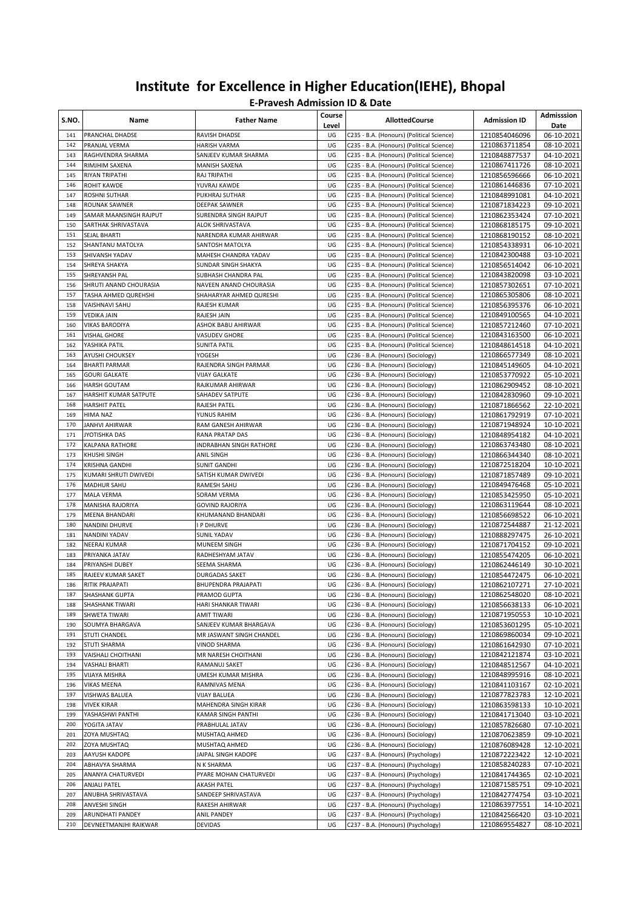| S.NO.      | Name                                    | <b>Father Name</b>                         | Course<br>Level | <b>AllottedCourse</b>                                                                  | <b>Admission ID</b>            | Admisssion<br>Date       |
|------------|-----------------------------------------|--------------------------------------------|-----------------|----------------------------------------------------------------------------------------|--------------------------------|--------------------------|
| 141        | PRANCHAL DHADSE                         | RAVISH DHADSE                              | UG              | C235 - B.A. (Honours) (Political Science)                                              | 1210854046096                  | 06-10-2021               |
| 142        | PRANJAL VERMA                           | <b>HARISH VARMA</b>                        | UG              | C235 - B.A. (Honours) (Political Science)                                              | 1210863711854                  | 08-10-2021               |
| 143        | RAGHVENDRA SHARMA                       | SANJEEV KUMAR SHARMA                       | UG              | C235 - B.A. (Honours) (Political Science)                                              | 1210848877537                  | 04-10-2021               |
| 144        | RIMJHIM SAXENA                          | <b>MANISH SAXENA</b>                       | UG              | C235 - B.A. (Honours) (Political Science)                                              | 1210867411726                  | 08-10-2021               |
| 145        | RIYAN TRIPATHI                          | RAJ TRIPATHI                               | UG              | C235 - B.A. (Honours) (Political Science)                                              | 1210856596666                  | 06-10-2021               |
| 146        | <b>ROHIT KAWDE</b>                      | YUVRAJ KAWDE                               | UG              | C235 - B.A. (Honours) (Political Science)                                              | 1210861446836                  | 07-10-2021               |
| 147        | ROSHNI SUTHAR                           | PUKHRAJ SUTHAR                             | UG              | C235 - B.A. (Honours) (Political Science)                                              | 1210848991081                  | 04-10-2021               |
| 148        | ROUNAK SAWNER<br>SAMAR MAANSINGH RAJPUT | DEEPAK SAWNER<br>SURENDRA SINGH RAJPUT     | UG<br>UG        | C235 - B.A. (Honours) (Political Science)                                              | 1210871834223                  | 09-10-2021               |
| 149<br>150 |                                         |                                            | UG              | C235 - B.A. (Honours) (Political Science)                                              | 1210862353424                  | 07-10-2021<br>09-10-2021 |
| 151        | SARTHAK SHRIVASTAVA<br>SEJAL BHARTI     | ALOK SHRIVASTAVA<br>NARENDRA KUMAR AHIRWAR | UG              | C235 - B.A. (Honours) (Political Science)<br>C235 - B.A. (Honours) (Political Science) | 1210868185175<br>1210868190152 | 08-10-2021               |
| 152        | SHANTANU MATOLYA                        | SANTOSH MATOLYA                            | UG              | C235 - B.A. (Honours) (Political Science)                                              | 1210854338931                  | 06-10-2021               |
| 153        | SHIVANSH YADAV                          | MAHESH CHANDRA YADAV                       | UG              | C235 - B.A. (Honours) (Political Science)                                              | 1210842300488                  | 03-10-2021               |
| 154        | SHREYA SHAKYA                           | SUNDAR SINGH SHAKYA                        | UG              | C235 - B.A. (Honours) (Political Science)                                              | 1210856514042                  | 06-10-2021               |
| 155        | SHREYANSH PAL                           | SUBHASH CHANDRA PAL                        | UG              | C235 - B.A. (Honours) (Political Science)                                              | 1210843820098                  | 03-10-2021               |
| 156        | SHRUTI ANAND CHOURASIA                  | NAVEEN ANAND CHOURASIA                     | UG              | C235 - B.A. (Honours) (Political Science)                                              | 1210857302651                  | 07-10-2021               |
| 157        | TASHA AHMED QUREHSHI                    | SHAHARYAR AHMED QURESHI                    | UG              | C235 - B.A. (Honours) (Political Science)                                              | 1210865305806                  | 08-10-2021               |
| 158        | VAISHNAVI SAHU                          | RAJESH KUMAR                               | UG              | C235 - B.A. (Honours) (Political Science)                                              | 1210856395376                  | 06-10-2021               |
| 159        | <b>VEDIKA JAIN</b>                      | RAJESH JAIN                                | UG              | C235 - B.A. (Honours) (Political Science)                                              | 1210849100565                  | 04-10-2021               |
| 160        | <b>VIKAS BARODIYA</b>                   | ASHOK BABU AHIRWAR                         | UG              | C235 - B.A. (Honours) (Political Science)                                              | 1210857212460                  | 07-10-2021               |
| 161        | <b>VISHAL GHORE</b>                     | <b>VASUDEV GHORE</b>                       | UG              | C235 - B.A. (Honours) (Political Science)                                              | 1210843163500                  | 06-10-2021               |
| 162        | YASHIKA PATIL                           | <b>SUNITA PATIL</b>                        | UG              | C235 - B.A. (Honours) (Political Science)                                              | 1210848614518                  | 04-10-2021               |
| 163        | <b>AYUSHI CHOUKSEY</b>                  | YOGESH                                     | UG              | C236 - B.A. (Honours) (Sociology)                                                      | 1210866577349                  | 08-10-2021               |
| 164        | <b>BHARTI PARMAR</b>                    | RAJENDRA SINGH PARMAR                      | UG              | C236 - B.A. (Honours) (Sociology)                                                      | 1210845149605                  | 04-10-2021               |
| 165        | <b>GOURI GALKATE</b>                    | <b>VIJAY GALKATE</b>                       | UG              | C236 - B.A. (Honours) (Sociology)                                                      | 1210853770922                  | 05-10-2021               |
| 166        | <b>HARSH GOUTAM</b>                     | RAJKUMAR AHIRWAR                           | UG              | C236 - B.A. (Honours) (Sociology)                                                      | 1210862909452                  | 08-10-2021               |
| 167        | HARSHIT KUMAR SATPUTE                   | SAHADEV SATPUTE                            | UG              | C236 - B.A. (Honours) (Sociology)                                                      | 1210842830960                  | 09-10-2021               |
| 168        | <b>HARSHIT PATEL</b>                    | RAJESH PATEL                               | UG              | C236 - B.A. (Honours) (Sociology)                                                      | 1210871866562                  | 22-10-2021               |
| 169        | <b>HIMA NAZ</b>                         | YUNUS RAHIM                                | UG              | C236 - B.A. (Honours) (Sociology)                                                      | 1210861792919                  | 07-10-2021               |
| 170        | JANHVI AHIRWAR                          | RAM GANESH AHIRWAR                         | UG              | C236 - B.A. (Honours) (Sociology)                                                      | 1210871948924                  | 10-10-2021               |
| 171        | <b>JYOTISHKA DAS</b>                    | RANA PRATAP DAS                            | UG              | C236 - B.A. (Honours) (Sociology)                                                      | 1210848954182                  | 04-10-2021               |
| 172        | KALPANA RATHORE                         | <b>INDRABHAN SINGH RATHORE</b>             | UG              | C236 - B.A. (Honours) (Sociology)                                                      | 1210863743480                  | 08-10-2021               |
| 173        | KHUSHI SINGH                            | ANIL SINGH                                 | UG              | C236 - B.A. (Honours) (Sociology)                                                      | 1210866344340                  | 08-10-2021               |
| 174        | <b>KRISHNA GANDHI</b>                   | <b>SUNIT GANDHI</b>                        | UG              | C236 - B.A. (Honours) (Sociology)                                                      | 1210872518204                  | 10-10-2021               |
| 175        | KUMARI SHRUTI DWIVEDI                   | SATISH KUMAR DWIVEDI                       | UG              | C236 - B.A. (Honours) (Sociology)                                                      | 1210871857489                  | 09-10-2021               |
| 176        | MADHUR SAHU                             | RAMESH SAHU                                | UG              | C236 - B.A. (Honours) (Sociology)                                                      | 1210849476468                  | 05-10-2021               |
| 177        | <b>MALA VERMA</b>                       | SORAM VERMA                                | UG              | C236 - B.A. (Honours) (Sociology)                                                      | 1210853425950                  | 05-10-2021               |
| 178        | MANISHA RAJORIYA                        | <b>GOVIND RAJORIYA</b>                     | UG              | C236 - B.A. (Honours) (Sociology)                                                      | 1210863119644                  | 08-10-2021               |
| 179        | MEENA BHANDARI                          | KHUMANAND BHANDARI                         | UG              | C236 - B.A. (Honours) (Sociology)                                                      | 1210856698522                  | 06-10-2021               |
| 180        | NANDINI DHURVE                          | I P DHURVE                                 | UG              | C236 - B.A. (Honours) (Sociology)                                                      | 1210872544887                  | 21-12-2021               |
| 181        | <b>NANDINI YADAV</b>                    | <b>SUNIL YADAV</b>                         | UG              | C236 - B.A. (Honours) (Sociology)                                                      | 1210888297475                  | 26-10-2021               |
| 182        | NEERAJ KUMAR                            | MUNEEM SINGH                               | UG              | C236 - B.A. (Honours) (Sociology)                                                      | 1210871704152                  | 09-10-2021               |
| 183        | PRIYANKA JATAV                          | RADHESHYAM JATAV                           | UG              | C236 - B.A. (Honours) (Sociology)                                                      | 1210855474205                  | 06-10-2021               |
| 184        | PRIYANSHI DUBEY                         | SEEMA SHARMA                               | UG              | C236 - B.A. (Honours) (Sociology)                                                      | 1210862446149                  | 30-10-2021               |
| 185        | RAJEEV KUMAR SAKET                      | <b>DURGADAS SAKET</b>                      | UG              | C236 - B.A. (Honours) (Sociology)                                                      | 1210854472475                  | 06-10-2021               |
| 186        | RITIK PRAJAPATI                         | <b>BHUPENDRA PRAJAPATI</b>                 | UG              | C236 - B.A. (Honours) (Sociology)                                                      | 1210862107271                  | 27-10-2021               |
| 187        | SHASHANK GUPTA                          | PRAMOD GUPTA                               | UG              | C236 - B.A. (Honours) (Sociology)                                                      | 1210862548020                  | 08-10-2021               |
| 188        | SHASHANK TIWARI                         | HARI SHANKAR TIWARI                        | UG              | C236 - B.A. (Honours) (Sociology)<br>C236 - B.A. (Honours) (Sociology)                 | 1210856638133                  | 06-10-2021               |
| 189        | SHWETA TIWARI<br>SOUMYA BHARGAVA        | AMIT TIWARI                                | UG              |                                                                                        | 1210871950553                  | 10-10-2021               |
| 190        |                                         | SANJEEV KUMAR BHARGAVA                     | UG              | C236 - B.A. (Honours) (Sociology)                                                      | 1210853601295                  | 05-10-2021               |
| 191<br>192 | STUTI CHANDEL<br>STUTI SHARMA           | MR JASWANT SINGH CHANDEL<br>VINOD SHARMA   | UG<br>UG        | C236 - B.A. (Honours) (Sociology)<br>C236 - B.A. (Honours) (Sociology)                 | 1210869860034<br>1210861642930 | 09-10-2021<br>07-10-2021 |
| 193        | VAISHALI CHOITHANI                      | MR NARESH CHOITHANI                        | UG              | C236 - B.A. (Honours) (Sociology)                                                      | 1210842121874                  | 03-10-2021               |
| 194        | <b>VASHALI BHARTI</b>                   | RAMANUJ SAKET                              | UG              | C236 - B.A. (Honours) (Sociology)                                                      | 1210848512567                  | 04-10-2021               |
| 195        | <b>VIJAYA MISHRA</b>                    | UMESH KUMAR MISHRA                         | UG              | C236 - B.A. (Honours) (Sociology)                                                      | 1210848995916                  | 08-10-2021               |
| 196        | <b>VIKAS MEENA</b>                      | RAMNIVAS MENA                              | UG              | C236 - B.A. (Honours) (Sociology)                                                      | 1210841103167                  | 02-10-2021               |
| 197        | VISHWAS BALUEA                          | <b>VIJAY BALUEA</b>                        | UG              | C236 - B.A. (Honours) (Sociology)                                                      | 1210877823783                  | 12-10-2021               |
| 198        | <b>VIVEK KIRAR</b>                      | MAHENDRA SINGH KIRAR                       | UG              | C236 - B.A. (Honours) (Sociology)                                                      | 1210863598133                  | 10-10-2021               |
| 199        | YASHASHWI PANTHI                        | KAMAR SINGH PANTHI                         | UG              | C236 - B.A. (Honours) (Sociology)                                                      | 1210841713040                  | 03-10-2021               |
| 200        | YOGITA JATAV                            | PRABHULAL JATAV                            | UG              | C236 - B.A. (Honours) (Sociology)                                                      | 1210857826680                  | 07-10-2021               |
| 201        | ZOYA MUSHTAQ                            | MUSHTAQ AHMED                              | UG              | C236 - B.A. (Honours) (Sociology)                                                      | 1210870623859                  | 09-10-2021               |
| 202        | ZOYA MUSHTAQ                            | MUSHTAQ AHMED                              | UG              | C236 - B.A. (Honours) (Sociology)                                                      | 1210876089428                  | 12-10-2021               |
| 203        | AAYUSH KADOPE                           | JAIPAL SINGH KADOPE                        | UG              | C237 - B.A. (Honours) (Psychology)                                                     | 1210872223422                  | 12-10-2021               |
| 204        | ABHAVYA SHARMA                          | N K SHARMA                                 | UG              | C237 - B.A. (Honours) (Psychology)                                                     | 1210858240283                  | 07-10-2021               |
| 205        | ANANYA CHATURVEDI                       | PYARE MOHAN CHATURVEDI                     | UG              | C237 - B.A. (Honours) (Psychology)                                                     | 1210841744365                  | 02-10-2021               |
| 206        | <b>ANJALI PATEL</b>                     | <b>AKASH PATEL</b>                         | UG              | C237 - B.A. (Honours) (Psychology)                                                     | 1210871585751                  | 09-10-2021               |
| 207        | ANUBHA SHRIVASTAVA                      | SANDEEP SHRIVASTAVA                        | UG              | C237 - B.A. (Honours) (Psychology)                                                     | 1210842774754                  | 03-10-2021               |
| 208        | ANVESHI SINGH                           | RAKESH AHIRWAR                             | UG              | C237 - B.A. (Honours) (Psychology)                                                     | 1210863977551                  | 14-10-2021               |
| 209        | ARUNDHATI PANDEY                        | <b>ANIL PANDEY</b>                         | UG              | C237 - B.A. (Honours) (Psychology)                                                     | 1210842566420                  | 03-10-2021               |
| 210        | DEVNEETMANJHI RAIKWAR                   | DEVIDAS                                    | UG              | C237 - B.A. (Honours) (Psychology)                                                     | 1210869554827                  | 08-10-2021               |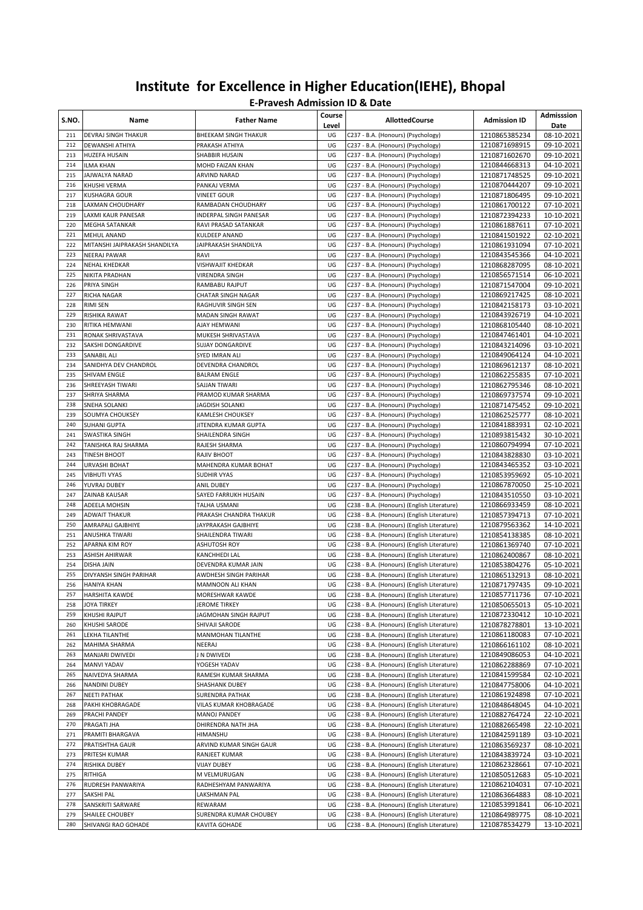| S.NO.      | Name                                    | <b>Father Name</b>                   | Course<br>Level | <b>AllottedCourse</b>                                                                    | <b>Admission ID</b>            | Admisssion<br>Date       |
|------------|-----------------------------------------|--------------------------------------|-----------------|------------------------------------------------------------------------------------------|--------------------------------|--------------------------|
| 211        | <b>DEVRAJ SINGH THAKUR</b>              | <b>BHEEKAM SINGH THAKUR</b>          | UG              | C237 - B.A. (Honours) (Psychology)                                                       | 1210865385234                  | 08-10-2021               |
| 212        | <b>DEWANSHI ATHIYA</b>                  | PRAKASH ATHIYA                       | UG              | C237 - B.A. (Honours) (Psychology)                                                       | 1210871698915                  | 09-10-2021               |
| 213        | HUZEFA HUSAIN                           | <b>SHABBIR HUSAIN</b>                | UG              | C237 - B.A. (Honours) (Psychology)                                                       | 1210871602670                  | 09-10-2021               |
| 214        | ILMA KHAN                               | MOHD FAIZAN KHAN                     | UG              | C237 - B.A. (Honours) (Psychology)                                                       | 1210844668313                  | 04-10-2021               |
| 215        | JAJWALYA NARAD                          | ARVIND NARAD                         | UG              | C237 - B.A. (Honours) (Psychology)                                                       | 1210871748525                  | 09-10-2021               |
| 216        | KHUSHI VERMA<br><b>KUSHAGRA GOUR</b>    | PANKAJ VERMA                         | UG<br>UG        | C237 - B.A. (Honours) (Psychology)                                                       | 1210870444207                  | 09-10-2021               |
| 217<br>218 | LAXMAN CHOUDHARY                        | VINEET GOUR<br>RAMBADAN CHOUDHARY    | UG              | C237 - B.A. (Honours) (Psychology)<br>C237 - B.A. (Honours) (Psychology)                 | 1210871806495<br>1210861700122 | 09-10-2021<br>07-10-2021 |
| 219        | LAXMI KAUR PANESAR                      | INDERPAL SINGH PANESAR               | UG              | C237 - B.A. (Honours) (Psychology)                                                       | 1210872394233                  | 10-10-2021               |
| 220        | MEGHA SATANKAR                          | RAVI PRASAD SATANKAR                 | UG              | C237 - B.A. (Honours) (Psychology)                                                       | 1210861887611                  | 07-10-2021               |
| 221        | <b>MEHUL ANAND</b>                      | KULDEEP ANAND                        | UG              | C237 - B.A. (Honours) (Psychology)                                                       | 1210841501922                  | 02-10-2021               |
| 222        | MITANSHI JAIPRAKASH SHANDILYA           | JAIPRAKASH SHANDILYA                 | UG              | C237 - B.A. (Honours) (Psychology)                                                       | 1210861931094                  | 07-10-2021               |
| 223        | <b>NEERAJ PAWAR</b>                     | RAVI                                 | UG              | C237 - B.A. (Honours) (Psychology)                                                       | 1210843545366                  | 04-10-2021               |
| 224        | NEHAL KHEDKAR                           | VISHWAJIT KHEDKAR                    | UG              | C237 - B.A. (Honours) (Psychology)                                                       | 1210868287095                  | 08-10-2021               |
| 225        | <b>NIKITA PRADHAN</b>                   | VIRENDRA SINGH                       | UG              | C237 - B.A. (Honours) (Psychology)                                                       | 1210856571514                  | 06-10-2021               |
| 226        | PRIYA SINGH                             | RAMBABU RAJPUT                       | UG              | C237 - B.A. (Honours) (Psychology)                                                       | 1210871547004                  | 09-10-2021               |
| 227        | RICHA NAGAR                             | CHATAR SINGH NAGAR                   | UG              | C237 - B.A. (Honours) (Psychology)                                                       | 1210869217425                  | 08-10-2021               |
| 228        | RIMI SEN                                | RAGHUVIR SINGH SEN                   | UG              | C237 - B.A. (Honours) (Psychology)                                                       | 1210842158173                  | 03-10-2021               |
| 229        | RISHIKA RAWAT                           | MADAN SINGH RAWAT                    | UG              | C237 - B.A. (Honours) (Psychology)                                                       | 1210843926719                  | 04-10-2021               |
| 230        | RITIKA HEMWANI                          | AJAY HEMWANI                         | UG              | C237 - B.A. (Honours) (Psychology)                                                       | 1210868105440                  | 08-10-2021               |
| 231        | RONAK SHRIVASTAVA                       | MUKESH SHRIVASTAVA                   | UG              | C237 - B.A. (Honours) (Psychology)                                                       | 1210847461401                  | 04-10-2021               |
| 232        | SAKSHI DONGARDIVE                       | SUJAY DONGARDIVE                     | UG              | C237 - B.A. (Honours) (Psychology)                                                       | 1210843214096                  | 03-10-2021               |
| 233        | SANABIL ALI                             | SYED IMRAN ALI                       | UG              | C237 - B.A. (Honours) (Psychology)                                                       | 1210849064124                  | 04-10-2021               |
| 234        | SANIDHYA DEV CHANDROL                   | DEVENDRA CHANDROL                    | UG              | C237 - B.A. (Honours) (Psychology)                                                       | 1210869612137                  | 08-10-2021               |
| 235<br>236 | <b>SHIVAM ENGLE</b>                     | <b>BALRAM ENGLE</b>                  | UG<br>UG        | C237 - B.A. (Honours) (Psychology)                                                       | 1210862255835                  | 07-10-2021               |
| 237        | SHREEYASH TIWARI<br>SHRIYA SHARMA       | SAJJAN TIWARI<br>PRAMOD KUMAR SHARMA | UG              | C237 - B.A. (Honours) (Psychology)<br>C237 - B.A. (Honours) (Psychology)                 | 1210862795346<br>1210869737574 | 08-10-2021<br>09-10-2021 |
| 238        | SNEHA SOLANKI                           | JAGDISH SOLANKI                      | UG              | C237 - B.A. (Honours) (Psychology)                                                       | 1210871475452                  | 09-10-2021               |
| 239        | SOUMYA CHOUKSEY                         | <b>KAMLESH CHOUKSEY</b>              | UG              | C237 - B.A. (Honours) (Psychology)                                                       | 1210862525777                  | 08-10-2021               |
| 240        | <b>SUHANI GUPTA</b>                     | JITENDRA KUMAR GUPTA                 | UG              | C237 - B.A. (Honours) (Psychology)                                                       | 1210841883931                  | 02-10-2021               |
| 241        | <b>SWASTIKA SINGH</b>                   | SHAILENDRA SINGH                     | UG              | C237 - B.A. (Honours) (Psychology)                                                       | 1210893815432                  | 30-10-2021               |
| 242        | TANISHKA RAJ SHARMA                     | RAJESH SHARMA                        | UG              | C237 - B.A. (Honours) (Psychology)                                                       | 1210860794994                  | 07-10-2021               |
| 243        | <b>TINESH BHOOT</b>                     | RAJIV BHOOT                          | UG              | C237 - B.A. (Honours) (Psychology)                                                       | 1210843828830                  | 03-10-2021               |
| 244        | URVASHI BOHAT                           | MAHENDRA KUMAR BOHAT                 | UG              | C237 - B.A. (Honours) (Psychology)                                                       | 1210843465352                  | 03-10-2021               |
| 245        | <b>VIBHUTI VYAS</b>                     | SUDHIR VYAS                          | UG              | C237 - B.A. (Honours) (Psychology)                                                       | 1210853959692                  | 05-10-2021               |
| 246        | YUVRAJ DUBEY                            | <b>ANIL DUBEY</b>                    | UG              | C237 - B.A. (Honours) (Psychology)                                                       | 1210867870050                  | 25-10-2021               |
| 247        | ZAINAB KAUSAR                           | SAYED FARRUKH HUSAIN                 | UG              | C237 - B.A. (Honours) (Psychology)                                                       | 1210843510550                  | 03-10-2021               |
| 248        | ADEELA MOHSIN                           | TALHA USMANI                         | UG              | C238 - B.A. (Honours) (English Literature)                                               | 1210866933459                  | 08-10-2021               |
| 249        | <b>ADWAIT THAKUR</b>                    | PRAKASH CHANDRA THAKUR               | UG              | C238 - B.A. (Honours) (English Literature)                                               | 1210857394713                  | 07-10-2021               |
| 250        | AMRAPALI GAJBHIYE                       | JAYPRAKASH GAJBHIYE                  | UG              | C238 - B.A. (Honours) (English Literature)                                               | 1210879563362                  | 14-10-2021               |
| 251        | ANUSHKA TIWARI                          | SHAILENDRA TIWARI                    | UG              | C238 - B.A. (Honours) (English Literature)                                               | 1210854138385                  | 08-10-2021               |
| 252<br>253 | APARNA KIM ROY<br><b>ASHISH AHIRWAR</b> | ASHUTOSH ROY                         | UG<br>UG        | C238 - B.A. (Honours) (English Literature)                                               | 1210861369740                  | 07-10-2021               |
| 254        | <b>DISHA JAIN</b>                       | KANCHHEDI LAL<br>DEVENDRA KUMAR JAIN | UG              | C238 - B.A. (Honours) (English Literature)<br>C238 - B.A. (Honours) (English Literature) | 1210862400867<br>1210853804276 | 08-10-2021<br>05-10-2021 |
| 255        | DIVYANSH SINGH PARIHAR                  | AWDHESH SINGH PARIHAR                | UG              | C238 - B.A. (Honours) (English Literature)                                               | 1210865132913                  | 08-10-2021               |
| 256        | <b>HANIYA KHAN</b>                      | MAMNOON ALI KHAN                     | UG              | C238 - B.A. (Honours) (English Literature)                                               | 1210871797435                  | 09-10-2021               |
| 257        | <b>HARSHITA KAWDE</b>                   | MORESHWAR KAWDE                      | UG              | C238 - B.A. (Honours) (English Literature)                                               | 1210857711736                  | 07-10-2021               |
| 258        | <b>JOYA TIRKEY</b>                      | JEROME TIRKEY                        | UG              | C238 - B.A. (Honours) (English Literature)                                               | 1210850655013                  | 05-10-2021               |
| 259        | KHUSHI RAJPUT                           | JAGMOHAN SINGH RAJPUT                | UG              | C238 - B.A. (Honours) (English Literature)                                               | 1210872330412                  | 10-10-2021               |
| 260        | KHUSHI SARODE                           | SHIVAJI SARODE                       | UG              | C238 - B.A. (Honours) (English Literature)                                               | 1210878278801                  | 13-10-2021               |
| 261        | LEKHA TILANTHE                          | MANMOHAN TILANTHE                    | UG              | C238 - B.A. (Honours) (English Literature)                                               | 1210861180083                  | 07-10-2021               |
| 262        | MAHIMA SHARMA                           | NEERAJ                               | UG              | C238 - B.A. (Honours) (English Literature)                                               | 1210866161102                  | 08-10-2021               |
| 263        | MANJARI DWIVEDI                         | J N DWIVEDI                          | UG              | C238 - B.A. (Honours) (English Literature)                                               | 1210849086053                  | 04-10-2021               |
| 264        | MANVI YADAV                             | YOGESH YADAV                         | UG              | C238 - B.A. (Honours) (English Literature)                                               | 1210862288869                  | 07-10-2021               |
| 265        | NAIVEDYA SHARMA                         | RAMESH KUMAR SHARMA                  | UG              | C238 - B.A. (Honours) (English Literature)                                               | 1210841599584                  | 02-10-2021               |
| 266        | NANDINI DUBEY                           | SHASHANK DUBEY                       | UG              | C238 - B.A. (Honours) (English Literature)                                               | 1210847758006                  | 04-10-2021               |
| 267        | NEETI PATHAK                            | <b>SURENDRA PATHAK</b>               | UG              | C238 - B.A. (Honours) (English Literature)                                               | 1210861924898                  | 07-10-2021               |
| 268        | PAKHI KHOBRAGADE                        | VILAS KUMAR KHOBRAGADE               | UG              | C238 - B.A. (Honours) (English Literature)                                               | 1210848648045                  | 04-10-2021               |
| 269        | PRACHI PANDEY                           | MANOJ PANDEY                         | UG              | C238 - B.A. (Honours) (English Literature)                                               | 1210882764724                  | 22-10-2021               |
| 270        | PRAGATI JHA                             | DHIRENDRA NATH JHA                   | UG<br>UG        | C238 - B.A. (Honours) (English Literature)                                               | 1210882665498                  | 22-10-2021               |
| 271<br>272 | PRAMITI BHARGAVA<br>PRATISHTHA GAUR     | HIMANSHU<br>ARVIND KUMAR SINGH GAUR  | UG              | C238 - B.A. (Honours) (English Literature)<br>C238 - B.A. (Honours) (English Literature) | 1210842591189                  | 03-10-2021<br>08-10-2021 |
| 273        | PRITESH KUMAR                           | RANJEET KUMAR                        | UG              | C238 - B.A. (Honours) (English Literature)                                               | 1210863569237<br>1210843839724 | 03-10-2021               |
| 274        | RISHIKA DUBEY                           | <b>VIJAY DUBEY</b>                   | UG              | C238 - B.A. (Honours) (English Literature)                                               | 1210862328661                  | 07-10-2021               |
| 275        | RITHIGA                                 | M VELMURUGAN                         | UG              | C238 - B.A. (Honours) (English Literature)                                               | 1210850512683                  | 05-10-2021               |
| 276        | RUDRESH PANWARIYA                       | RADHESHYAM PANWARIYA                 | UG              | C238 - B.A. (Honours) (English Literature)                                               | 1210862104031                  | 07-10-2021               |
| 277        | SAKSHI PAL                              | LAKSHMAN PAL                         | UG              | C238 - B.A. (Honours) (English Literature)                                               | 1210863664883                  | 08-10-2021               |
| 278        | SANSKRITI SARWARE                       | REWARAM                              | UG              | C238 - B.A. (Honours) (English Literature)                                               | 1210853991841                  | 06-10-2021               |
| 279        | SHAILEE CHOUBEY                         | SURENDRA KUMAR CHOUBEY               | UG              | C238 - B.A. (Honours) (English Literature)                                               | 1210864989775                  | 08-10-2021               |
| 280        | SHIVANGI RAO GOHADE                     | KAVITA GOHADE                        | UG              | C238 - B.A. (Honours) (English Literature)                                               | 1210878534279                  | 13-10-2021               |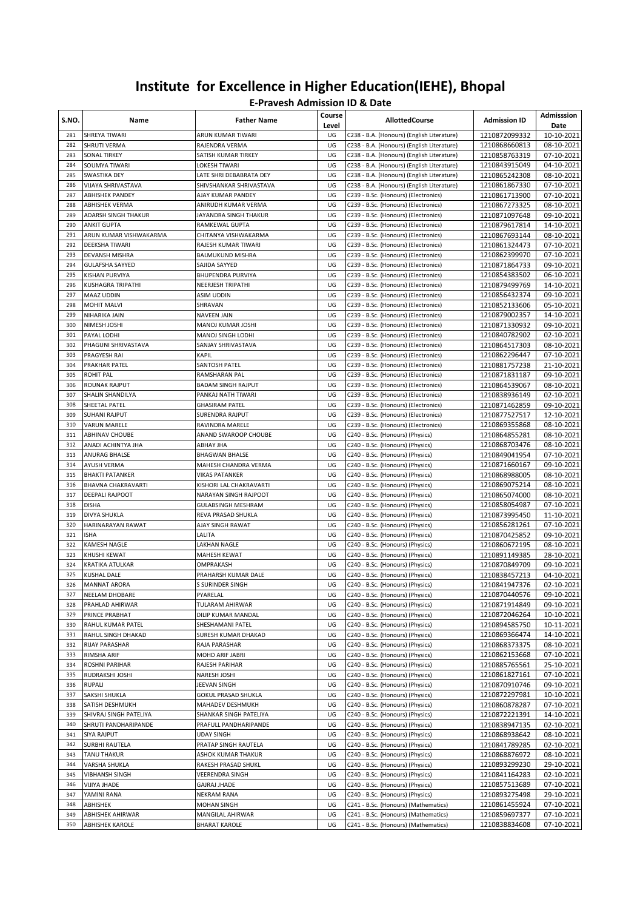| S.NO.      | Name                                        | <b>Father Name</b>                       | Course<br>Level | <b>AllottedCourse</b>                                                                    | <b>Admission ID</b>            | Admisssion<br>Date       |
|------------|---------------------------------------------|------------------------------------------|-----------------|------------------------------------------------------------------------------------------|--------------------------------|--------------------------|
| 281        | SHREYA TIWARI                               | ARUN KUMAR TIWARI                        | UG              | C238 - B.A. (Honours) (English Literature)                                               | 1210872099332                  | 10-10-2021               |
| 282        | SHRUTI VERMA                                | RAJENDRA VERMA                           | UG              | C238 - B.A. (Honours) (English Literature)                                               | 1210868660813                  | 08-10-2021               |
| 283        | SONAL TIRKEY                                | SATISH KUMAR TIRKEY                      | UG              | C238 - B.A. (Honours) (English Literature)                                               | 1210858763319                  | 07-10-2021               |
| 284<br>285 | SOUMYA TIWARI<br>SWASTIKA DEY               | LOKESH TIWARI<br>LATE SHRI DEBABRATA DEY | UG<br>UG        | C238 - B.A. (Honours) (English Literature)<br>C238 - B.A. (Honours) (English Literature) | 1210843915049<br>1210865242308 | 04-10-2021<br>08-10-2021 |
| 286        | VIJAYA SHRIVASTAVA                          | SHIVSHANKAR SHRIVASTAVA                  | UG              | C238 - B.A. (Honours) (English Literature)                                               | 1210861867330                  | 07-10-2021               |
| 287        | <b>ABHISHEK PANDEY</b>                      | AJAY KUMAR PANDEY                        | UG              | C239 - B.Sc. (Honours) (Electronics)                                                     | 1210861713900                  | 07-10-2021               |
| 288        | <b>ABHISHEK VERMA</b>                       | ANIRUDH KUMAR VERMA                      | UG              | C239 - B.Sc. (Honours) (Electronics)                                                     | 1210867273325                  | 08-10-2021               |
| 289        | ADARSH SINGH THAKUR                         | JAYANDRA SINGH THAKUR                    | UG              | C239 - B.Sc. (Honours) (Electronics)                                                     | 1210871097648                  | 09-10-2021               |
| 290        | <b>ANKIT GUPTA</b>                          | RAMKEWAL GUPTA                           | UG              | C239 - B.Sc. (Honours) (Electronics)                                                     | 1210879617814                  | 14-10-2021               |
| 291        | ARUN KUMAR VISHWAKARMA                      | CHITANYA VISHWAKARMA                     | UG              | C239 - B.Sc. (Honours) (Electronics)                                                     | 1210867693144                  | 08-10-2021               |
| 292        | DEEKSHA TIWARI                              | RAJESH KUMAR TIWARI                      | UG              | C239 - B.Sc. (Honours) (Electronics)                                                     | 1210861324473                  | 07-10-2021               |
| 293        | DEVANSH MISHRA                              | <b>BALMUKUND MISHRA</b>                  | UG              | C239 - B.Sc. (Honours) (Electronics)                                                     | 1210862399970                  | 07-10-2021               |
| 294        | <b>GULAFSHA SAYYED</b>                      | SAJIDA SAYYED                            | UG              | C239 - B.Sc. (Honours) (Electronics)                                                     | 1210871864733                  | 09-10-2021               |
| 295        | KISHAN PURVIYA                              | <b>BHUPENDRA PURVIYA</b>                 | UG              | C239 - B.Sc. (Honours) (Electronics)                                                     | 1210854383502                  | 06-10-2021               |
| 296        | KUSHAGRA TRIPATHI                           | NEERJESH TRIPATHI                        | UG              | C239 - B.Sc. (Honours) (Electronics)                                                     | 1210879499769                  | 14-10-2021               |
| 297<br>298 | MAAZ UDDIN<br><b>MOHIT MALVI</b>            | ASIM UDDIN<br>SHRAVAN                    | UG<br>UG        | C239 - B.Sc. (Honours) (Electronics)<br>C239 - B.Sc. (Honours) (Electronics)             | 1210856432374                  | 09-10-2021               |
| 299        | NIHARIKA JAIN                               | NAVEEN JAIN                              | UG              | C239 - B.Sc. (Honours) (Electronics)                                                     | 1210852133606<br>1210879002357 | 05-10-2021<br>14-10-2021 |
| 300        | NIMESH JOSHI                                | MANOJ KUMAR JOSHI                        | UG              | C239 - B.Sc. (Honours) (Electronics)                                                     | 1210871330932                  | 09-10-2021               |
| 301        | PAYAL LODHI                                 | <b>MANOJ SINGH LODHI</b>                 | UG              | C239 - B.Sc. (Honours) (Electronics)                                                     | 1210840782902                  | 02-10-2021               |
| 302        | PHAGUNI SHRIVASTAVA                         | SANJAY SHRIVASTAVA                       | UG              | C239 - B.Sc. (Honours) (Electronics)                                                     | 1210864517303                  | 08-10-2021               |
| 303        | PRAGYESH RAI                                | KAPIL                                    | UG              | C239 - B.Sc. (Honours) (Electronics)                                                     | 1210862296447                  | 07-10-2021               |
| 304        | PRAKHAR PATEL                               | SANTOSH PATEL                            | UG              | C239 - B.Sc. (Honours) (Electronics)                                                     | 1210881757238                  | 21-10-2021               |
| 305        | <b>ROHIT PAL</b>                            | RAMSHARAN PAL                            | UG              | C239 - B.Sc. (Honours) (Electronics)                                                     | 1210871831187                  | 09-10-2021               |
| 306        | ROUNAK RAJPUT                               | <b>BADAM SINGH RAJPUT</b>                | UG              | C239 - B.Sc. (Honours) (Electronics)                                                     | 1210864539067                  | 08-10-2021               |
| 307        | SHALIN SHANDILYA                            | PANKAJ NATH TIWARI                       | UG              | C239 - B.Sc. (Honours) (Electronics)                                                     | 1210838936149                  | 02-10-2021               |
| 308        | SHEETAL PATEL                               | <b>GHASIRAM PATEL</b>                    | UG              | C239 - B.Sc. (Honours) (Electronics)                                                     | 1210871462859                  | 09-10-2021               |
| 309        | <b>SUHANI RAJPUT</b>                        | <b>SURENDRA RAJPUT</b>                   | UG              | C239 - B.Sc. (Honours) (Electronics)                                                     | 1210877527517                  | 12-10-2021               |
| 310<br>311 | <b>VARUN MARELE</b>                         | RAVINDRA MARELE                          | UG              | C239 - B.Sc. (Honours) (Electronics)                                                     | 1210869355868                  | 08-10-2021               |
| 312        | <b>ABHINAV CHOUBE</b><br>ANADI ACHINTYA JHA | ANAND SWAROOP CHOUBE<br>ABHAY JHA        | UG<br>UG        | C240 - B.Sc. (Honours) (Physics)<br>C240 - B.Sc. (Honours) (Physics)                     | 1210864855281<br>1210868703476 | 08-10-2021<br>08-10-2021 |
| 313        | ANURAG BHALSE                               | <b>BHAGWAN BHALSE</b>                    | UG              | C240 - B.Sc. (Honours) (Physics)                                                         | 1210849041954                  | 07-10-2021               |
| 314        | AYUSH VERMA                                 | MAHESH CHANDRA VERMA                     | UG              | C240 - B.Sc. (Honours) (Physics)                                                         | 1210871660167                  | 09-10-2021               |
| 315        | <b>BHAKTI PATANKER</b>                      | <b>VIKAS PATANKER</b>                    | UG              | C240 - B.Sc. (Honours) (Physics)                                                         | 1210868988005                  | 08-10-2021               |
| 316        | BHAVNA CHAKRAVARTI                          | KISHORI LAL CHAKRAVARTI                  | UG              | C240 - B.Sc. (Honours) (Physics)                                                         | 1210869075214                  | 08-10-2021               |
| 317        | DEEPALI RAJPOOT                             | NARAYAN SINGH RAJPOOT                    | UG              | C240 - B.Sc. (Honours) (Physics)                                                         | 1210865074000                  | 08-10-2021               |
| 318        | <b>DISHA</b>                                | <b>GULABSINGH MESHRAM</b>                | UG              | C240 - B.Sc. (Honours) (Physics)                                                         | 1210858054987                  | 07-10-2021               |
| 319        | DIVYA SHUKLA                                | REVA PRASAD SHUKLA                       | UG              | C240 - B.Sc. (Honours) (Physics)                                                         | 1210873995450                  | 11-10-2021               |
| 320        | HARINARAYAN RAWAT                           | AJAY SINGH RAWAT                         | UG              | C240 - B.Sc. (Honours) (Physics)                                                         | 1210856281261                  | 07-10-2021               |
| 321        | ISHA                                        | LALITA                                   | UG              | C240 - B.Sc. (Honours) (Physics)                                                         | 1210870425852                  | 09-10-2021               |
| 322<br>323 | KAMESH NAGLE                                | <b>LAKHAN NAGLE</b>                      | UG              | C240 - B.Sc. (Honours) (Physics)                                                         | 1210860672195                  | 08-10-2021               |
| 324        | KHUSHI KEWAT<br>KRATIKA ATULKAR             | MAHESH KEWAT<br>OMPRAKASH                | UG<br>UG        | C240 - B.Sc. (Honours) (Physics)<br>C240 - B.Sc. (Honours) (Physics)                     | 1210891149385<br>1210870849709 | 28-10-2021<br>09-10-2021 |
| 325        | KUSHAL DALE                                 | PRAHARSH KUMAR DALE                      | UG              | C240 - B.Sc. (Honours) (Physics)                                                         | 1210838457213                  | 04-10-2021               |
| 326        | <b>MANNAT ARORA</b>                         | <b>S SURINDER SINGH</b>                  | UG              | C240 - B.Sc. (Honours) (Physics)                                                         | 1210841947376                  | 02-10-2021               |
| 327        | NEELAM DHOBARE                              | PYARELAL                                 | UG              | C240 - B.Sc. (Honours) (Physics)                                                         | 1210870440576                  | 09-10-2021               |
| 328        | PRAHLAD AHIRWAR                             | TULARAM AHIRWAR                          | UG              | C240 - B.Sc. (Honours) (Physics)                                                         | 1210871914849                  | 09-10-2021               |
| 329        | PRINCE PRABHAT                              | DILIP KUMAR MANDAL                       | UG              | C240 - B.Sc. (Honours) (Physics)                                                         | 1210872046264                  | 10-10-2021               |
| 330        | RAHUL KUMAR PATEL                           | SHESHAMANI PATEL                         | UG              | C240 - B.Sc. (Honours) (Physics)                                                         | 1210894585750                  | 10-11-2021               |
| 331        | RAHUL SINGH DHAKAD                          | SURESH KUMAR DHAKAD                      | UG              | C240 - B.Sc. (Honours) (Physics)                                                         | 1210869366474                  | 14-10-2021               |
| 332        | RIJAY PARASHAR                              | RAJA PARASHAR                            | UG              | C240 - B.Sc. (Honours) (Physics)                                                         | 1210868373375                  | 08-10-2021               |
| 333        | RIMSHA ARIF                                 | MOHD ARIF JABRI                          | UG              | C240 - B.Sc. (Honours) (Physics)                                                         | 1210862153668                  | 07-10-2021               |
| 334        | ROSHNI PARIHAR                              | RAJESH PARIHAR                           | UG              | C240 - B.Sc. (Honours) (Physics)                                                         | 1210885765561                  | 25-10-2021               |
| 335<br>336 | RUDRAKSHI JOSHI<br>RUPALI                   | NARESH JOSHI<br>JEEVAN SINGH             | UG<br>UG        | C240 - B.Sc. (Honours) (Physics)<br>C240 - B.Sc. (Honours) (Physics)                     | 1210861827161<br>1210870910746 | 07-10-2021               |
| 337        | SAKSHI SHUKLA                               | <b>GOKUL PRASAD SHUKLA</b>               | UG              | C240 - B.Sc. (Honours) (Physics)                                                         | 1210872297981                  | 09-10-2021<br>10-10-2021 |
| 338        | SATISH DESHMUKH                             | MAHADEV DESHMUKH                         | UG              | C240 - B.Sc. (Honours) (Physics)                                                         | 1210860878287                  | 07-10-2021               |
| 339        | SHIVRAJ SINGH PATELIYA                      | SHANKAR SINGH PATELIYA                   | UG              | C240 - B.Sc. (Honours) (Physics)                                                         | 1210872221391                  | 14-10-2021               |
| 340        | SHRUTI PANDHARIPANDE                        | PRAFULL PANDHARIPANDE                    | UG              | C240 - B.Sc. (Honours) (Physics)                                                         | 1210838947135                  | 02-10-2021               |
| 341        | SIYA RAJPUT                                 | <b>UDAY SINGH</b>                        | UG              | C240 - B.Sc. (Honours) (Physics)                                                         | 1210868938642                  | 08-10-2021               |
| 342        | SURBHI RAUTELA                              | PRATAP SINGH RAUTELA                     | UG              | C240 - B.Sc. (Honours) (Physics)                                                         | 1210841789285                  | 02-10-2021               |
| 343        | TANU THAKUR                                 | ASHOK KUMAR THAKUR                       | UG              | C240 - B.Sc. (Honours) (Physics)                                                         | 1210868876972                  | 08-10-2021               |
| 344        | VARSHA SHUKLA                               | RAKESH PRASAD SHUKL                      | UG              | C240 - B.Sc. (Honours) (Physics)                                                         | 1210893299230                  | 29-10-2021               |
| 345        | <b>VIBHANSH SINGH</b>                       | VEERENDRA SINGH                          | UG              | C240 - B.Sc. (Honours) (Physics)                                                         | 1210841164283                  | 02-10-2021               |
| 346        | VIJIYA JHADE                                | <b>GAJRAJ JHADE</b>                      | UG              | C240 - B.Sc. (Honours) (Physics)                                                         | 1210857513689                  | 07-10-2021               |
| 347        | YAMINI RANA                                 | NEKRAM RANA                              | UG              | C240 - B.Sc. (Honours) (Physics)                                                         | 1210893275498                  | 29-10-2021               |
| 348<br>349 | ABHISHEK<br>ABHISHEK AHIRWAR                | MOHAN SINGH<br>MANGILAL AHIRWAR          | UG<br>UG        | C241 - B.Sc. (Honours) (Mathematics)<br>C241 - B.Sc. (Honours) (Mathematics)             | 1210861455924<br>1210859697377 | 07-10-2021<br>07-10-2021 |
| 350        | ABHISHEK KAROLE                             | <b>BHARAT KAROLE</b>                     | UG              | C241 - B.Sc. (Honours) (Mathematics)                                                     | 1210838834608                  | 07-10-2021               |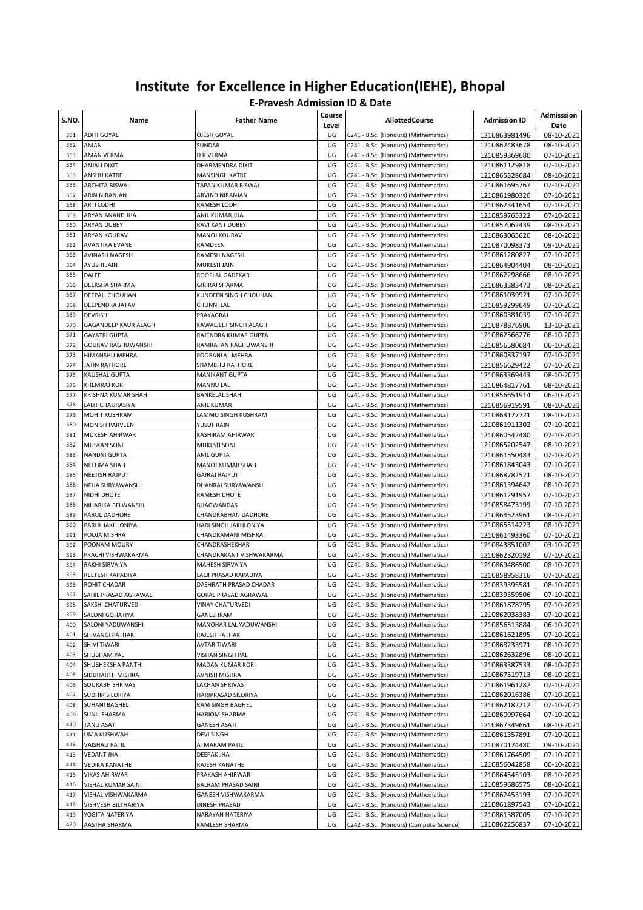| S.NO.      | Name                                     | <b>Father Name</b>                              | Course<br>Level | <b>AllottedCourse</b>                                                        | <b>Admission ID</b>            | Admisssion<br>Date       |
|------------|------------------------------------------|-------------------------------------------------|-----------------|------------------------------------------------------------------------------|--------------------------------|--------------------------|
| 351        | <b>ADITI GOYAL</b>                       | OJESH GOYAL                                     | UG              | C241 - B.Sc. (Honours) (Mathematics)                                         | 1210863981496                  | 08-10-2021               |
| 352        | AMAN                                     | SUNDAR                                          | UG              | C241 - B.Sc. (Honours) (Mathematics)                                         | 1210862483678                  | 08-10-2021               |
| 353        | AMAN VERMA                               | D R VERMA                                       | UG              | C241 - B.Sc. (Honours) (Mathematics)                                         | 1210859369680                  | 07-10-2021               |
| 354        | ANJALI DIXIT                             | DHARMENDRA DIXIT                                | UG              | C241 - B.Sc. (Honours) (Mathematics)                                         | 1210861129818                  | 07-10-2021               |
| 355        | ANSHU KATRE                              | MANSINGH KATRE                                  | UG              | C241 - B.Sc. (Honours) (Mathematics)                                         | 1210865328684                  | 08-10-2021               |
| 356<br>357 | <b>ARCHITA BISWAL</b><br>ARIN NIRANJAN   | TAPAN KUMAR BISWAL<br>ARVIND NIRANJAN           | UG<br>UG        | C241 - B.Sc. (Honours) (Mathematics)                                         | 1210861695767                  | 07-10-2021<br>07-10-2021 |
| 358        | <b>ARTI LODHI</b>                        | RAMESH LODHI                                    | UG              | C241 - B.Sc. (Honours) (Mathematics)<br>C241 - B.Sc. (Honours) (Mathematics) | 1210861980320<br>1210862341654 | 07-10-2021               |
| 359        | ARYAN ANAND JHA                          | ANIL KUMAR JHA                                  | UG              | C241 - B.Sc. (Honours) (Mathematics)                                         | 1210859765322                  | 07-10-2021               |
| 360        | ARYAN DUBEY                              | RAVI KANT DUBEY                                 | UG              | C241 - B.Sc. (Honours) (Mathematics)                                         | 1210857062439                  | 08-10-2021               |
| 361        | <b>ARYAN KOURAV</b>                      | <b>MANOJ KOURAV</b>                             | UG              | C241 - B.Sc. (Honours) (Mathematics)                                         | 1210863065620                  | 08-10-2021               |
| 362        | <b>AVANTIKA EVANE</b>                    | RAMDEEN                                         | UG              | C241 - B.Sc. (Honours) (Mathematics)                                         | 1210870098373                  | 09-10-2021               |
| 363        | AVINASH NAGESH                           | RAMESH NAGESH                                   | UG              | C241 - B.Sc. (Honours) (Mathematics)                                         | 1210861280827                  | 07-10-2021               |
| 364        | AYUSHI JAIN                              | MUKESH JAIN                                     | UG              | C241 - B.Sc. (Honours) (Mathematics)                                         | 1210864904404                  | 08-10-2021               |
| 365        | DALEE                                    | ROOPLAL GADEKAR                                 | UG              | C241 - B.Sc. (Honours) (Mathematics)                                         | 1210862298666                  | 08-10-2021               |
| 366        | DEEKSHA SHARMA                           | <b>GIRIRAJ SHARMA</b>                           | UG              | C241 - B.Sc. (Honours) (Mathematics)                                         | 1210863383473                  | 08-10-2021               |
| 367        | DEEPALI CHOUHAN                          | KUNDEEN SINGH CHOUHAN                           | UG              | C241 - B.Sc. (Honours) (Mathematics)                                         | 1210861039921                  | 07-10-2021               |
| 368        | DEEPENDRA JATAV                          | CHUNNI LAL                                      | UG              | C241 - B.Sc. (Honours) (Mathematics)                                         | 1210859299649                  | 07-10-2021               |
| 369        | <b>DEVRISHI</b>                          | PRAYAGRAJ                                       | UG              | C241 - B.Sc. (Honours) (Mathematics)                                         | 1210860381039                  | 07-10-2021               |
| 370        | GAGANDEEP KAUR ALAGH                     | KAWALJEET SINGH ALAGH                           | UG              | C241 - B.Sc. (Honours) (Mathematics)                                         | 1210878876906                  | 13-10-2021               |
| 371        | <b>GAYATRI GUPTA</b>                     | RAJENDRA KUMAR GUPTA                            | UG              | C241 - B.Sc. (Honours) (Mathematics)                                         | 1210862566276                  | 08-10-2021               |
| 372        | <b>GOURAV RAGHUWANSHI</b>                | RAMRATAN RAGHUWANSHI                            | UG              | C241 - B.Sc. (Honours) (Mathematics)                                         | 1210856580684                  | 06-10-2021               |
| 373        | HIMANSHU MEHRA                           | POORANLAL MEHRA                                 | UG              | C241 - B.Sc. (Honours) (Mathematics)                                         | 1210860837197                  | 07-10-2021               |
| 374<br>375 | JATIN RATHORE<br>KAUSHAL GUPTA           | <b>SHAMBHU RATHORE</b><br><b>MANIKANT GUPTA</b> | UG<br>UG        | C241 - B.Sc. (Honours) (Mathematics)                                         | 1210856629422                  | 07-10-2021               |
| 376        | <b>KHEMRAJ KORI</b>                      | MANNU LAL                                       | UG              | C241 - B.Sc. (Honours) (Mathematics)<br>C241 - B.Sc. (Honours) (Mathematics) | 1210863369443<br>1210864817761 | 08-10-2021<br>08-10-2021 |
| 377        | KRISHNA KUMAR SHAH                       | <b>BANKELAL SHAH</b>                            | UG              | C241 - B.Sc. (Honours) (Mathematics)                                         | 1210856651914                  | 06-10-2021               |
| 378        | LALIT CHAURASIYA                         | ANIL KUMAR                                      | UG              | C241 - B.Sc. (Honours) (Mathematics)                                         | 1210856919591                  | 08-10-2021               |
| 379        | <b>MOHIT KUSHRAM</b>                     | LAMMU SINGH KUSHRAM                             | UG              | C241 - B.Sc. (Honours) (Mathematics)                                         | 1210863177721                  | 08-10-2021               |
| 380        | <b>MONISH PARVEEN</b>                    | YUSUF RAIN                                      | UG              | C241 - B.Sc. (Honours) (Mathematics)                                         | 1210861911302                  | 07-10-2021               |
| 381        | MUKESH AHIRWAR                           | KASHIRAM AHIRWAR                                | UG              | C241 - B.Sc. (Honours) (Mathematics)                                         | 1210860542480                  | 07-10-2021               |
| 382        | <b>MUSKAN SONI</b>                       | MUKESH SONI                                     | UG              | C241 - B.Sc. (Honours) (Mathematics)                                         | 1210865202547                  | 08-10-2021               |
| 383        | <b>NANDNI GUPTA</b>                      | ANIL GUPTA                                      | UG              | C241 - B.Sc. (Honours) (Mathematics)                                         | 1210861550483                  | 07-10-2021               |
| 384        | NEELIMA SHAH                             | MANOJ KUMAR SHAH                                | UG              | C241 - B.Sc. (Honours) (Mathematics)                                         | 1210861843043                  | 07-10-2021               |
| 385        | NEETISH RAJPUT                           | <b>GAJRAJ RAJPUT</b>                            | UG              | C241 - B.Sc. (Honours) (Mathematics)                                         | 1210868782521                  | 08-10-2021               |
| 386        | NEHA SURYAWANSHI                         | DHANRAJ SURYAWANSHI                             | UG              | C241 - B.Sc. (Honours) (Mathematics)                                         | 1210861394642                  | 08-10-2021               |
| 387        | NIDHI DHOTE                              | RAMESH DHOTE                                    | UG              | C241 - B.Sc. (Honours) (Mathematics)                                         | 1210861291957                  | 07-10-2021               |
| 388        | NIHARIKA BELWANSHI                       | BHAGWANDAS                                      | UG              | C241 - B.Sc. (Honours) (Mathematics)                                         | 1210858473199                  | 07-10-2021               |
| 389        | PARUL DADHORE                            | CHANDRABHAN DADHORE                             | UG              | C241 - B.Sc. (Honours) (Mathematics)                                         | 1210864523961                  | 08-10-2021               |
| 390        | PARUL JAKHLONIYA                         | HARI SINGH JAKHLONIYA                           | UG              | C241 - B.Sc. (Honours) (Mathematics)                                         | 1210865514223                  | 08-10-2021<br>07-10-2021 |
| 391<br>392 | POOJA MISHRA<br>POONAM MOURY             | CHANDRAMANI MISHRA<br>CHANDRASHEKHAR            | UG<br>UG        | C241 - B.Sc. (Honours) (Mathematics)<br>C241 - B.Sc. (Honours) (Mathematics) | 1210861493360<br>1210843851002 | 03-10-2021               |
| 393        | PRACHI VISHWAKARMA                       | CHANDRAKANT VISHWAKARMA                         | UG              | C241 - B.Sc. (Honours) (Mathematics)                                         | 1210862320192                  | 07-10-2021               |
| 394        | RAKHI SIRVAIYA                           | <b>MAHESH SIRVAIYA</b>                          | UG              | C241 - B.Sc. (Honours) (Mathematics)                                         | 1210869486500                  | 08-10-2021               |
| 395        | REETESH KAPADIYA                         | LALJI PRASAD KAPADIYA                           | UG              | C241 - B.Sc. (Honours) (Mathematics)                                         | 1210858958316                  | 07-10-2021               |
| 396        | ROHIT CHADAR                             | DASHRATH PRASAD CHADAR                          | UG              | C241 - B.Sc. (Honours) (Mathematics)                                         | 1210839395581                  | 08-10-2021               |
| 397        | SAHIL PRASAD AGRAWAL                     | GOPAL PRASAD AGRAWAL                            | UG              | C241 - B.Sc. (Honours) (Mathematics)                                         | 1210839359506                  | 07-10-2021               |
| 398        | SAKSHI CHATURVEDI                        | VINAY CHATURVEDI                                | UG              | C241 - B.Sc. (Honours) (Mathematics)                                         | 1210861878795                  | 07-10-2021               |
| 399        | SALONI GOHATIYA                          | GANESHRAM                                       | UG              | C241 - B.Sc. (Honours) (Mathematics)                                         | 1210862038383                  | 07-10-2021               |
| 400        | SALONI YADUWANSHI                        | MANOHAR LAL YADUWANSHI                          | UG              | C241 - B.Sc. (Honours) (Mathematics)                                         | 1210856513884                  | 06-10-2021               |
| 401        | SHIVANGI PATHAK                          | RAJESH PATHAK                                   | UG              | C241 - B.Sc. (Honours) (Mathematics)                                         | 1210861621895                  | 07-10-2021               |
| 402        | SHIVI TIWARI                             | AVTAR TIWARI                                    | UG              | C241 - B.Sc. (Honours) (Mathematics)                                         | 1210868233971                  | 08-10-2021               |
| 403        | SHUBHAM PAL                              | VISHAN SINGH PAL                                | UG              | C241 - B.Sc. (Honours) (Mathematics)                                         | 1210862632896                  | 08-10-2021               |
| 404        | SHUBHEKSHA PANTHI                        | MADAN KUMAR KORI                                | UG              | C241 - B.Sc. (Honours) (Mathematics)                                         | 1210863387533                  | 08-10-2021               |
| 405        | SIDDHARTH MISHRA                         | AVNISH MISHRA                                   | UG              | C241 - B.Sc. (Honours) (Mathematics)                                         | 1210867519713                  | 08-10-2021               |
| 406        | SOURABH SHRIVAS                          | LAKHAN SHRIVAS                                  | UG              | C241 - B.Sc. (Honours) (Mathematics)                                         | 1210861961282                  | 07-10-2021               |
| 407        | <b>SUDHIR SILORIYA</b>                   | HARIPRASAD SILORIYA                             | UG              | C241 - B.Sc. (Honours) (Mathematics)                                         | 1210862016386                  | 07-10-2021               |
| 408        | SUHANI BAGHEL                            | RAM SINGH BAGHEL                                | UG              | C241 - B.Sc. (Honours) (Mathematics)                                         | 1210862182212                  | 07-10-2021               |
| 409<br>410 | <b>SUNIL SHARMA</b><br><b>TANU ASATI</b> | HARIOM SHARMA                                   | UG<br>UG        | C241 - B.Sc. (Honours) (Mathematics)                                         | 1210860997664                  | 07-10-2021               |
| 411        | UMA KUSHWAH                              | <b>GANESH ASATI</b><br>DEVI SINGH               | UG              | C241 - B.Sc. (Honours) (Mathematics)<br>C241 - B.Sc. (Honours) (Mathematics) | 1210867349661<br>1210861357891 | 08-10-2021<br>07-10-2021 |
| 412        | <b>VAISHALI PATIL</b>                    | ATMARAM PATIL                                   | UG              | C241 - B.Sc. (Honours) (Mathematics)                                         | 1210870174480                  | 09-10-2021               |
| 413        | <b>VEDANT JHA</b>                        | DEEPAK JHA                                      | UG              | C241 - B.Sc. (Honours) (Mathematics)                                         | 1210861764509                  | 07-10-2021               |
| 414        | <b>VEDIKA KANATHE</b>                    | RAJESH KANATHE                                  | UG              | C241 - B.Sc. (Honours) (Mathematics)                                         | 1210856042858                  | 06-10-2021               |
| 415        | <b>VIKAS AHIRWAR</b>                     | PRAKASH AHIRWAR                                 | UG              | C241 - B.Sc. (Honours) (Mathematics)                                         | 1210864545103                  | 08-10-2021               |
| 416        | VISHAL KUMAR SAINI                       | BALRAM PRASAD SAINI                             | UG              | C241 - B.Sc. (Honours) (Mathematics)                                         | 1210859686575                  | 08-10-2021               |
| 417        | VISHAL VISHWAKARMA                       | GANESH VISHWAKARMA                              | UG              | C241 - B.Sc. (Honours) (Mathematics)                                         | 1210862453193                  | 07-10-2021               |
| 418        | VISHVESH BILTHARIYA                      | DINESH PRASAD                                   | UG              | C241 - B.Sc. (Honours) (Mathematics)                                         | 1210861897543                  | 07-10-2021               |
| 419        | YOGITA NATERIYA                          | NARAYAN NATERIYA                                | UG              | C241 - B.Sc. (Honours) (Mathematics)                                         | 1210861387005                  | 07-10-2021               |
| 420        | AASTHA SHARMA                            | KAMLESH SHARMA                                  | UG              | C242 - B.Sc. (Honours) (ComputerScience)                                     | 1210862256837                  | 07-10-2021               |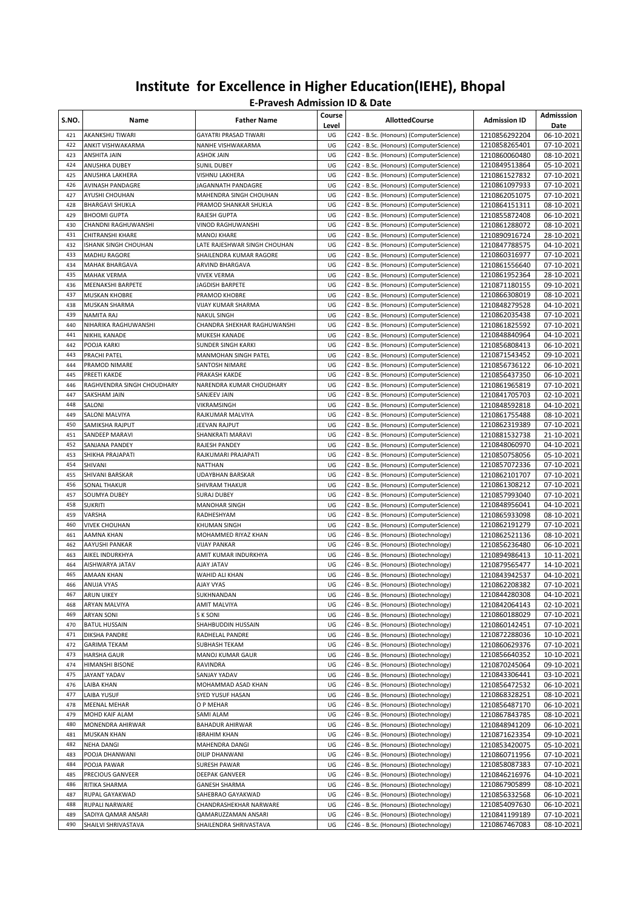| S.NO.      | Name                                      | <b>Father Name</b>                         | Course<br>Level | <b>AllottedCourse</b>                                                                | <b>Admission ID</b>            | Admisssion<br>Date       |
|------------|-------------------------------------------|--------------------------------------------|-----------------|--------------------------------------------------------------------------------------|--------------------------------|--------------------------|
| 421        | AKANKSHU TIWARI                           | GAYATRI PRASAD TIWARI                      | UG              | C242 - B.Sc. (Honours) (ComputerScience)                                             | 1210856292204                  | 06-10-2021               |
| 422        | <b>ANKIT VISHWAKARMA</b>                  | NANHE VISHWAKARMA                          | UG              | C242 - B.Sc. (Honours) (ComputerScience)                                             | 1210858265401                  | 07-10-2021               |
| 423        | <b>ANSHITA JAIN</b>                       | <b>ASHOK JAIN</b>                          | UG              | C242 - B.Sc. (Honours) (ComputerScience)                                             | 1210860060480                  | 08-10-2021               |
| 424<br>425 | ANUSHKA DUBEY<br>ANUSHKA LAKHERA          | <b>SUNIL DUBEY</b><br>VISHNU LAKHERA       | UG<br>UG        | C242 - B.Sc. (Honours) (ComputerScience)<br>C242 - B.Sc. (Honours) (ComputerScience) | 1210849513864<br>1210861527832 | 05-10-2021<br>07-10-2021 |
| 426        | AVINASH PANDAGRE                          | JAGANNATH PANDAGRE                         | UG              | C242 - B.Sc. (Honours) (ComputerScience)                                             | 1210861097933                  | 07-10-2021               |
| 427        | AYUSHI CHOUHAN                            | MAHENDRA SINGH CHOUHAN                     | UG              | C242 - B.Sc. (Honours) (ComputerScience)                                             | 1210862051075                  | 07-10-2021               |
| 428        | <b>BHARGAVI SHUKLA</b>                    | PRAMOD SHANKAR SHUKLA                      | UG              | C242 - B.Sc. (Honours) (ComputerScience)                                             | 1210864151311                  | 08-10-2021               |
| 429        | <b>BHOOMI GUPTA</b>                       | <b>RAJESH GUPTA</b>                        | UG              | C242 - B.Sc. (Honours) (ComputerScience)                                             | 1210855872408                  | 06-10-2021               |
| 430        | CHANDNI RAGHUWANSHI                       | VINOD RAGHUWANSHI                          | UG              | C242 - B.Sc. (Honours) (ComputerScience)                                             | 1210861288072                  | 08-10-2021               |
| 431        | CHITRANSHI KHARE                          | <b>MANOJ KHARE</b>                         | UG              | C242 - B.Sc. (Honours) (ComputerScience)                                             | 1210890916724                  | 28-10-2021               |
| 432        | ISHANK SINGH CHOUHAN                      | LATE RAJESHWAR SINGH CHOUHAN               | UG              | C242 - B.Sc. (Honours) (ComputerScience)                                             | 1210847788575                  | 04-10-2021               |
| 433        | <b>MADHU RAGORE</b>                       | SHAILENDRA KUMAR RAGORE                    | UG              | C242 - B.Sc. (Honours) (ComputerScience)                                             | 1210860316977                  | 07-10-2021               |
| 434        | MAHAK BHARGAVA                            | ARVIND BHARGAVA                            | UG              | C242 - B.Sc. (Honours) (ComputerScience)                                             | 1210861556640                  | 07-10-2021               |
| 435        | <b>MAHAK VERMA</b>                        | <b>VIVEK VERMA</b>                         | UG              | C242 - B.Sc. (Honours) (ComputerScience)                                             | 1210861952364                  | 28-10-2021               |
| 436<br>437 | MEENAKSHI BARPETE<br><b>MUSKAN KHOBRE</b> | <b>JAGDISH BARPETE</b><br>PRAMOD KHOBRE    | UG<br>UG        | C242 - B.Sc. (Honours) (ComputerScience)<br>C242 - B.Sc. (Honours) (ComputerScience) | 1210871180155                  | 09-10-2021<br>08-10-2021 |
| 438        | MUSKAN SHARMA                             | VIJAY KUMAR SHARMA                         | UG              | C242 - B.Sc. (Honours) (ComputerScience)                                             | 1210866308019<br>1210848279528 | 04-10-2021               |
| 439        | NAMITA RAJ                                | <b>NAKUL SINGH</b>                         | UG              | C242 - B.Sc. (Honours) (ComputerScience)                                             | 1210862035438                  | 07-10-2021               |
| 440        | NIHARIKA RAGHUWANSHI                      | CHANDRA SHEKHAR RAGHUWANSHI                | UG              | C242 - B.Sc. (Honours) (ComputerScience)                                             | 1210861825592                  | 07-10-2021               |
| 441        | NIKHIL KANADE                             | MUKESH KANADE                              | UG              | C242 - B.Sc. (Honours) (ComputerScience)                                             | 1210848840964                  | 04-10-2021               |
| 442        | POOJA KARKI                               | SUNDER SINGH KARKI                         | UG              | C242 - B.Sc. (Honours) (ComputerScience)                                             | 1210856808413                  | 06-10-2021               |
| 443        | PRACHI PATEL                              | MANMOHAN SINGH PATEL                       | UG              | C242 - B.Sc. (Honours) (ComputerScience)                                             | 1210871543452                  | 09-10-2021               |
| 444        | PRAMOD NIMARE                             | SANTOSH NIMARE                             | UG              | C242 - B.Sc. (Honours) (ComputerScience)                                             | 1210856736122                  | 06-10-2021               |
| 445        | PREETI KAKDE                              | PRAKASH KAKDE                              | UG              | C242 - B.Sc. (Honours) (ComputerScience)                                             | 1210856437350                  | 06-10-2021               |
| 446        | RAGHVENDRA SINGH CHOUDHARY                | NARENDRA KUMAR CHOUDHARY                   | UG              | C242 - B.Sc. (Honours) (ComputerScience)                                             | 1210861965819                  | 07-10-2021               |
| 447        | SAKSHAM JAIN                              | SANJEEV JAIN                               | UG              | C242 - B.Sc. (Honours) (ComputerScience)                                             | 1210841705703                  | 02-10-2021               |
| 448        | SALONI                                    | VIKRAMSINGH                                | UG              | C242 - B.Sc. (Honours) (ComputerScience)                                             | 1210848592818                  | 04-10-2021               |
| 449<br>450 | SALONI MALVIYA                            | RAJKUMAR MALVIYA<br>JEEVAN RAJPUT          | UG<br>UG        | C242 - B.Sc. (Honours) (ComputerScience)                                             | 1210861755488                  | 08-10-2021               |
| 451        | SAMIKSHA RAJPUT<br>SANDEEP MARAVI         | SHANKRATI MARAVI                           | UG              | C242 - B.Sc. (Honours) (ComputerScience)<br>C242 - B.Sc. (Honours) (ComputerScience) | 1210862319389<br>1210881532738 | 07-10-2021<br>21-10-2021 |
| 452        | SANJANA PANDEY                            | RAJESH PANDEY                              | UG              | C242 - B.Sc. (Honours) (ComputerScience)                                             | 1210848060970                  | 04-10-2021               |
| 453        | SHIKHA PRAJAPATI                          | RAJKUMARI PRAJAPATI                        | UG              | C242 - B.Sc. (Honours) (ComputerScience)                                             | 1210850758056                  | 05-10-2021               |
| 454        | SHIVANI                                   | <b>NATTHAN</b>                             | UG              | C242 - B.Sc. (Honours) (ComputerScience)                                             | 1210857072336                  | 07-10-2021               |
| 455        | SHIVANI BARSKAR                           | <b>UDAYBHAN BARSKAR</b>                    | UG              | C242 - B.Sc. (Honours) (ComputerScience)                                             | 1210862101707                  | 07-10-2021               |
| 456        | SONAL THAKUR                              | SHIVRAM THAKUR                             | UG              | C242 - B.Sc. (Honours) (ComputerScience)                                             | 1210861308212                  | 07-10-2021               |
| 457        | SOUMYA DUBEY                              | <b>SURAJ DUBEY</b>                         | UG              | C242 - B.Sc. (Honours) (ComputerScience)                                             | 1210857993040                  | 07-10-2021               |
| 458        | <b>SUKRITI</b>                            | MANOHAR SINGH                              | UG              | C242 - B.Sc. (Honours) (ComputerScience)                                             | 1210848956041                  | 04-10-2021               |
| 459        | VARSHA                                    | RADHESHYAM                                 | UG              | C242 - B.Sc. (Honours) (ComputerScience)                                             | 1210865933098                  | 08-10-2021               |
| 460        | <b>VIVEK CHOUHAN</b>                      | KHUMAN SINGH                               | UG              | C242 - B.Sc. (Honours) (ComputerScience)                                             | 1210862191279                  | 07-10-2021               |
| 461<br>462 | AAMNA KHAN<br>AAYUSHI PANKAR              | MOHAMMED RIYAZ KHAN<br><b>VIJAY PANKAR</b> | UG<br>UG        | C246 - B.Sc. (Honours) (Biotechnology)<br>C246 - B.Sc. (Honours) (Biotechnology)     | 1210862521136                  | 08-10-2021<br>06-10-2021 |
| 463        | AIKEL INDURKHYA                           | AMIT KUMAR INDURKHYA                       | UG              | C246 - B.Sc. (Honours) (Biotechnology)                                               | 1210856236480<br>1210894986413 | 10-11-2021               |
| 464        | AISHWARYA JATAV                           | <b>AJAY JATAV</b>                          | UG              | C246 - B.Sc. (Honours) (Biotechnology)                                               | 1210879565477                  | 14-10-2021               |
| 465        | AMAAN KHAN                                | WAHID ALI KHAN                             | UG              | C246 - B.Sc. (Honours) (Biotechnology)                                               | 1210843942537                  | 04-10-2021               |
| 466        | ANUJA VYAS                                | AJAY VYAS                                  | UG              | C246 - B.Sc. (Honours) (Biotechnology)                                               | 1210862208382                  | 07-10-2021               |
| 467        | ARUN UIKEY                                | <b>SUKHNANDAN</b>                          | UG              | C246 - B.Sc. (Honours) (Biotechnology)                                               | 1210844280308                  | 04-10-2021               |
| 468        | ARYAN MALVIYA                             | AMIT MALVIYA                               | UG              | C246 - B.Sc. (Honours) (Biotechnology)                                               | 1210842064143                  | 02-10-2021               |
| 469        | ARYAN SONI                                | S K SONI                                   | UG              | C246 - B.Sc. (Honours) (Biotechnology)                                               | 1210860188029                  | 07-10-2021               |
| 470        | <b>BATUL HUSSAIN</b>                      | SHAHBUDDIN HUSSAIN                         | UG              | C246 - B.Sc. (Honours) (Biotechnology)                                               | 1210860142451                  | 07-10-2021               |
| 471        | DIKSHA PANDRE                             | RADHELAL PANDRE                            | UG              | C246 - B.Sc. (Honours) (Biotechnology)                                               | 1210872288036                  | 10-10-2021               |
| 472        | <b>GARIMA TEKAM</b>                       | SUBHASH TEKAM                              | UG              | C246 - B.Sc. (Honours) (Biotechnology)                                               | 1210860629376                  | 07-10-2021               |
| 473<br>474 | <b>HARSHA GAUR</b><br>HIMANSHI BISONE     | MANOJ KUMAR GAUR<br>RAVINDRA               | UG<br>UG        | C246 - B.Sc. (Honours) (Biotechnology)<br>C246 - B.Sc. (Honours) (Biotechnology)     | 1210856640352<br>1210870245064 | 10-10-2021<br>09-10-2021 |
| 475        | JAYANT YADAV                              | SANJAY YADAV                               | UG              | C246 - B.Sc. (Honours) (Biotechnology)                                               | 1210843306441                  | 03-10-2021               |
| 476        | LAIBA KHAN                                | MOHAMMAD ASAD KHAN                         | UG              | C246 - B.Sc. (Honours) (Biotechnology)                                               | 1210856472532                  | 06-10-2021               |
| 477        | LAIBA YUSUF                               | SYED YUSUF HASAN                           | UG              | C246 - B.Sc. (Honours) (Biotechnology)                                               | 1210868328251                  | 08-10-2021               |
| 478        | MEENAL MEHAR                              | O P MEHAR                                  | UG              | C246 - B.Sc. (Honours) (Biotechnology)                                               | 1210856487170                  | 06-10-2021               |
| 479        | MOHD KAIF ALAM                            | SAMI ALAM                                  | UG              | C246 - B.Sc. (Honours) (Biotechnology)                                               | 1210867843785                  | 08-10-2021               |
| 480        | MONENDRA AHIRWAR                          | <b>BAHADUR AHIRWAR</b>                     | UG              | C246 - B.Sc. (Honours) (Biotechnology)                                               | 1210848941209                  | 06-10-2021               |
| 481        | MUSKAN KHAN                               | <b>IBRAHIM KHAN</b>                        | UG              | C246 - B.Sc. (Honours) (Biotechnology)                                               | 1210871623354                  | 09-10-2021               |
| 482        | NEHA DANGI                                | MAHENDRA DANGI                             | UG              | C246 - B.Sc. (Honours) (Biotechnology)                                               | 1210853420075                  | 05-10-2021               |
| 483        | POOJA DHANWANI                            | DILIP DHANWANI                             | UG              | C246 - B.Sc. (Honours) (Biotechnology)                                               | 1210860711956                  | 07-10-2021               |
| 484        | POOJA PAWAR                               | SURESH PAWAR                               | UG              | C246 - B.Sc. (Honours) (Biotechnology)                                               | 1210858087383                  | 07-10-2021               |
| 485<br>486 | PRECIOUS GANVEER<br>RITIKA SHARMA         | DEEPAK GANVEER<br><b>GANESH SHARMA</b>     | UG<br>UG        | C246 - B.Sc. (Honours) (Biotechnology)<br>C246 - B.Sc. (Honours) (Biotechnology)     | 1210846216976<br>1210867905899 | 04-10-2021<br>08-10-2021 |
| 487        | RUPAL GAYAKWAD                            | SAHEBRAO GAYAKWAD                          | UG              | C246 - B.Sc. (Honours) (Biotechnology)                                               | 1210856332568                  | 06-10-2021               |
| 488        | RUPALI NARWARE                            | CHANDRASHEKHAR NARWARE                     | UG              | C246 - B.Sc. (Honours) (Biotechnology)                                               | 1210854097630                  | 06-10-2021               |
| 489        | SADIYA QAMAR ANSARI                       | QAMARUZZAMAN ANSARI                        | UG              | C246 - B.Sc. (Honours) (Biotechnology)                                               | 1210841199189                  | 07-10-2021               |
| 490        | SHAILVI SHRIVASTAVA                       | SHAILENDRA SHRIVASTAVA                     | UG              | C246 - B.Sc. (Honours) (Biotechnology)                                               | 1210867467083                  | 08-10-2021               |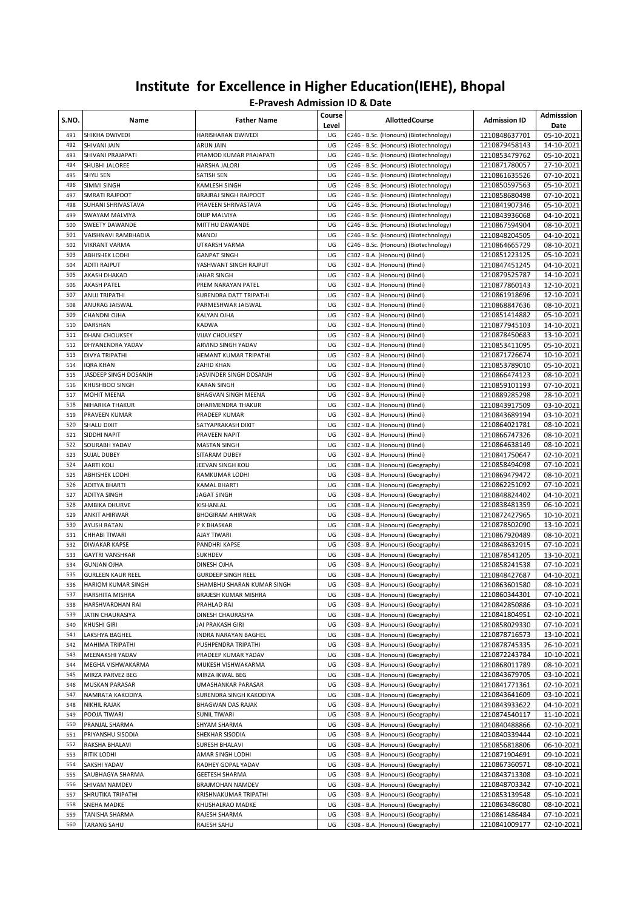| S.NO.      | Name                                         | <b>Father Name</b>               | Course<br>Level | <b>AllottedCourse</b>                                                  | <b>Admission ID</b>            | Admisssion<br>Date       |
|------------|----------------------------------------------|----------------------------------|-----------------|------------------------------------------------------------------------|--------------------------------|--------------------------|
| 491        | SHIKHA DWIVEDI                               | HARISHARAN DWIVEDI               | UG              | C246 - B.Sc. (Honours) (Biotechnology)                                 | 1210848637701                  | 05-10-2021               |
| 492        | <b>SHIVANI JAIN</b>                          | ARUN JAIN                        | UG              | C246 - B.Sc. (Honours) (Biotechnology)                                 | 1210879458143                  | 14-10-2021               |
| 493        | SHIVANI PRAJAPATI                            | PRAMOD KUMAR PRAJAPATI           | UG              | C246 - B.Sc. (Honours) (Biotechnology)                                 | 1210853479762                  | 05-10-2021               |
| 494        | SHUBHI JALOREE                               | HARSHA JALORI                    | UG              | C246 - B.Sc. (Honours) (Biotechnology)                                 | 1210871780057                  | 27-10-2021               |
| 495        | SHYLI SEN                                    | SATISH SEN                       | UG              | C246 - B.Sc. (Honours) (Biotechnology)                                 | 1210861635526                  | 07-10-2021               |
| 496        | SIMMI SINGH                                  | KAMLESH SINGH                    | UG              | C246 - B.Sc. (Honours) (Biotechnology)                                 | 1210850597563                  | 05-10-2021               |
| 497        | <b>SMRATI RAJPOOT</b>                        | BRAJRAJ SINGH RAJPOOT            | UG              | C246 - B.Sc. (Honours) (Biotechnology)                                 | 1210858680498                  | 07-10-2021               |
| 498        | SUHANI SHRIVASTAVA                           | PRAVEEN SHRIVASTAVA              | UG              | C246 - B.Sc. (Honours) (Biotechnology)                                 | 1210841907346                  | 05-10-2021               |
| 499        | SWAYAM MALVIYA                               | DILIP MALVIYA                    | UG              | C246 - B.Sc. (Honours) (Biotechnology)                                 | 1210843936068                  | 04-10-2021               |
| 500        | SWEETY DAWANDE                               | MITTHU DAWANDE                   | UG              | C246 - B.Sc. (Honours) (Biotechnology)                                 | 1210867594904                  | 08-10-2021               |
| 501        | VAISHNAVI RAMBHADIA                          | <b>MANOJ</b>                     | UG              | C246 - B.Sc. (Honours) (Biotechnology)                                 | 1210848204505                  | 04-10-2021               |
| 502        | <b>VIKRANT VARMA</b>                         | UTKARSH VARMA                    | UG              | C246 - B.Sc. (Honours) (Biotechnology)                                 | 1210864665729                  | 08-10-2021               |
| 503        | <b>ABHISHEK LODHI</b>                        | <b>GANPAT SINGH</b>              | UG              | C302 - B.A. (Honours) (Hindi)                                          | 1210851223125                  | 05-10-2021               |
| 504        | <b>ADITI RAJPUT</b>                          | YASHWANT SINGH RAJPUT            | UG              | C302 - B.A. (Honours) (Hindi)                                          | 1210847451245                  | 04-10-2021               |
| 505        | AKASH DHAKAD                                 | JAHAR SINGH                      | UG              | C302 - B.A. (Honours) (Hindi)                                          | 1210879525787                  | 14-10-2021               |
| 506        | <b>AKASH PATEL</b>                           | PREM NARAYAN PATEL               | UG              | C302 - B.A. (Honours) (Hindi)                                          | 1210877860143                  | 12-10-2021               |
| 507        | ANUJ TRIPATHI                                | SURENDRA DATT TRIPATHI           | UG              | C302 - B.A. (Honours) (Hindi)                                          | 1210861918696                  | 12-10-2021               |
| 508        | ANURAG JAISWAL                               | PARMESHWAR JAISWAL               | UG              | C302 - B.A. (Honours) (Hindi)                                          | 1210868847636                  | 08-10-2021               |
| 509        | CHANDNI OJHA                                 | KALYAN OJHA                      | UG              | C302 - B.A. (Honours) (Hindi)                                          | 1210851414882                  | 05-10-2021               |
| 510        | DARSHAN                                      | <b>KADWA</b>                     | UG              | C302 - B.A. (Honours) (Hindi)                                          | 1210877945103                  | 14-10-2021               |
| 511        | DHANI CHOUKSEY                               | <b>VIJAY CHOUKSEY</b>            | UG              | C302 - B.A. (Honours) (Hindi)                                          | 1210878450683                  | 13-10-2021               |
| 512        | DHYANENDRA YADAV                             | ARVIND SINGH YADAV               | UG              | C302 - B.A. (Honours) (Hindi)                                          | 1210853411095                  | 05-10-2021               |
| 513        | <b>DIVYA TRIPATHI</b>                        | HEMANT KUMAR TRIPATHI            | UG              | C302 - B.A. (Honours) (Hindi)                                          | 1210871726674                  | 10-10-2021               |
| 514        | IQRA KHAN                                    | ZAHID KHAN                       | UG              | C302 - B.A. (Honours) (Hindi)                                          | 1210853789010                  | 05-10-2021               |
| 515        | JASDEEP SINGH DOSANJH                        | JASVINDER SINGH DOSANJH          | UG              | C302 - B.A. (Honours) (Hindi)                                          | 1210866474123                  | 08-10-2021               |
| 516        | KHUSHBOO SINGH                               | KARAN SINGH                      | UG              | C302 - B.A. (Honours) (Hindi)                                          | 1210859101193                  | 07-10-2021               |
| 517        | <b>MOHIT MEENA</b>                           | <b>BHAGVAN SINGH MEENA</b>       | UG              | C302 - B.A. (Honours) (Hindi)                                          | 1210889285298                  | 28-10-2021               |
| 518        | NIHARIKA THAKUR                              | DHARMENDRA THAKUR                | UG              | C302 - B.A. (Honours) (Hindi)                                          | 1210843917509                  | 03-10-2021               |
| 519        | PRAVEEN KUMAR                                | PRADEEP KUMAR                    | UG              | C302 - B.A. (Honours) (Hindi)                                          | 1210843689194                  | 03-10-2021               |
| 520        | <b>SHALU DIXIT</b>                           | SATYAPRAKASH DIXIT               | UG              | C302 - B.A. (Honours) (Hindi)                                          | 1210864021781                  | 08-10-2021               |
| 521        | SIDDHI NAPIT                                 | PRAVEEN NAPIT                    | UG              | C302 - B.A. (Honours) (Hindi)                                          | 1210866747326                  | 08-10-2021               |
| 522        | SOURABH YADAV                                | MASTAN SINGH                     | UG              | C302 - B.A. (Honours) (Hindi)                                          | 1210864638149                  | 08-10-2021               |
| 523        | <b>SUJAL DUBEY</b>                           | SITARAM DUBEY                    | UG              | C302 - B.A. (Honours) (Hindi)                                          | 1210841750647                  | 02-10-2021               |
| 524        | <b>AARTI KOLI</b>                            | JEEVAN SINGH KOLI                | UG              | C308 - B.A. (Honours) (Geography)                                      | 1210858494098                  | 07-10-2021               |
| 525        | ABHISHEK LODHI                               | RAMKUMAR LODHI                   | UG              | C308 - B.A. (Honours) (Geography)                                      | 1210869479472                  | 08-10-2021               |
| 526        | <b>ADITYA BHARTI</b>                         | KAMAL BHARTI                     | UG              | C308 - B.A. (Honours) (Geography)                                      | 1210862251092                  | 07-10-2021               |
| 527        | ADITYA SINGH                                 | JAGAT SINGH                      | UG              | C308 - B.A. (Honours) (Geography)                                      | 1210848824402                  | 04-10-2021               |
| 528        | AMBIKA DHURVE                                | KISHANLAL                        | UG              | C308 - B.A. (Honours) (Geography)                                      | 1210838481359                  | 06-10-2021               |
| 529        | <b>ANKIT AHIRWAR</b>                         | <b>BHOGIRAM AHIRWAR</b>          | UG              | C308 - B.A. (Honours) (Geography)                                      | 1210872427965                  | 10-10-2021               |
| 530        | AYUSH RATAN                                  | P K BHASKAR                      | UG              | C308 - B.A. (Honours) (Geography)                                      | 1210878502090                  | 13-10-2021               |
| 531        | CHHABI TIWARI                                | AJAY TIWARI                      | UG              | C308 - B.A. (Honours) (Geography)                                      | 1210867920489                  | 08-10-2021               |
| 532        | <b>DIWAKAR KAPSE</b>                         | PANDHRI KAPSE                    | UG              | C308 - B.A. (Honours) (Geography)                                      | 1210848632915                  | 07-10-2021               |
| 533        | <b>GAYTRI VANSHKAR</b><br><b>GUNJAN OJHA</b> | SUKHDEV                          | UG              | C308 - B.A. (Honours) (Geography)                                      | 1210878541205                  | 13-10-2021               |
| 534<br>535 |                                              | DINESH OJHA                      | UG<br>UG        | C308 - B.A. (Honours) (Geography)                                      | 1210858241538                  | 07-10-2021               |
|            | <b>GURLEEN KAUR REEL</b>                     | <b>GURDEEP SINGH REEL</b>        |                 | C308 - B.A. (Honours) (Geography)                                      | 1210848427687<br>1210863601580 | 04-10-2021<br>08-10-2021 |
| 536        | HARIOM KUMAR SINGH                           | SHAMBHU SHARAN KUMAR SINGH       | UG              | C308 - B.A. (Honours) (Geography)                                      | 1210860344301                  | 07-10-2021               |
| 537<br>538 | HARSHITA MISHRA                              | BRAJESH KUMAR MISHRA             | UG              | C308 - B.A. (Honours) (Geography)                                      |                                |                          |
| 539        | HARSHVARDHAN RAI<br>JATIN CHAURASIYA         | PRAHLAD RAI<br>DINESH CHAURASIYA | UG<br>UG        | C308 - B.A. (Honours) (Geography)<br>C308 - B.A. (Honours) (Geography) | 1210842850886<br>1210841804951 | 03-10-2021<br>02-10-2021 |
| 540        | <b>KHUSHI GIRI</b>                           | JAI PRAKASH GIRI                 | UG              | C308 - B.A. (Honours) (Geography)                                      | 1210858029330                  | 07-10-2021               |
| 541        | LAKSHYA BAGHEL                               | INDRA NARAYAN BAGHEL             | UG              | C308 - B.A. (Honours) (Geography)                                      | 1210878716573                  | 13-10-2021               |
| 542        | MAHIMA TRIPATHI                              | PUSHPENDRA TRIPATHI              | UG              | C308 - B.A. (Honours) (Geography)                                      | 1210878745335                  | 26-10-2021               |
| 543        | MEENAKSHI YADAV                              | PRADEEP KUMAR YADAV              | UG              | C308 - B.A. (Honours) (Geography)                                      | 1210872243784                  | 10-10-2021               |
| 544        | MEGHA VISHWAKARMA                            | MUKESH VISHWAKARMA               | UG              | C308 - B.A. (Honours) (Geography)                                      | 1210868011789                  | 08-10-2021               |
| 545        | MIRZA PARVEZ BEG                             | MIRZA IKWAL BEG                  | UG              | C308 - B.A. (Honours) (Geography)                                      | 1210843679705                  | 03-10-2021               |
| 546        | <b>MUSKAN PARASAR</b>                        | UMASHANKAR PARASAR               | UG              | C308 - B.A. (Honours) (Geography)                                      | 1210841771361                  | 02-10-2021               |
| 547        | NAMRATA KAKODIYA                             | SURENDRA SINGH KAKODIYA          | UG              | C308 - B.A. (Honours) (Geography)                                      | 1210843641609                  | 03-10-2021               |
| 548        | <b>NIKHIL RAJAK</b>                          | BHAGWAN DAS RAJAK                | UG              | C308 - B.A. (Honours) (Geography)                                      | 1210843933622                  | 04-10-2021               |
| 549        | POOJA TIWARI                                 | <b>SUNIL TIWARI</b>              | UG              | C308 - B.A. (Honours) (Geography)                                      | 1210874540117                  | 11-10-2021               |
| 550        | PRANJAL SHARMA                               | SHYAM SHARMA                     | UG              | C308 - B.A. (Honours) (Geography)                                      | 1210840488866                  | 02-10-2021               |
| 551        | PRIYANSHU SISODIA                            | SHEKHAR SISODIA                  | UG              | C308 - B.A. (Honours) (Geography)                                      | 1210840339444                  | 02-10-2021               |
| 552        | RAKSHA BHALAVI                               | SURESH BHALAVI                   | UG              | C308 - B.A. (Honours) (Geography)                                      | 1210856818806                  | 06-10-2021               |
| 553        | RITIK LODHI                                  | AMAR SINGH LODHI                 | UG              | C308 - B.A. (Honours) (Geography)                                      | 1210871904691                  | 09-10-2021               |
| 554        | SAKSHI YADAV                                 | RADHEY GOPAL YADAV               | UG              | C308 - B.A. (Honours) (Geography)                                      | 1210867360571                  | 08-10-2021               |
| 555        | SAUBHAGYA SHARMA                             | <b>GEETESH SHARMA</b>            | UG              | C308 - B.A. (Honours) (Geography)                                      | 1210843713308                  | 03-10-2021               |
| 556        | SHIVAM NAMDEV                                | BRAJMOHAN NAMDEV                 | UG              | C308 - B.A. (Honours) (Geography)                                      | 1210848703342                  | 07-10-2021               |
| 557        | SHRUTIKA TRIPATHI                            | KRISHNAKUMAR TRIPATHI            | UG              | C308 - B.A. (Honours) (Geography)                                      | 1210853139548                  | 05-10-2021               |
| 558        | SNEHA MADKE                                  | KHUSHALRAO MADKE                 | UG              | C308 - B.A. (Honours) (Geography)                                      | 1210863486080                  | 08-10-2021               |
| 559        | TANISHA SHARMA                               | RAJESH SHARMA                    | UG              | C308 - B.A. (Honours) (Geography)                                      | 1210861486484                  | 07-10-2021               |
| 560        | <b>TARANG SAHU</b>                           | RAJESH SAHU                      | UG              | C308 - B.A. (Honours) (Geography)                                      | 1210841009177                  | 02-10-2021               |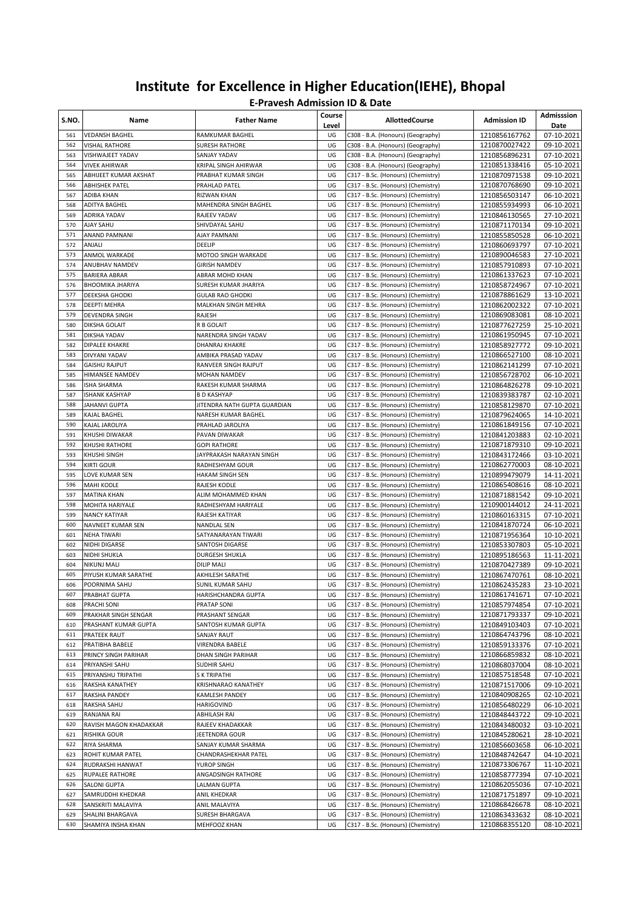| S.NO.      | Name                                  | <b>Father Name</b>                        | Course<br>Level | <b>AllottedCourse</b>                                                    | <b>Admission ID</b>            | Admisssion<br>Date       |
|------------|---------------------------------------|-------------------------------------------|-----------------|--------------------------------------------------------------------------|--------------------------------|--------------------------|
| 561        | <b>VEDANSH BAGHEL</b>                 | RAMKUMAR BAGHEL                           | UG              | C308 - B.A. (Honours) (Geography)                                        | 1210856167762                  | 07-10-2021               |
| 562        | <b>VISHAL RATHORE</b>                 | <b>SURESH RATHORE</b>                     | UG              | C308 - B.A. (Honours) (Geography)                                        | 1210870027422                  | 09-10-2021               |
| 563        | VISHWAJEET YADAV                      | SANJAY YADAV                              | UG              | C308 - B.A. (Honours) (Geography)                                        | 1210856896231                  | 07-10-2021               |
| 564        | <b>VIVEK AHIRWAR</b>                  | KRIPAL SINGH AHIRWAR                      | UG              | C308 - B.A. (Honours) (Geography)                                        | 1210851338416                  | 05-10-2021               |
| 565        | ABHIJEET KUMAR AKSHAT                 | PRABHAT KUMAR SINGH                       | UG              | C317 - B.Sc. (Honours) (Chemistry)                                       | 1210870971538                  | 09-10-2021               |
| 566<br>567 | ABHISHEK PATEL<br>ADIBA KHAN          | PRAHLAD PATEL<br><b>RIZWAN KHAN</b>       | UG<br>UG        | C317 - B.Sc. (Honours) (Chemistry)<br>C317 - B.Sc. (Honours) (Chemistry) | 1210870768690                  | 09-10-2021<br>06-10-2021 |
| 568        | <b>ADITYA BAGHEL</b>                  | MAHENDRA SINGH BAGHEL                     | UG              | C317 - B.Sc. (Honours) (Chemistry)                                       | 1210856503147<br>1210855934993 | 06-10-2021               |
| 569        | ADRIKA YADAV                          | RAJEEV YADAV                              | UG              | C317 - B.Sc. (Honours) (Chemistry)                                       | 1210846130565                  | 27-10-2021               |
| 570        | <b>AJAY SAHU</b>                      | SHIVDAYAL SAHU                            | UG              | C317 - B.Sc. (Honours) (Chemistry)                                       | 1210871170134                  | 09-10-2021               |
| 571        | ANAND PAMNANI                         | AJAY PAMNANI                              | UG              | C317 - B.Sc. (Honours) (Chemistry)                                       | 1210855850528                  | 06-10-2021               |
| 572        | ANJALI                                | DEELIP                                    | UG              | C317 - B.Sc. (Honours) (Chemistry)                                       | 1210860693797                  | 07-10-2021               |
| 573        | ANMOL WARKADE                         | MOTOO SINGH WARKADE                       | UG              | C317 - B.Sc. (Honours) (Chemistry)                                       | 1210890046583                  | 27-10-2021               |
| 574        | ANUBHAV NAMDEV                        | <b>GIRISH NAMDEV</b>                      | UG              | C317 - B.Sc. (Honours) (Chemistry)                                       | 1210857910893                  | 07-10-2021               |
| 575        | BARIERA ABRAR                         | ABRAR MOHD KHAN                           | UG              | C317 - B.Sc. (Honours) (Chemistry)                                       | 1210861337623                  | 07-10-2021               |
| 576        | <b>BHOOMIKA JHARIYA</b>               | SURESH KUMAR JHARIYA                      | UG              | C317 - B.Sc. (Honours) (Chemistry)                                       | 1210858724967                  | 07-10-2021               |
| 577        | DEEKSHA GHODKI                        | <b>GULAB RAO GHODKI</b>                   | UG              | C317 - B.Sc. (Honours) (Chemistry)                                       | 1210878861629                  | 13-10-2021               |
| 578        | DEEPTI MEHRA                          | MALKHAN SINGH MEHRA                       | UG              | C317 - B.Sc. (Honours) (Chemistry)                                       | 1210862002322                  | 07-10-2021               |
| 579        | DEVENDRA SINGH                        | RAJESH                                    | UG              | C317 - B.Sc. (Honours) (Chemistry)                                       | 1210869083081                  | 08-10-2021               |
| 580        | DIKSHA GOLAIT                         | R B GOLAIT                                | UG              | C317 - B.Sc. (Honours) (Chemistry)                                       | 1210877627259                  | 25-10-2021               |
| 581        | DIKSHA YADAV                          | NARENDRA SINGH YADAV                      | UG              | C317 - B.Sc. (Honours) (Chemistry)                                       | 1210861950945                  | 07-10-2021               |
| 582        | DIPALEE KHAKRE                        | <b>DHANRAJ KHAKRE</b>                     | UG              | C317 - B.Sc. (Honours) (Chemistry)                                       | 1210858927772                  | 09-10-2021               |
| 583        | DIVYANI YADAV                         | AMBIKA PRASAD YADAV                       | UG              | C317 - B.Sc. (Honours) (Chemistry)                                       | 1210866527100                  | 08-10-2021               |
| 584<br>585 | <b>GAISHU RAJPUT</b>                  | RANVEER SINGH RAJPUT                      | UG<br>UG        | C317 - B.Sc. (Honours) (Chemistry)                                       | 1210862141299                  | 07-10-2021               |
| 586        | HIMANSEE NAMDEV<br><b>ISHA SHARMA</b> | MOHAN NAMDEV<br>RAKESH KUMAR SHARMA       | UG              | C317 - B.Sc. (Honours) (Chemistry)<br>C317 - B.Sc. (Honours) (Chemistry) | 1210856728702<br>1210864826278 | 06-10-2021<br>09-10-2021 |
| 587        | ISHANK KASHYAP                        | <b>B D KASHYAP</b>                        | UG              | C317 - B.Sc. (Honours) (Chemistry)                                       | 1210839383787                  | 02-10-2021               |
| 588        | <b>JAHANVI GUPTA</b>                  | JITENDRA NATH GUPTA GUARDIAN              | UG              | C317 - B.Sc. (Honours) (Chemistry)                                       | 1210858129870                  | 07-10-2021               |
| 589        | KAJAL BAGHEL                          | NARESH KUMAR BAGHEL                       | UG              | C317 - B.Sc. (Honours) (Chemistry)                                       | 1210879624065                  | 14-10-2021               |
| 590        | KAJAL JAROLIYA                        | PRAHLAD JAROLIYA                          | UG              | C317 - B.Sc. (Honours) (Chemistry)                                       | 1210861849156                  | 07-10-2021               |
| 591        | KHUSHI DIWAKAR                        | PAVAN DIWAKAR                             | UG              | C317 - B.Sc. (Honours) (Chemistry)                                       | 1210841203883                  | 02-10-2021               |
| 592        | KHUSHI RATHORE                        | <b>GOPI RATHORE</b>                       | UG              | C317 - B.Sc. (Honours) (Chemistry)                                       | 1210871879310                  | 09-10-2021               |
| 593        | KHUSHI SINGH                          | JAYPRAKASH NARAYAN SINGH                  | UG              | C317 - B.Sc. (Honours) (Chemistry)                                       | 1210843172466                  | 03-10-2021               |
| 594        | KIRTI GOUR                            | RADHESHYAM GOUR                           | UG              | C317 - B.Sc. (Honours) (Chemistry)                                       | 1210862770003                  | 08-10-2021               |
| 595        | LOVE KUMAR SEN                        | <b>HAKAM SINGH SEN</b>                    | UG              | C317 - B.Sc. (Honours) (Chemistry)                                       | 1210899479079                  | 14-11-2021               |
| 596        | MAHI KODLE                            | RAJESH KODLE                              | UG              | C317 - B.Sc. (Honours) (Chemistry)                                       | 1210865408616                  | 08-10-2021               |
| 597        | <b>MATINA KHAN</b>                    | ALIM MOHAMMED KHAN                        | UG              | C317 - B.Sc. (Honours) (Chemistry)                                       | 1210871881542                  | 09-10-2021               |
| 598        | MOHITA HARIYALE                       | RADHESHYAM HARIYALE                       | UG              | C317 - B.Sc. (Honours) (Chemistry)                                       | 1210900144012                  | 24-11-2021               |
| 599        | <b>NANCY KATIYAR</b>                  | RAJESH KATIYAR                            | UG              | C317 - B.Sc. (Honours) (Chemistry)                                       | 1210860163315                  | 07-10-2021               |
| 600<br>601 | NAVNEET KUMAR SEN<br>NEHA TIWARI      | <b>NANDLAL SEN</b><br>SATYANARAYAN TIWARI | UG<br>UG        | C317 - B.Sc. (Honours) (Chemistry)                                       | 1210841870724<br>1210871956364 | 06-10-2021               |
| 602        | NIDHI DIGARSE                         | SANTOSH DIGARSE                           | UG              | C317 - B.Sc. (Honours) (Chemistry)<br>C317 - B.Sc. (Honours) (Chemistry) | 1210853307803                  | 10-10-2021<br>05-10-2021 |
| 603        | NIDHI SHUKLA                          | <b>DURGESH SHUKLA</b>                     | UG              | C317 - B.Sc. (Honours) (Chemistry)                                       | 1210895186563                  | 11-11-2021               |
| 604        | NIKUNJ MALI                           | <b>DILIP MALI</b>                         | UG              | C317 - B.Sc. (Honours) (Chemistry)                                       | 1210870427389                  | 09-10-2021               |
| 605        | PIYUSH KUMAR SARATHE                  | AKHILESH SARATHE                          | UG              | C317 - B.Sc. (Honours) (Chemistry)                                       | 1210867470761                  | 08-10-2021               |
| 606        | POORNIMA SAHU                         | <b>SUNIL KUMAR SAHU</b>                   | UG              | C317 - B.Sc. (Honours) (Chemistry)                                       | 1210862435283                  | 23-10-2021               |
| 607        | PRABHAT GUPTA                         | HARISHCHANDRA GUPTA                       | UG              | C317 - B.Sc. (Honours) (Chemistry)                                       | 1210861741671                  | 07-10-2021               |
| 608        | PRACHI SONI                           | PRATAP SONI                               | UG              | C317 - B.Sc. (Honours) (Chemistry)                                       | 1210857974854                  | 07-10-2021               |
| 609        | PRAKHAR SINGH SENGAR                  | PRASHANT SENGAR                           | UG              | C317 - B.Sc. (Honours) (Chemistry)                                       | 1210871793337                  | 09-10-2021               |
| 610        | PRASHANT KUMAR GUPTA                  | SANTOSH KUMAR GUPTA                       | UG              | C317 - B.Sc. (Honours) (Chemistry)                                       | 1210849103403                  | 07-10-2021               |
| 611        | PRATEEK RAUT                          | SANJAY RAUT                               | UG              | C317 - B.Sc. (Honours) (Chemistry)                                       | 1210864743796                  | 08-10-2021               |
| 612        | PRATIBHA BABELE                       | VIRENDRA BABELE                           | UG              | C317 - B.Sc. (Honours) (Chemistry)                                       | 1210859133376                  | 07-10-2021               |
| 613        | PRINCY SINGH PARIHAR                  | DHAN SINGH PARIHAR                        | UG              | C317 - B.Sc. (Honours) (Chemistry)                                       | 1210866859832                  | 08-10-2021               |
| 614        | PRIYANSHI SAHU                        | SUDHIR SAHU                               | UG              | C317 - B.Sc. (Honours) (Chemistry)                                       | 1210868037004                  | 08-10-2021               |
| 615        | PRIYANSHU TRIPATHI                    | S K TRIPATHI                              | UG              | C317 - B.Sc. (Honours) (Chemistry)                                       | 1210857518548                  | 07-10-2021               |
| 616        | RAKSHA KANATHEY                       | KRISHNARAO KANATHEY                       | UG              | C317 - B.Sc. (Honours) (Chemistry)                                       | 1210871517006                  | 09-10-2021               |
| 617        | RAKSHA PANDEY<br>RAKSHA SAHU          | KAMLESH PANDEY<br>HARIGOVIND              | UG<br>UG        | C317 - B.Sc. (Honours) (Chemistry)                                       | 1210840908265                  | 02-10-2021               |
| 618<br>619 | RANJANA RAI                           | ABHILASH RAI                              | UG              | C317 - B.Sc. (Honours) (Chemistry)<br>C317 - B.Sc. (Honours) (Chemistry) | 1210856480229                  | 06-10-2021<br>09-10-2021 |
| 620        | RAVISH MAGON KHADAKKAR                | RAJEEV KHADAKKAR                          | UG              | C317 - B.Sc. (Honours) (Chemistry)                                       | 1210848443722<br>1210843480032 | 03-10-2021               |
| 621        | RISHIKA GOUR                          | JEETENDRA GOUR                            | UG              | C317 - B.Sc. (Honours) (Chemistry)                                       | 1210845280621                  | 28-10-2021               |
| 622        | RIYA SHARMA                           | SANJAY KUMAR SHARMA                       | UG              | C317 - B.Sc. (Honours) (Chemistry)                                       | 1210856603658                  | 06-10-2021               |
| 623        | ROHIT KUMAR PATEL                     | CHANDRASHEKHAR PATEL                      | UG              | C317 - B.Sc. (Honours) (Chemistry)                                       | 1210848742647                  | 04-10-2021               |
| 624        | RUDRAKSHI HANWAT                      | YUROP SINGH                               | UG              | C317 - B.Sc. (Honours) (Chemistry)                                       | 1210873306767                  | 11-10-2021               |
| 625        | RUPALEE RATHORE                       | ANGADSINGH RATHORE                        | UG              | C317 - B.Sc. (Honours) (Chemistry)                                       | 1210858777394                  | 07-10-2021               |
| 626        | SALONI GUPTA                          | <b>LALMAN GUPTA</b>                       | UG              | C317 - B.Sc. (Honours) (Chemistry)                                       | 1210862055036                  | 07-10-2021               |
| 627        | SAMRUDDHI KHEDKAR                     | ANIL KHEDKAR                              | UG              | C317 - B.Sc. (Honours) (Chemistry)                                       | 1210871751897                  | 09-10-2021               |
| 628        | SANSKRITI MALAVIYA                    | ANIL MALAVIYA                             | UG              | C317 - B.Sc. (Honours) (Chemistry)                                       | 1210868426678                  | 08-10-2021               |
| 629        | SHALINI BHARGAVA                      | SURESH BHARGAVA                           | UG              | C317 - B.Sc. (Honours) (Chemistry)                                       | 1210863433632                  | 08-10-2021               |
| 630        | SHAMIYA INSHA KHAN                    | MEHFOOZ KHAN                              | UG              | C317 - B.Sc. (Honours) (Chemistry)                                       | 1210868355120                  | 08-10-2021               |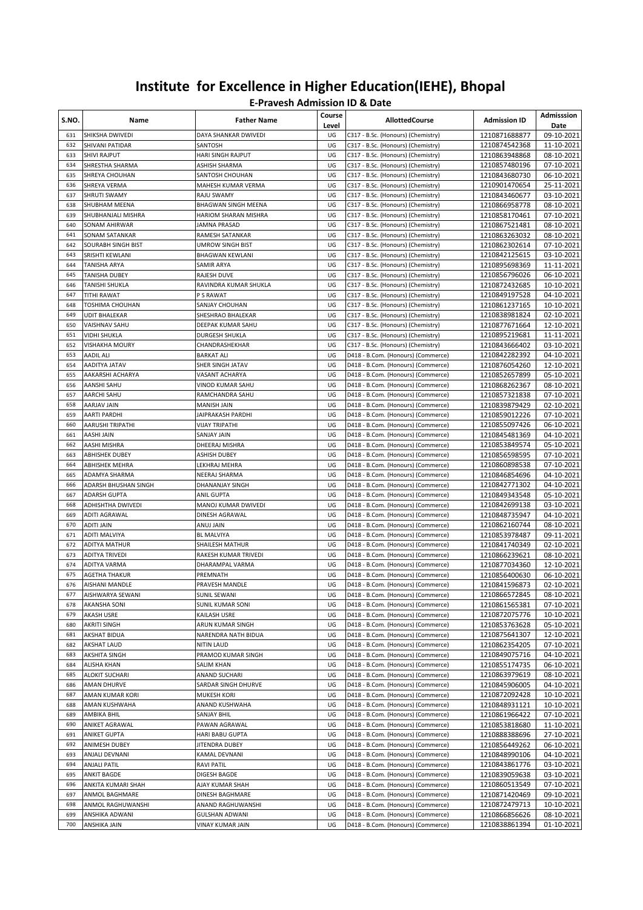| S.NO.      | Name                                        | <b>Father Name</b>                         | Course<br>Level | <b>AllottedCourse</b>                                                    | <b>Admission ID</b>            | Admisssion<br>Date       |
|------------|---------------------------------------------|--------------------------------------------|-----------------|--------------------------------------------------------------------------|--------------------------------|--------------------------|
| 631        | SHIKSHA DWIVEDI                             | DAYA SHANKAR DWIVEDI                       | UG              | C317 - B.Sc. (Honours) (Chemistry)                                       | 1210871688877                  | 09-10-2021               |
| 632        | SHIVANI PATIDAR                             | SANTOSH                                    | UG              | C317 - B.Sc. (Honours) (Chemistry)                                       | 1210874542368                  | 11-10-2021               |
| 633        | <b>SHIVI RAJPUT</b>                         | HARI SINGH RAJPUT                          | UG              | C317 - B.Sc. (Honours) (Chemistry)                                       | 1210863948868                  | 08-10-2021               |
| 634        | SHRESTHA SHARMA                             | ASHISH SHARMA                              | UG              | C317 - B.Sc. (Honours) (Chemistry)                                       | 1210857480196                  | 07-10-2021               |
| 635        | SHREYA CHOUHAN                              | SANTOSH CHOUHAN                            | UG              | C317 - B.Sc. (Honours) (Chemistry)                                       | 1210843680730                  | 06-10-2021               |
| 636        | SHREYA VERMA                                | MAHESH KUMAR VERMA                         | UG              | C317 - B.Sc. (Honours) (Chemistry)                                       | 1210901470654                  | 25-11-2021               |
| 637        | <b>SHRUTI SWAMY</b>                         | RAJU SWAMY                                 | UG              | C317 - B.Sc. (Honours) (Chemistry)                                       | 1210843460677                  | 03-10-2021               |
| 638        | SHUBHAM MEENA                               | <b>BHAGWAN SINGH MEENA</b>                 | UG              | C317 - B.Sc. (Honours) (Chemistry)                                       | 1210866958778                  | 08-10-2021               |
| 639        | SHUBHANJALI MISHRA                          | HARIOM SHARAN MISHRA                       | UG              | C317 - B.Sc. (Honours) (Chemistry)                                       | 1210858170461                  | 07-10-2021               |
| 640        | <b>SONAM AHIRWAR</b>                        | JAMNA PRASAD                               | UG              | C317 - B.Sc. (Honours) (Chemistry)                                       | 1210867521481                  | 08-10-2021               |
| 641        | <b>SONAM SATANKAR</b>                       | RAMESH SATANKAR<br><b>UMROW SINGH BIST</b> | UG              | C317 - B.Sc. (Honours) (Chemistry)                                       | 1210863263032<br>1210862302614 | 08-10-2021               |
| 642<br>643 | <b>SOURABH SINGH BIST</b>                   |                                            | UG              | C317 - B.Sc. (Honours) (Chemistry)                                       |                                | 07-10-2021               |
| 644        | SRISHTI KEWLANI                             | <b>BHAGWAN KEWLANI</b>                     | UG<br>UG        | C317 - B.Sc. (Honours) (Chemistry)                                       | 1210842125615<br>1210895698369 | 03-10-2021               |
| 645        | <b>TANISHA ARYA</b><br><b>TANISHA DUBEY</b> | SAMIR ARYA<br>RAJESH DUVE                  | UG              | C317 - B.Sc. (Honours) (Chemistry)<br>C317 - B.Sc. (Honours) (Chemistry) | 1210856796026                  | 11-11-2021<br>06-10-2021 |
| 646        | <b>TANISHI SHUKLA</b>                       | RAVINDRA KUMAR SHUKLA                      | UG              | C317 - B.Sc. (Honours) (Chemistry)                                       | 1210872432685                  | 10-10-2021               |
| 647        | TITHI RAWAT                                 | P S RAWAT                                  | UG              | C317 - B.Sc. (Honours) (Chemistry)                                       | 1210849197528                  | 04-10-2021               |
| 648        | TOSHIMA CHOUHAN                             | SANJAY CHOUHAN                             | UG              | C317 - B.Sc. (Honours) (Chemistry)                                       | 1210861237165                  | 10-10-2021               |
| 649        | <b>UDIT BHALEKAR</b>                        | SHESHRAO BHALEKAR                          | UG              | C317 - B.Sc. (Honours) (Chemistry)                                       | 1210838981824                  | 02-10-2021               |
| 650        | VAISHNAV SAHU                               | DEEPAK KUMAR SAHU                          | UG              | C317 - B.Sc. (Honours) (Chemistry)                                       | 1210877671664                  | 12-10-2021               |
| 651        | VIDHI SHUKLA                                | DURGESH SHUKLA                             | UG              | C317 - B.Sc. (Honours) (Chemistry)                                       | 1210895219681                  | 11-11-2021               |
| 652        | <b>VISHAKHA MOURY</b>                       | CHANDRASHEKHAR                             | UG              | C317 - B.Sc. (Honours) (Chemistry)                                       | 1210843666402                  | 03-10-2021               |
| 653        | AADIL ALI                                   | <b>BARKAT ALI</b>                          | UG              | D418 - B.Com. (Honours) (Commerce)                                       | 1210842282392                  | 04-10-2021               |
| 654        | AADITYA JATAV                               | SHER SINGH JATAV                           | UG              | D418 - B.Com. (Honours) (Commerce)                                       | 1210876054260                  | 12-10-2021               |
| 655        | AAKARSHI ACHARYA                            | VASANT ACHARYA                             | UG              | D418 - B.Com. (Honours) (Commerce)                                       | 1210852657899                  | 05-10-2021               |
| 656        | AANSHI SAHU                                 | VINOD KUMAR SAHU                           | UG              | D418 - B.Com. (Honours) (Commerce)                                       | 1210868262367                  | 08-10-2021               |
| 657        | AARCHI SAHU                                 | RAMCHANDRA SAHU                            | UG              | D418 - B.Com. (Honours) (Commerce)                                       | 1210857321838                  | 07-10-2021               |
| 658        | AARJAV JAIN                                 | MANISH JAIN                                | UG              | D418 - B.Com. (Honours) (Commerce)                                       | 1210839879429                  | 02-10-2021               |
| 659        | <b>AARTI PARDHI</b>                         | JAIPRAKASH PARDHI                          | UG              | D418 - B.Com. (Honours) (Commerce)                                       | 1210859012226                  | 07-10-2021               |
| 660        | AARUSHI TRIPATHI                            | <b>VIJAY TRIPATHI</b>                      | UG              | D418 - B.Com. (Honours) (Commerce)                                       | 1210855097426                  | 06-10-2021               |
| 661        | AASHI JAIN                                  | SANJAY JAIN                                | UG              | D418 - B.Com. (Honours) (Commerce)                                       | 1210845481369                  | 04-10-2021               |
| 662        | AASHI MISHRA                                | DHEERAJ MISHRA                             | UG              | D418 - B.Com. (Honours) (Commerce)                                       | 1210853849574                  | 05-10-2021               |
| 663        | <b>ABHISHEK DUBEY</b>                       | ASHISH DUBEY                               | UG              | D418 - B.Com. (Honours) (Commerce)                                       | 1210856598595                  | 07-10-2021               |
| 664        | ABHISHEK MEHRA                              | LEKHRAJ MEHRA                              | UG              | D418 - B.Com. (Honours) (Commerce)                                       | 1210860898538                  | 07-10-2021               |
| 665        | ADAMYA SHARMA                               | NEERAJ SHARMA                              | UG              | D418 - B.Com. (Honours) (Commerce)                                       | 1210846854696                  | 04-10-2021               |
| 666        | ADARSH BHUSHAN SINGH                        | DHANANJAY SINGH                            | UG              | D418 - B.Com. (Honours) (Commerce)                                       | 1210842771302                  | 04-10-2021               |
| 667        | <b>ADARSH GUPTA</b>                         | ANIL GUPTA                                 | UG              | D418 - B.Com. (Honours) (Commerce)                                       | 1210849343548                  | 05-10-2021               |
| 668        | ADHISHTHA DWIVEDI                           | MANOJ KUMAR DWIVEDI                        | UG              | D418 - B.Com. (Honours) (Commerce)                                       | 1210842699138                  | 03-10-2021               |
| 669        | ADITI AGRAWAL                               | DINESH AGRAWAL                             | UG              | D418 - B.Com. (Honours) (Commerce)                                       | 1210848735947                  | 04-10-2021               |
| 670        | <b>ADITI JAIN</b>                           | ANUJ JAIN                                  | UG              | D418 - B.Com. (Honours) (Commerce)                                       | 1210862160744                  | 08-10-2021               |
| 671        | ADITI MALVIYA                               | <b>BL MALVIYA</b>                          | UG              | D418 - B.Com. (Honours) (Commerce)                                       | 1210853978487                  | 09-11-2021               |
| 672        | <b>ADITYA MATHUR</b>                        | SHAILESH MATHUR                            | UG              | D418 - B.Com. (Honours) (Commerce)                                       | 1210841740349                  | 02-10-2021               |
| 673        | ADITYA TRIVEDI                              | RAKESH KUMAR TRIVEDI                       | UG              | D418 - B.Com. (Honours) (Commerce)                                       | 1210866239621                  | 08-10-2021               |
| 674        | <b>ADITYA VARMA</b>                         | DHARAMPAL VARMA                            | UG              | D418 - B.Com. (Honours) (Commerce)                                       | 1210877034360                  | 12-10-2021               |
| 675        | <b>AGETHA THAKUR</b>                        | PREMNATH                                   | UG              | D418 - B.Com. (Honours) (Commerce)                                       | 1210856400630                  | 06-10-2021               |
| 676        | AISHANI MANDLE                              | PRAVESH MANDLE                             | UG              | D418 - B.Com. (Honours) (Commerce)                                       | 1210841596873                  | 02-10-2021               |
| 677        | AISHWARYA SEWANI                            | SUNIL SEWANI                               | UG              | D418 - B.Com. (Honours) (Commerce)                                       | 1210866572845                  | 08-10-2021               |
| 678        | <b>AKANSHA SONI</b>                         | SUNIL KUMAR SONI                           | UG              | D418 - B.Com. (Honours) (Commerce)                                       | 1210861565381                  | 07-10-2021               |
| 679        | AKASH USRE                                  | KAILASH USRE                               | UG              | D418 - B.Com. (Honours) (Commerce)                                       | 1210872075776                  | 10-10-2021               |
| 680<br>681 | <b>AKRITI SINGH</b><br><b>AKSHAT BIDUA</b>  | ARUN KUMAR SINGH                           | UG<br>UG        | D418 - B.Com. (Honours) (Commerce)                                       | 1210853763628                  | 05-10-2021               |
| 682        | <b>AKSHAT LAUD</b>                          | NARENDRA NATH BIDUA<br><b>NITIN LAUD</b>   | UG              | D418 - B.Com. (Honours) (Commerce)<br>D418 - B.Com. (Honours) (Commerce) | 1210875641307<br>1210862354205 | 12-10-2021<br>07-10-2021 |
| 683        | <b>AKSHITA SINGH</b>                        | PRAMOD KUMAR SINGH                         | UG              | D418 - B.Com. (Honours) (Commerce)                                       | 1210849075716                  | 04-10-2021               |
| 684        | <b>ALISHA KHAN</b>                          | SALIM KHAN                                 | UG              | D418 - B.Com. (Honours) (Commerce)                                       | 1210855174735                  | 06-10-2021               |
| 685        | <b>ALOKIT SUCHARI</b>                       | ANAND SUCHARI                              | UG              | D418 - B.Com. (Honours) (Commerce)                                       | 1210863979619                  | 08-10-2021               |
| 686        | AMAN DHURVE                                 | SARDAR SINGH DHURVE                        | UG              | D418 - B.Com. (Honours) (Commerce)                                       | 1210845906005                  | 04-10-2021               |
| 687        | AMAN KUMAR KORI                             | MUKESH KORI                                | UG              | D418 - B.Com. (Honours) (Commerce)                                       | 1210872092428                  | 10-10-2021               |
| 688        | AMAN KUSHWAHA                               | ANAND KUSHWAHA                             | UG              | D418 - B.Com. (Honours) (Commerce)                                       | 1210848931121                  | 10-10-2021               |
| 689        | AMBIKA BHIL                                 | SANJAY BHIL                                | UG              | D418 - B.Com. (Honours) (Commerce)                                       | 1210861966422                  | 07-10-2021               |
| 690        | ANIKET AGRAWAL                              | PAWAN AGRAWAL                              | UG              | D418 - B.Com. (Honours) (Commerce)                                       | 1210853818680                  | 11-10-2021               |
| 691        | ANIKET GUPTA                                | HARI BABU GUPTA                            | UG              | D418 - B.Com. (Honours) (Commerce)                                       | 1210888388696                  | 27-10-2021               |
| 692        | ANIMESH DUBEY                               | JITENDRA DUBEY                             | UG              | D418 - B.Com. (Honours) (Commerce)                                       | 1210856449262                  | 06-10-2021               |
| 693        | ANJALI DEVNANI                              | KAMAL DEVNANI                              | UG              | D418 - B.Com. (Honours) (Commerce)                                       | 1210848990106                  | 04-10-2021               |
| 694        | ANJALI PATIL                                | RAVI PATIL                                 | UG              | D418 - B.Com. (Honours) (Commerce)                                       | 1210843861776                  | 03-10-2021               |
| 695        | <b>ANKIT BAGDE</b>                          | DIGESH BAGDE                               | UG              | D418 - B.Com. (Honours) (Commerce)                                       | 1210839059638                  | 03-10-2021               |
| 696        | ANKITA KUMARI SHAH                          | AJAY KUMAR SHAH                            | UG              | D418 - B.Com. (Honours) (Commerce)                                       | 1210860513549                  | 07-10-2021               |
| 697        | ANMOL BAGHMARE                              | DINESH BAGHMARE                            | UG              | D418 - B.Com. (Honours) (Commerce)                                       | 1210871420469                  | 09-10-2021               |
| 698        | ANMOL RAGHUWANSHI                           | ANAND RAGHUWANSHI                          | UG              | D418 - B.Com. (Honours) (Commerce)                                       | 1210872479713                  | 10-10-2021               |
| 699        | ANSHIKA ADWANI                              | <b>GULSHAN ADWANI</b>                      | UG              | D418 - B.Com. (Honours) (Commerce)                                       | 1210866856626                  | 08-10-2021               |
| 700        | ANSHIKA JAIN                                | <b>VINAY KUMAR JAIN</b>                    | UG              | D418 - B.Com. (Honours) (Commerce)                                       | 1210838861394                  | 01-10-2021               |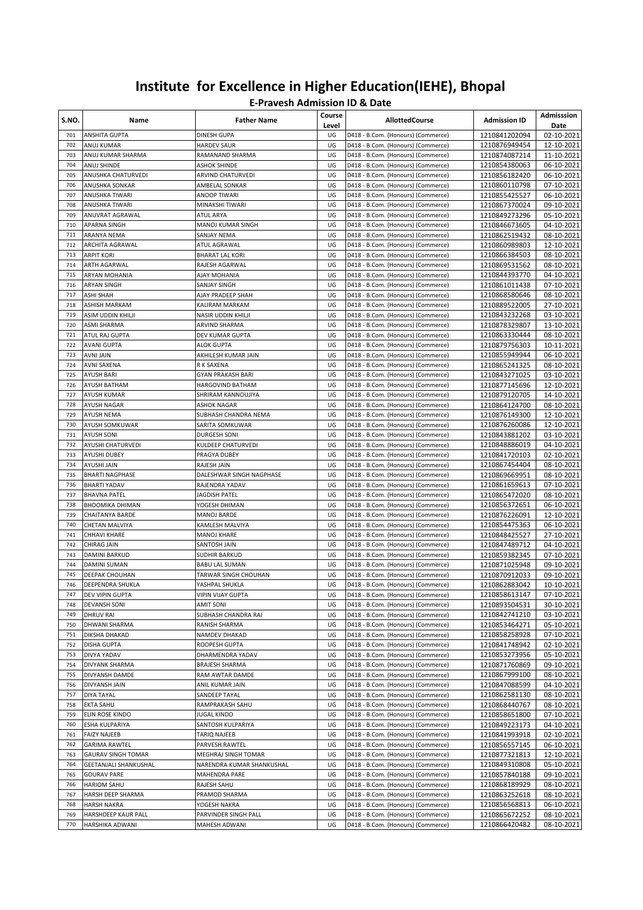| S.NO.      | Name                                       | <b>Father Name</b>                   | Course<br>Level | <b>AllottedCourse</b>                                                    | <b>Admission ID</b>            | Admisssion<br>Date       |
|------------|--------------------------------------------|--------------------------------------|-----------------|--------------------------------------------------------------------------|--------------------------------|--------------------------|
| 701        | ANSHITA GUPTA                              | DINESH GUPA                          | UG              | D418 - B.Com. (Honours) (Commerce)                                       | 1210841202094                  | 02-10-2021               |
| 702        | ANUJ KUMAR                                 | <b>HARDEV SAUR</b>                   | UG              | D418 - B.Com. (Honours) (Commerce)                                       | 1210876949454                  | 12-10-2021               |
| 703        | ANUJ KUMAR SHARMA                          | RAMANAND SHARMA                      | UG              | D418 - B.Com. (Honours) (Commerce)                                       | 1210874087214                  | 11-10-2021               |
| 704        | ANUJ SHINDE                                | <b>ASHOK SHINDE</b>                  | UG              | D418 - B.Com. (Honours) (Commerce)                                       | 1210854380063                  | 06-10-2021               |
| 705        | ANUSHKA CHATURVEDI                         | ARVIND CHATURVEDI                    | UG              | D418 - B.Com. (Honours) (Commerce)                                       | 1210856182420                  | 06-10-2021               |
| 706        | ANUSHKA SONKAR                             | AMBELAL SONKAR                       | UG              | D418 - B.Com. (Honours) (Commerce)                                       | 1210860110798                  | 07-10-2021               |
| 707<br>708 | ANUSHKA TIWARI                             | ANOOP TIWARI                         | UG              | D418 - B.Com. (Honours) (Commerce)                                       | 1210855425527                  | 06-10-2021               |
| 709        | ANUSHKA TIWARI<br>ANUVRAT AGRAWAL          | MINAKSHI TIWARI<br>ATUL ARYA         | UG<br>UG        | D418 - B.Com. (Honours) (Commerce)<br>D418 - B.Com. (Honours) (Commerce) | 1210867370024<br>1210849273296 | 09-10-2021<br>05-10-2021 |
| 710        | APARNA SINGH                               | MANOJ KUMAR SINGH                    | UG              | D418 - B.Com. (Honours) (Commerce)                                       | 1210846673605                  | 04-10-2021               |
| 711        | ARANYA NEMA                                | SANJAY NEMA                          | UG              | D418 - B.Com. (Honours) (Commerce)                                       | 1210862519432                  | 08-10-2021               |
| 712        | ARCHITA AGRAWAL                            | ATUL AGRAWAL                         | UG              | D418 - B.Com. (Honours) (Commerce)                                       | 1210860989803                  | 12-10-2021               |
| 713        | <b>ARPIT KORI</b>                          | <b>BHARAT LAL KORI</b>               | UG              | D418 - B.Com. (Honours) (Commerce)                                       | 1210866384503                  | 08-10-2021               |
| 714        | ARTH AGARWAL                               | RAJESH AGARWAL                       | UG              | D418 - B.Com. (Honours) (Commerce)                                       | 1210869531562                  | 08-10-2021               |
| 715        | ARYAN MOHANIA                              | AJAY MOHANIA                         | UG              | D418 - B.Com. (Honours) (Commerce)                                       | 1210844393770                  | 04-10-2021               |
| 716        | <b>ARYAN SINGH</b>                         | SANJAY SINGH                         | UG              | D418 - B.Com. (Honours) (Commerce)                                       | 1210861011438                  | 07-10-2021               |
| 717        | ASHI SHAH                                  | AJAY PRADEEP SHAH                    | UG              | D418 - B.Com. (Honours) (Commerce)                                       | 1210868580646                  | 08-10-2021               |
| 718        | ASHISH MARKAM                              | KALIRAM MARKAM                       | UG              | D418 - B.Com. (Honours) (Commerce)                                       | 1210889522005                  | 27-10-2021               |
| 719        | ASIM UDDIN KHILJI                          | NASIR UDDIN KHILJI                   | UG              | D418 - B.Com. (Honours) (Commerce)                                       | 1210843232268                  | 03-10-2021               |
| 720        | ASMI SHARMA                                | <b>ARVIND SHARMA</b>                 | UG              | D418 - B.Com. (Honours) (Commerce)                                       | 1210878329807                  | 13-10-2021               |
| 721        | ATUL RAJ GUPTA                             | DEV KUMAR GUPTA                      | UG              | D418 - B.Com. (Honours) (Commerce)                                       | 1210863330444                  | 08-10-2021               |
| 722        | AVANI GUPTA                                | ALOK GUPTA                           | UG              | D418 - B.Com. (Honours) (Commerce)                                       | 1210879756303                  | 10-11-2021               |
| 723        | AVNI JAIN                                  | AKHILESH KUMAR JAIN                  | UG              | D418 - B.Com. (Honours) (Commerce)                                       | 1210855949944                  | 06-10-2021               |
| 724        | AVNI SAXENA                                | R K SAXENA                           | UG              | D418 - B.Com. (Honours) (Commerce)                                       | 1210865241325                  | 08-10-2021               |
| 725        | <b>AYUSH BARI</b>                          | <b>GYAN PRAKASH BARI</b>             | UG              | D418 - B.Com. (Honours) (Commerce)                                       | 1210843271025                  | 03-10-2021               |
| 726<br>727 | AYUSH BATHAM<br><b>AYUSH KUMAR</b>         | HARGOVIND BATHAM                     | UG<br>UG        | D418 - B.Com. (Honours) (Commerce)                                       | 1210877145696                  | 12-10-2021<br>14-10-2021 |
| 728        | AYUSH NAGAR                                | SHRIRAM KANNOUJIYA<br>ASHOK NAGAR    | UG              | D418 - B.Com. (Honours) (Commerce)<br>D418 - B.Com. (Honours) (Commerce) | 1210879120705<br>1210864124700 | 08-10-2021               |
| 729        | AYUSH NEMA                                 | SUBHASH CHANDRA NEMA                 | UG              | D418 - B.Com. (Honours) (Commerce)                                       | 1210876149300                  | 12-10-2021               |
| 730        | AYUSH SOMKUWAR                             | SARITA SOMKUWAR                      | UG              | D418 - B.Com. (Honours) (Commerce)                                       | 1210876260086                  | 12-10-2021               |
| 731        | AYUSH SONI                                 | DURGESH SONI                         | UG              | D418 - B.Com. (Honours) (Commerce)                                       | 1210843881202                  | 03-10-2021               |
| 732        | AYUSHI CHATURVEDI                          | KULDEEP CHATURVEDI                   | UG              | D418 - B.Com. (Honours) (Commerce)                                       | 1210848886019                  | 04-10-2021               |
| 733        | AYUSHI DUBEY                               | PRAGYA DUBEY                         | UG              | D418 - B.Com. (Honours) (Commerce)                                       | 1210841720103                  | 02-10-2021               |
| 734        | AYUSHI JAIN                                | RAJESH JAIN                          | UG              | D418 - B.Com. (Honours) (Commerce)                                       | 1210867454404                  | 08-10-2021               |
| 735        | <b>BHARTI NAGPHASE</b>                     | DALESHWAR SINGH NAGPHASE             | UG              | D418 - B.Com. (Honours) (Commerce)                                       | 1210869669951                  | 08-10-2021               |
| 736        | <b>BHARTI YADAV</b>                        | RAJENDRA YADAV                       | UG              | D418 - B.Com. (Honours) (Commerce)                                       | 1210861659613                  | 07-10-2021               |
| 737        | <b>BHAVNA PATEL</b>                        | JAGDISH PATEL                        | UG              | D418 - B.Com. (Honours) (Commerce)                                       | 1210865472020                  | 08-10-2021               |
| 738        | <b>BHOOMIKA DHIMAN</b>                     | YOGESH DHIMAN                        | UG              | D418 - B.Com. (Honours) (Commerce)                                       | 1210856372651                  | 06-10-2021               |
| 739        | CHAITANYA BARDE                            | MANOJ BARDE                          | UG              | D418 - B.Com. (Honours) (Commerce)                                       | 1210876226091                  | 12-10-2021               |
| 740        | CHETAN MALVIYA                             | KAMLESH MALVIYA                      | UG              | D418 - B.Com. (Honours) (Commerce)                                       | 1210854475363                  | 06-10-2021               |
| 741        | CHHAVI KHARE                               | <b>MANOJ KHARE</b>                   | UG              | D418 - B.Com. (Honours) (Commerce)                                       | 1210848425527                  | 27-10-2021               |
| 742<br>743 | <b>CHIRAG JAIN</b><br><b>DAMINI BARKUD</b> | SANTOSH JAIN<br><b>SUDHIR BARKUD</b> | UG              | D418 - B.Com. (Honours) (Commerce)                                       | 1210847489712                  | 04-10-2021               |
| 744        | <b>DAMINI SUMAN</b>                        | <b>BABU LAL SUMAN</b>                | UG<br>UG        | D418 - B.Com. (Honours) (Commerce)<br>D418 - B.Com. (Honours) (Commerce) | 1210859382345<br>1210871025948 | 07-10-2021<br>09-10-2021 |
| 745        | <b>DEEPAK CHOUHAN</b>                      | TARWAR SINGH CHOUHAN                 | UG              | D418 - B.Com. (Honours) (Commerce)                                       | 1210870912033                  | 09-10-2021               |
| 746        | DEEPENDRA SHUKLA                           | YASHPAL SHUKLA                       | UG              | D418 - B.Com. (Honours) (Commerce)                                       | 1210862883042                  | 10-10-2021               |
| 747        | DEV VIPIN GUPTA                            | VIPIN VIJAY GUPTA                    | UG              | D418 - B.Com. (Honours) (Commerce)                                       | 1210858613147                  | 07-10-2021               |
| 748        | DEVANSH SONI                               | <b>AMIT SONI</b>                     | UG              | D418 - B.Com. (Honours) (Commerce)                                       | 1210893504531                  | 30-10-2021               |
| 749        | DHRUV RAI                                  | SUBHASH CHANDRA RAI                  | UG              | D418 - B.Com. (Honours) (Commerce)                                       | 1210842741210                  | 03-10-2021               |
| 750        | DHWANI SHARMA                              | RANISH SHARMA                        | UG              | D418 - B.Com. (Honours) (Commerce)                                       | 1210853464271                  | 05-10-2021               |
| 751        | DIKSHA DHAKAD                              | NAMDEV DHAKAD                        | UG              | D418 - B.Com. (Honours) (Commerce)                                       | 1210858258928                  | 07-10-2021               |
| 752        | DISHA GUPTA                                | ROOPESH GUPTA                        | UG              | D418 - B.Com. (Honours) (Commerce)                                       | 1210841748942                  | 02-10-2021               |
| 753        | DIVYA YADAV                                | DHARMENDRA YADAV                     | UG              | D418 - B.Com. (Honours) (Commerce)                                       | 1210853273956                  | 05-10-2021               |
| 754        | DIVYANK SHARMA                             | <b>BRAJESH SHARMA</b>                | UG              | D418 - B.Com. (Honours) (Commerce)                                       | 1210871760869                  | 09-10-2021               |
| 755        | DIVYANSH DAMDE                             | RAM AWTAR DAMDE                      | UG              | D418 - B.Com. (Honours) (Commerce)                                       | 1210867999100                  | 08-10-2021               |
| 756        | DIVYANSH JAIN                              | ANIL KUMAR JAIN                      | UG              | D418 - B.Com. (Honours) (Commerce)                                       | 1210847088599                  | 04-10-2021               |
| 757        | DIYA TAYAL                                 | SANDEEP TAYAL                        | UG              | D418 - B.Com. (Honours) (Commerce)                                       | 1210862581130                  | 08-10-2021               |
| 758        | EKTA SAHU                                  | RAMPRAKASH SAHU                      | UG              | D418 - B.Com. (Honours) (Commerce)                                       | 1210868440767                  | 08-10-2021               |
| 759        | ELIN ROSE KINDO                            | <b>JUGAL KINDO</b>                   | UG              | D418 - B.Com. (Honours) (Commerce)                                       | 1210858651800                  | 07-10-2021               |
| 760        | ESHA KULPARIYA<br><b>FAIZY NAJEEB</b>      | SANTOSH KULPARIYA<br>TARIQ NAJEEB    | UG<br>UG        | D418 - B.Com. (Honours) (Commerce)<br>D418 - B.Com. (Honours) (Commerce) | 1210849223173                  | 04-10-2021               |
| 761<br>762 | <b>GARIMA RAWTEL</b>                       | PARVESH RAWTEL                       | UG              | D418 - B.Com. (Honours) (Commerce)                                       | 1210841993918                  | 02-10-2021               |
| 763        | GAURAV SINGH TOMAR                         | MEGHRAJ SINGH TOMAR                  | UG              | D418 - B.Com. (Honours) (Commerce)                                       | 1210856557145<br>1210877321813 | 06-10-2021<br>12-10-2021 |
| 764        | GEETANJALI SHANKUSHAL                      | NARENDRA KUMAR SHANKUSHAL            | UG              | D418 - B.Com. (Honours) (Commerce)                                       | 1210849310808                  | 05-10-2021               |
| 765        | <b>GOURAV PARE</b>                         | MAHENDRA PARE                        | UG              | D418 - B.Com. (Honours) (Commerce)                                       | 1210857840188                  | 09-10-2021               |
| 766        | <b>HARIOM SAHU</b>                         | RAJESH SAHU                          | UG              | D418 - B.Com. (Honours) (Commerce)                                       | 1210868189929                  | 08-10-2021               |
| 767        | HARSH DEEP SHARMA                          | PRAMOD SHARMA                        | UG              | D418 - B.Com. (Honours) (Commerce)                                       | 1210863252618                  | 08-10-2021               |
| 768        | <b>HARSH NAKRA</b>                         | YOGESH NAKRA                         | UG              | D418 - B.Com. (Honours) (Commerce)                                       | 1210856568813                  | 06-10-2021               |
| 769        | HARSHDEEP KAUR PALL                        | PARVINDER SINGH PALL                 | UG              | D418 - B.Com. (Honours) (Commerce)                                       | 1210865672252                  | 08-10-2021               |
| 770        | HARSHIKA ADWANI                            | MAHESH ADWANI                        | UG              | D418 - B.Com. (Honours) (Commerce)                                       | 1210866420482                  | 08-10-2021               |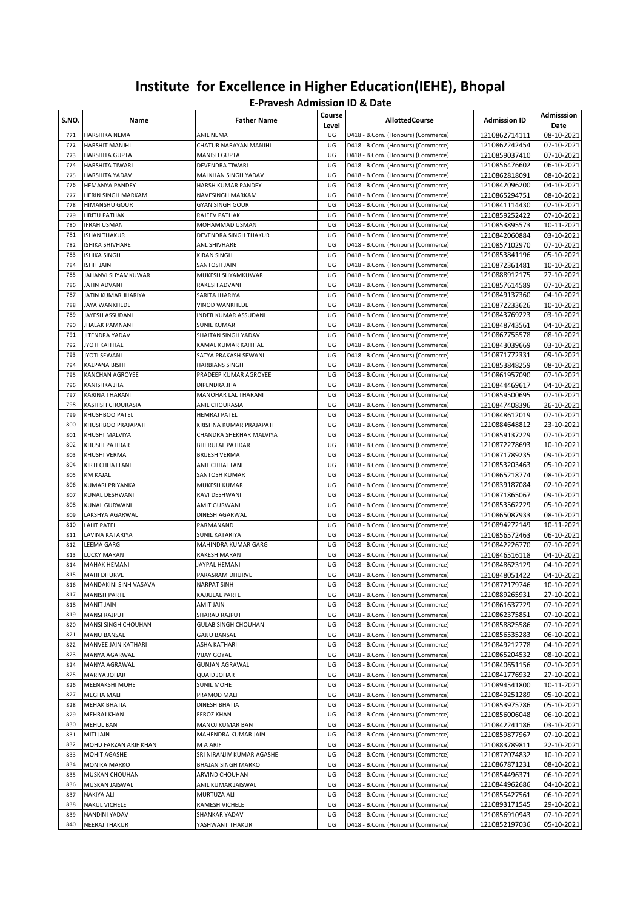| S.NO.      | Name                                    | <b>Father Name</b>                          | Course<br>Level | <b>AllottedCourse</b>                                                    | <b>Admission ID</b>            | Admisssion<br>Date       |
|------------|-----------------------------------------|---------------------------------------------|-----------------|--------------------------------------------------------------------------|--------------------------------|--------------------------|
| 771        | HARSHIKA NEMA                           | ANIL NEMA                                   | UG              | D418 - B.Com. (Honours) (Commerce)                                       | 1210862714111                  | 08-10-2021               |
| 772        | HARSHIT MANJHI                          | CHATUR NARAYAN MANJHI                       | UG              | D418 - B.Com. (Honours) (Commerce)                                       | 1210862242454                  | 07-10-2021               |
| 773        | HARSHITA GUPTA                          | <b>MANISH GUPTA</b>                         | UG              | D418 - B.Com. (Honours) (Commerce)                                       | 1210859037410                  | 07-10-2021               |
| 774<br>775 | HARSHITA TIWARI<br>HARSHITA YADAV       | DEVENDRA TIWARI<br>MALKHAN SINGH YADAV      | UG<br>UG        | D418 - B.Com. (Honours) (Commerce)<br>D418 - B.Com. (Honours) (Commerce) | 1210856476602<br>1210862818091 | 06-10-2021<br>08-10-2021 |
| 776        | <b>HEMANYA PANDEY</b>                   | HARSH KUMAR PANDEY                          | UG              | D418 - B.Com. (Honours) (Commerce)                                       | 1210842096200                  | 04-10-2021               |
| 777        | HERIN SINGH MARKAM                      | NAVESINGH MARKAM                            | UG              | D418 - B.Com. (Honours) (Commerce)                                       | 1210865294751                  | 08-10-2021               |
| 778        | <b>HIMANSHU GOUR</b>                    | <b>GYAN SINGH GOUR</b>                      | UG              | D418 - B.Com. (Honours) (Commerce)                                       | 1210841114430                  | 02-10-2021               |
| 779        | <b>HRITU PATHAK</b>                     | RAJEEV PATHAK                               | UG              | D418 - B.Com. (Honours) (Commerce)                                       | 1210859252422                  | 07-10-2021               |
| 780        | <b>IFRAH USMAN</b>                      | MOHAMMAD USMAN                              | UG              | D418 - B.Com. (Honours) (Commerce)                                       | 1210853895573                  | 10-11-2021               |
| 781        | <b>ISHAN THAKUR</b>                     | DEVENDRA SINGH THAKUR                       | UG              | D418 - B.Com. (Honours) (Commerce)                                       | 1210842060884                  | 03-10-2021               |
| 782        | ISHIKA SHIVHARE                         | ANL SHIVHARE                                | UG              | D418 - B.Com. (Honours) (Commerce)                                       | 1210857102970                  | 07-10-2021               |
| 783        | <b>ISHIKA SINGH</b>                     | KIRAN SINGH                                 | UG              | D418 - B.Com. (Honours) (Commerce)                                       | 1210853841196                  | 05-10-2021               |
| 784        | <b>ISHIT JAIN</b>                       | SANTOSH JAIN                                | UG              | D418 - B.Com. (Honours) (Commerce)                                       | 1210872361481                  | 10-10-2021               |
| 785        | JAHANVI SHYAMKUWAR                      | MUKESH SHYAMKUWAR                           | UG              | D418 - B.Com. (Honours) (Commerce)                                       | 1210888912175                  | 27-10-2021               |
| 786        | JATIN ADVANI                            | RAKESH ADVANI                               | UG              | D418 - B.Com. (Honours) (Commerce)                                       | 1210857614589                  | 07-10-2021               |
| 787        | JATIN KUMAR JHARIYA                     | SARITA JHARIYA                              | UG              | D418 - B.Com. (Honours) (Commerce)                                       | 1210849137360                  | 04-10-2021               |
| 788        | JAYA WANKHEDE                           | VINOD WANKHEDE                              | UG              | D418 - B.Com. (Honours) (Commerce)                                       | 1210872233626                  | 10-10-2021               |
| 789<br>790 | JAYESH ASSUDANI                         | INDER KUMAR ASSUDANI                        | UG              | D418 - B.Com. (Honours) (Commerce)                                       | 1210843769223                  | 03-10-2021               |
| 791        | <b>JHALAK PAMNANI</b><br>JITENDRA YADAV | <b>SUNIL KUMAR</b><br>SHAITAN SINGH YADAV   | UG<br>UG        | D418 - B.Com. (Honours) (Commerce)<br>D418 - B.Com. (Honours) (Commerce) | 1210848743561<br>1210867755578 | 04-10-2021<br>08-10-2021 |
| 792        | <b>JYOTI KAITHAL</b>                    | KAMAL KUMAR KAITHAL                         | UG              | D418 - B.Com. (Honours) (Commerce)                                       | 1210843039669                  | 03-10-2021               |
| 793        | JYOTI SEWANI                            | SATYA PRAKASH SEWANI                        | UG              | D418 - B.Com. (Honours) (Commerce)                                       | 1210871772331                  | 09-10-2021               |
| 794        | KALPANA BISHT                           | <b>HARBIANS SINGH</b>                       | UG              | D418 - B.Com. (Honours) (Commerce)                                       | 1210853848259                  | 08-10-2021               |
| 795        | KANCHAN AGROYEE                         | PRADEEP KUMAR AGROYEE                       | UG              | D418 - B.Com. (Honours) (Commerce)                                       | 1210861957090                  | 07-10-2021               |
| 796        | KANISHKA JHA                            | DIPENDRA JHA                                | UG              | D418 - B.Com. (Honours) (Commerce)                                       | 1210844469617                  | 04-10-2021               |
| 797        | KARINA THARANI                          | MANOHAR LAL THARANI                         | UG              | D418 - B.Com. (Honours) (Commerce)                                       | 1210859500695                  | 07-10-2021               |
| 798        | KASHISH CHOURASIA                       | ANIL CHOURASIA                              | UG              | D418 - B.Com. (Honours) (Commerce)                                       | 1210847408396                  | 26-10-2021               |
| 799        | KHUSHBOO PATEL                          | <b>HEMRAJ PATEL</b>                         | UG              | D418 - B.Com. (Honours) (Commerce)                                       | 1210848612019                  | 07-10-2021               |
| 800        | KHUSHBOO PRAJAPATI                      | KRISHNA KUMAR PRAJAPATI                     | UG              | D418 - B.Com. (Honours) (Commerce)                                       | 1210884648812                  | 23-10-2021               |
| 801        | KHUSHI MALVIYA                          | CHANDRA SHEKHAR MALVIYA                     | UG              | D418 - B.Com. (Honours) (Commerce)                                       | 1210859137229                  | 07-10-2021               |
| 802        | KHUSHI PATIDAR                          | <b>BHERULAL PATIDAR</b>                     | UG              | D418 - B.Com. (Honours) (Commerce)                                       | 1210872278693                  | 10-10-2021               |
| 803        | KHUSHI VERMA                            | <b>BRIJESH VERMA</b>                        | UG              | D418 - B.Com. (Honours) (Commerce)                                       | 1210871789235                  | 09-10-2021               |
| 804        | KIRTI CHHATTANI                         | ANIL CHHATTANI                              | UG              | D418 - B.Com. (Honours) (Commerce)                                       | 1210853203463                  | 05-10-2021               |
| 805        | <b>KM KAJAL</b>                         | SANTOSH KUMAR                               | UG              | D418 - B.Com. (Honours) (Commerce)                                       | 1210865218774                  | 08-10-2021               |
| 806<br>807 | KUMARI PRIYANKA                         | MUKESH KUMAR                                | UG              | D418 - B.Com. (Honours) (Commerce)                                       | 1210839187084                  | 02-10-2021               |
| 808        | KUNAL DESHWANI<br>KUNAL GURWANI         | RAVI DESHWANI<br>AMIT GURWANI               | UG<br>UG        | D418 - B.Com. (Honours) (Commerce)<br>D418 - B.Com. (Honours) (Commerce) | 1210871865067<br>1210853562229 | 09-10-2021<br>05-10-2021 |
| 809        | LAKSHYA AGARWAL                         | DINESH AGARWAL                              | UG              | D418 - B.Com. (Honours) (Commerce)                                       | 1210865087933                  | 08-10-2021               |
| 810        | <b>LALIT PATEL</b>                      | PARMANAND                                   | UG              | D418 - B.Com. (Honours) (Commerce)                                       | 1210894272149                  | 10-11-2021               |
| 811        | LAVINA KATARIYA                         | SUNIL KATARIYA                              | UG              | D418 - B.Com. (Honours) (Commerce)                                       | 1210856572463                  | 06-10-2021               |
| 812        | LEEMA GARG                              | MAHINDRA KUMAR GARG                         | UG              | D418 - B.Com. (Honours) (Commerce)                                       | 1210842226770                  | 07-10-2021               |
| 813        | LUCKY MARAN                             | RAKESH MARAN                                | UG              | D418 - B.Com. (Honours) (Commerce)                                       | 1210846516118                  | 04-10-2021               |
| 814        | <b>MAHAK HEMANI</b>                     | JAYPAL HEMANI                               | UG              | D418 - B.Com. (Honours) (Commerce)                                       | 1210848623129                  | 04-10-2021               |
| 815        | <b>MAHI DHURVE</b>                      | PARASRAM DHURVE                             | UG              | D418 - B.Com. (Honours) (Commerce)                                       | 1210848051422                  | 04-10-2021               |
| 816        | MANDAKINI SINH VASAVA                   | <b>NARPAT SINH</b>                          | UG              | D418 - B.Com. (Honours) (Commerce)                                       | 1210872179746                  | 10-10-2021               |
| 817        | <b>MANISH PARTE</b>                     | KAJJULAL PARTE                              | UG              | D418 - B.Com. (Honours) (Commerce)                                       | 1210889265931                  | 27-10-2021               |
| 818        | MANIT JAIN                              | AMIT JAIN                                   | UG              | D418 - B.Com. (Honours) (Commerce)                                       | 1210861637729                  | 07-10-2021               |
| 819        | <b>MANSI RAJPUT</b>                     | SHARAD RAJPUT                               | UG              | D418 - B.Com. (Honours) (Commerce)                                       | 1210862375851                  | 07-10-2021               |
| 820        | MANSI SINGH CHOUHAN                     | <b>GULAB SINGH CHOUHAN</b>                  | UG              | D418 - B.Com. (Honours) (Commerce)                                       | 1210858825586                  | 07-10-2021               |
| 821        | MANU BANSAL                             | <b>GAJJU BANSAL</b>                         | UG              | D418 - B.Com. (Honours) (Commerce)                                       | 1210856535283                  | 06-10-2021               |
| 822<br>823 | MANVEE JAIN KATHARI<br>MANYA AGARWAL    | ASHA KATHARI                                | UG              | D418 - B.Com. (Honours) (Commerce)                                       | 1210849212778                  | 04-10-2021               |
| 824        | MANYA AGRAWAL                           | <b>VIJAY GOYAL</b><br><b>GUNJAN AGRAWAL</b> | UG<br>UG        | D418 - B.Com. (Honours) (Commerce)<br>D418 - B.Com. (Honours) (Commerce) | 1210865204532<br>1210840651156 | 08-10-2021<br>02-10-2021 |
| 825        | MARIYA JOHAR                            | <b>QUAID JOHAR</b>                          | UG              | D418 - B.Com. (Honours) (Commerce)                                       | 1210841776932                  | 27-10-2021               |
| 826        | MEENAKSHI MOHE                          | <b>SUNIL MOHE</b>                           | UG              | D418 - B.Com. (Honours) (Commerce)                                       | 1210894541800                  | 10-11-2021               |
| 827        | MEGHA MALI                              | PRAMOD MALI                                 | UG              | D418 - B.Com. (Honours) (Commerce)                                       | 1210849251289                  | 05-10-2021               |
| 828        | <b>MEHAK BHATIA</b>                     | DINESH BHATIA                               | UG              | D418 - B.Com. (Honours) (Commerce)                                       | 1210853975786                  | 05-10-2021               |
| 829        | <b>MEHRAJ KHAN</b>                      | <b>FEROZ KHAN</b>                           | UG              | D418 - B.Com. (Honours) (Commerce)                                       | 1210856006048                  | 06-10-2021               |
| 830        | MEHUL BAN                               | MANOJ KUMAR BAN                             | UG              | D418 - B.Com. (Honours) (Commerce)                                       | 1210842241186                  | 03-10-2021               |
| 831        | MITI JAIN                               | MAHENDRA KUMAR JAIN                         | UG              | D418 - B.Com. (Honours) (Commerce)                                       | 1210859877967                  | 07-10-2021               |
| 832        | MOHD FARZAN ARIF KHAN                   | M A ARIF                                    | UG              | D418 - B.Com. (Honours) (Commerce)                                       | 1210883789811                  | 22-10-2021               |
| 833        | MOHIT AGASHE                            | SRI NIRANJIV KUMAR AGASHE                   | UG              | D418 - B.Com. (Honours) (Commerce)                                       | 1210872074832                  | 10-10-2021               |
| 834        | MONIKA MARKO                            | <b>BHAJAN SINGH MARKO</b>                   | UG              | D418 - B.Com. (Honours) (Commerce)                                       | 1210867871231                  | 08-10-2021               |
| 835        | MUSKAN CHOUHAN                          | ARVIND CHOUHAN                              | UG              | D418 - B.Com. (Honours) (Commerce)                                       | 1210854496371                  | 06-10-2021               |
| 836        | MUSKAN JAISWAL                          | ANIL KUMAR JAISWAL                          | UG              | D418 - B.Com. (Honours) (Commerce)                                       | 1210844962686                  | 04-10-2021               |
| 837        | NAKIYA ALI                              | MURTUZA ALI                                 | UG              | D418 - B.Com. (Honours) (Commerce)                                       | 1210855427561                  | 06-10-2021               |
| 838        | NAKUL VICHELE                           | RAMESH VICHELE                              | UG              | D418 - B.Com. (Honours) (Commerce)                                       | 1210893171545                  | 29-10-2021               |
| 839        | NANDINI YADAV                           | SHANKAR YADAV                               | UG              | D418 - B.Com. (Honours) (Commerce)                                       | 1210856910943                  | 07-10-2021               |
| 840        | NEERAJ THAKUR                           | YASHWANT THAKUR                             | UG              | D418 - B.Com. (Honours) (Commerce)                                       | 1210852197036                  | 05-10-2021               |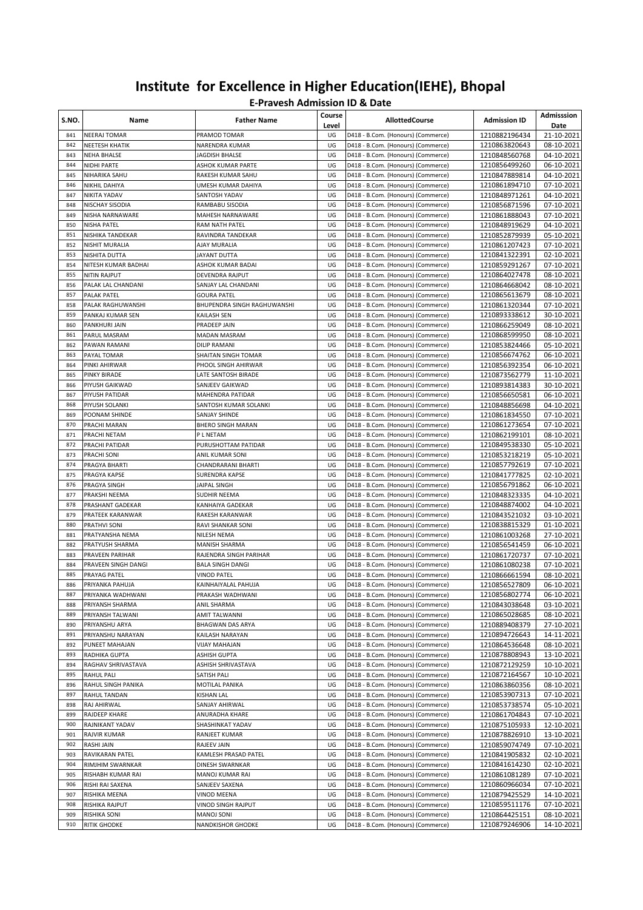| S.NO.      | Name                                          | <b>Father Name</b>                                | Course<br>Level | <b>AllottedCourse</b>                                                    | <b>Admission ID</b>            | Admisssion<br>Date       |
|------------|-----------------------------------------------|---------------------------------------------------|-----------------|--------------------------------------------------------------------------|--------------------------------|--------------------------|
| 841        | <b>NEERAJ TOMAR</b>                           | PRAMOD TOMAR                                      | UG              | D418 - B.Com. (Honours) (Commerce)                                       | 1210882196434                  | 21-10-2021               |
| 842        | <b>NEETESH KHATIK</b>                         | NARENDRA KUMAR                                    | UG              | D418 - B.Com. (Honours) (Commerce)                                       | 1210863820643                  | 08-10-2021               |
| 843        | <b>NEHA BHALSE</b>                            | JAGDISH BHALSE                                    | UG              | D418 - B.Com. (Honours) (Commerce)                                       | 1210848560768                  | 04-10-2021               |
| 844        | NIDHI PARTE                                   | ASHOK KUMAR PARTE                                 | UG              | D418 - B.Com. (Honours) (Commerce)                                       | 1210856499260                  | 06-10-2021               |
| 845        | NIHARIKA SAHU                                 | RAKESH KUMAR SAHU                                 | UG              | D418 - B.Com. (Honours) (Commerce)                                       | 1210847889814                  | 04-10-2021               |
| 846        | NIKHIL DAHIYA                                 | UMESH KUMAR DAHIYA                                | UG              | D418 - B.Com. (Honours) (Commerce)                                       | 1210861894710                  | 07-10-2021               |
| 847        | NIKITA YADAV                                  | SANTOSH YADAV                                     | UG<br>UG        | D418 - B.Com. (Honours) (Commerce)                                       | 1210848971261                  | 04-10-2021               |
| 848<br>849 | NISCHAY SISODIA<br>NISHA NARNAWARE            | RAMBABU SISODIA<br>MAHESH NARNAWARE               | UG              | D418 - B.Com. (Honours) (Commerce)<br>D418 - B.Com. (Honours) (Commerce) | 1210856871596<br>1210861888043 | 07-10-2021<br>07-10-2021 |
| 850        | <b>NISHA PATEL</b>                            | RAM NATH PATEL                                    | UG              | D418 - B.Com. (Honours) (Commerce)                                       | 1210848919629                  | 04-10-2021               |
| 851        | NISHIKA TANDEKAR                              | RAVINDRA TANDEKAR                                 | UG              | D418 - B.Com. (Honours) (Commerce)                                       | 1210852879939                  | 05-10-2021               |
| 852        | <b>NISHIT MURALIA</b>                         | AJAY MURALIA                                      | UG              | D418 - B.Com. (Honours) (Commerce)                                       | 1210861207423                  | 07-10-2021               |
| 853        | NISHITA DUTTA                                 | JAYANT DUTTA                                      | UG              | D418 - B.Com. (Honours) (Commerce)                                       | 1210841322391                  | 02-10-2021               |
| 854        | NITESH KUMAR BADHAI                           | <b>ASHOK KUMAR BADAI</b>                          | UG              | D418 - B.Com. (Honours) (Commerce)                                       | 1210859291267                  | 07-10-2021               |
| 855        | <b>NITIN RAJPUT</b>                           | DEVENDRA RAJPUT                                   | UG              | D418 - B.Com. (Honours) (Commerce)                                       | 1210864027478                  | 08-10-2021               |
| 856        | PALAK LAL CHANDANI                            | SANJAY LAL CHANDANI                               | UG              | D418 - B.Com. (Honours) (Commerce)                                       | 1210864668042                  | 08-10-2021               |
| 857        | <b>PALAK PATEL</b>                            | <b>GOURA PATEL</b>                                | UG              | D418 - B.Com. (Honours) (Commerce)                                       | 1210865613679                  | 08-10-2021               |
| 858        | PALAK RAGHUWANSHI                             | BHUPENDRA SINGH RAGHUWANSHI                       | UG              | D418 - B.Com. (Honours) (Commerce)                                       | 1210861320344                  | 07-10-2021               |
| 859        | PANKAJ KUMAR SEN                              | KAILASH SEN                                       | UG              | D418 - B.Com. (Honours) (Commerce)                                       | 1210893338612                  | 30-10-2021               |
| 860        | <b>PANKHURI JAIN</b>                          | PRADEEP JAIN                                      | UG              | D418 - B.Com. (Honours) (Commerce)                                       | 1210866259049                  | 08-10-2021               |
| 861        | PARUL MASRAM                                  | MADAN MASRAM                                      | UG              | D418 - B.Com. (Honours) (Commerce)                                       | 1210868599950                  | 08-10-2021               |
| 862        | PAWAN RAMANI                                  | <b>DILIP RAMANI</b>                               | UG              | D418 - B.Com. (Honours) (Commerce)                                       | 1210853824466                  | 05-10-2021               |
| 863        | PAYAL TOMAR                                   | SHAITAN SINGH TOMAR                               | UG              | D418 - B.Com. (Honours) (Commerce)                                       | 1210856674762                  | 06-10-2021               |
| 864        | PINKI AHIRWAR                                 | PHOOL SINGH AHIRWAR                               | UG              | D418 - B.Com. (Honours) (Commerce)                                       | 1210856392354                  | 06-10-2021               |
| 865        | <b>PINKY BIRADE</b>                           | LATE SANTOSH BIRADE                               | UG              | D418 - B.Com. (Honours) (Commerce)                                       | 1210873562779                  | 11-10-2021               |
| 866<br>867 | PIYUSH GAIKWAD                                | SANJEEV GAIKWAD<br>MAHENDRA PATIDAR               | UG<br>UG        | D418 - B.Com. (Honours) (Commerce)                                       | 1210893814383                  | 30-10-2021               |
| 868        | PIYUSH PATIDAR<br>PIYUSH SOLANKI              | SANTOSH KUMAR SOLANKI                             | UG              | D418 - B.Com. (Honours) (Commerce)<br>D418 - B.Com. (Honours) (Commerce) | 1210856650581<br>1210848856698 | 06-10-2021<br>04-10-2021 |
| 869        | POONAM SHINDE                                 | SANJAY SHINDE                                     | UG              | D418 - B.Com. (Honours) (Commerce)                                       | 1210861834550                  | 07-10-2021               |
| 870        | PRACHI MARAN                                  | <b>BHERO SINGH MARAN</b>                          | UG              | D418 - B.Com. (Honours) (Commerce)                                       | 1210861273654                  | 07-10-2021               |
| 871        | PRACHI NETAM                                  | P L NETAM                                         | UG              | D418 - B.Com. (Honours) (Commerce)                                       | 1210862199101                  | 08-10-2021               |
| 872        | PRACHI PATIDAR                                | PURUSHOTTAM PATIDAR                               | UG              | D418 - B.Com. (Honours) (Commerce)                                       | 1210849538330                  | 05-10-2021               |
| 873        | PRACHI SONI                                   | ANIL KUMAR SONI                                   | UG              | D418 - B.Com. (Honours) (Commerce)                                       | 1210853218219                  | 05-10-2021               |
| 874        | PRAGYA BHARTI                                 | CHANDRARANI BHARTI                                | UG              | D418 - B.Com. (Honours) (Commerce)                                       | 1210857792619                  | 07-10-2021               |
| 875        | PRAGYA KAPSE                                  | SURENDRA KAPSE                                    | UG              | D418 - B.Com. (Honours) (Commerce)                                       | 1210841777825                  | 02-10-2021               |
| 876        | PRAGYA SINGH                                  | JAIPAL SINGH                                      | UG              | D418 - B.Com. (Honours) (Commerce)                                       | 1210856791862                  | 06-10-2021               |
| 877        | PRAKSHI NEEMA                                 | SUDHIR NEEMA                                      | UG              | D418 - B.Com. (Honours) (Commerce)                                       | 1210848323335                  | 04-10-2021               |
| 878        | PRASHANT GADEKAR                              | KANHAIYA GADEKAR                                  | UG              | D418 - B.Com. (Honours) (Commerce)                                       | 1210848874002                  | 04-10-2021               |
| 879        | PRATEEK KARANWAR                              | RAKESH KARANWAR                                   | UG              | D418 - B.Com. (Honours) (Commerce)                                       | 1210843521032                  | 03-10-2021               |
| 880        | <b>PRATHVI SONI</b>                           | RAVI SHANKAR SONI                                 | UG              | D418 - B.Com. (Honours) (Commerce)                                       | 1210838815329                  | 01-10-2021               |
| 881        | PRATYANSHA NEMA                               | NILESH NEMA                                       | UG              | D418 - B.Com. (Honours) (Commerce)                                       | 1210861003268                  | 27-10-2021               |
| 882        | <b>PRATYUSH SHARMA</b>                        | <b>MANISH SHARMA</b>                              | UG              | D418 - B.Com. (Honours) (Commerce)                                       | 1210856541459                  | 06-10-2021               |
| 883<br>884 | <b>PRAVEEN PARIHAR</b><br>PRAVEEN SINGH DANGI | RAJENDRA SINGH PARIHAR<br><b>BALA SINGH DANGI</b> | UG<br>UG        | D418 - B.Com. (Honours) (Commerce)<br>D418 - B.Com. (Honours) (Commerce) | 1210861720737<br>1210861080238 | 07-10-2021<br>07-10-2021 |
| 885        | PRAYAG PATEL                                  | <b>VINOD PATEL</b>                                | UG              | D418 - B.Com. (Honours) (Commerce)                                       | 1210866661594                  | 08-10-2021               |
| 886        | PRIYANKA PAHUJA                               | KAINHAIYALAL PAHUJA                               | UG              | D418 - B.Com. (Honours) (Commerce)                                       | 1210856527809                  | 06-10-2021               |
| 887        | PRIYANKA WADHWANI                             | PRAKASH WADHWANI                                  | UG              | D418 - B.Com. (Honours) (Commerce)                                       | 1210856802774                  | 06-10-2021               |
| 888        | PRIYANSH SHARMA                               | ANIL SHARMA                                       | UG              | D418 - B.Com. (Honours) (Commerce)                                       | 1210843038648                  | 03-10-2021               |
| 889        | PRIYANSH TALWANI                              | AMIT TALWANNI                                     | UG              | D418 - B.Com. (Honours) (Commerce)                                       | 1210865028685                  | 08-10-2021               |
| 890        | PRIYANSHU ARYA                                | <b>BHAGWAN DAS ARYA</b>                           | UG              | D418 - B.Com. (Honours) (Commerce)                                       | 1210889408379                  | 27-10-2021               |
| 891        | PRIYANSHU NARAYAN                             | KAILASH NARAYAN                                   | UG              | D418 - B.Com. (Honours) (Commerce)                                       | 1210894726643                  | 14-11-2021               |
| 892        | PUNEET MAHAJAN                                | VIJAY MAHAJAN                                     | UG              | D418 - B.Com. (Honours) (Commerce)                                       | 1210864536648                  | 08-10-2021               |
| 893        | RADHIKA GUPTA                                 | ASHISH GUPTA                                      | UG              | D418 - B.Com. (Honours) (Commerce)                                       | 1210878808943                  | 13-10-2021               |
| 894        | RAGHAV SHRIVASTAVA                            | ASHISH SHRIVASTAVA                                | UG              | D418 - B.Com. (Honours) (Commerce)                                       | 1210872129259                  | 10-10-2021               |
| 895        | <b>RAHUL PALI</b>                             | SATISH PALI                                       | UG              | D418 - B.Com. (Honours) (Commerce)                                       | 1210872164567                  | 10-10-2021               |
| 896        | RAHUL SINGH PANIKA                            | MOTILAL PANIKA                                    | UG              | D418 - B.Com. (Honours) (Commerce)                                       | 1210863860356                  | 08-10-2021               |
| 897        | RAHUL TANDAN                                  | <b>KISHAN LAL</b>                                 | UG              | D418 - B.Com. (Honours) (Commerce)                                       | 1210853907313                  | 07-10-2021               |
| 898        | RAJ AHIRWAL                                   | SANJAY AHIRWAL                                    | UG              | D418 - B.Com. (Honours) (Commerce)                                       | 1210853738574                  | 05-10-2021               |
| 899        | RAJDEEP KHARE                                 | ANURADHA KHARE                                    | UG              | D418 - B.Com. (Honours) (Commerce)                                       | 1210861704843                  | 07-10-2021               |
| 900        | RAJNIKANT YADAV                               | SHASHINKAT YADAV                                  | UG              | D418 - B.Com. (Honours) (Commerce)                                       | 1210875105933                  | 12-10-2021               |
| 901        | RAJVIR KUMAR                                  | RANJEET KUMAR                                     | UG              | D418 - B.Com. (Honours) (Commerce)                                       | 1210878826910                  | 13-10-2021               |
| 902        | RASHI JAIN                                    | RAJEEV JAIN                                       | UG              | D418 - B.Com. (Honours) (Commerce)                                       | 1210859074749                  | 07-10-2021               |
| 903<br>904 | RAVIKARAN PATEL<br>RIMJHIM SWARNKAR           | KAMLESH PRASAD PATEL<br>DINESH SWARNKAR           | UG<br>UG        | D418 - B.Com. (Honours) (Commerce)<br>D418 - B.Com. (Honours) (Commerce) | 1210841905832<br>1210841614230 | 02-10-2021<br>02-10-2021 |
| 905        | RISHABH KUMAR RAI                             | MANOJ KUMAR RAI                                   | UG              | D418 - B.Com. (Honours) (Commerce)                                       | 1210861081289                  | 07-10-2021               |
| 906        | RISHI RAI SAXENA                              | SANJEEV SAXENA                                    | UG              | D418 - B.Com. (Honours) (Commerce)                                       | 1210860966034                  | 07-10-2021               |
| 907        | RISHIKA MEENA                                 | VINOD MEENA                                       | UG              | D418 - B.Com. (Honours) (Commerce)                                       | 1210879425529                  | 14-10-2021               |
| 908        | RISHIKA RAJPUT                                | VINOD SINGH RAJPUT                                | UG              | D418 - B.Com. (Honours) (Commerce)                                       | 1210859511176                  | 07-10-2021               |
| 909        | RISHIKA SONI                                  | MANOJ SONI                                        | UG              | D418 - B.Com. (Honours) (Commerce)                                       | 1210864425151                  | 08-10-2021               |
| 910        | <b>RITIK GHODKE</b>                           | NANDKISHOR GHODKE                                 | UG              | D418 - B.Com. (Honours) (Commerce)                                       | 1210879246906                  | 14-10-2021               |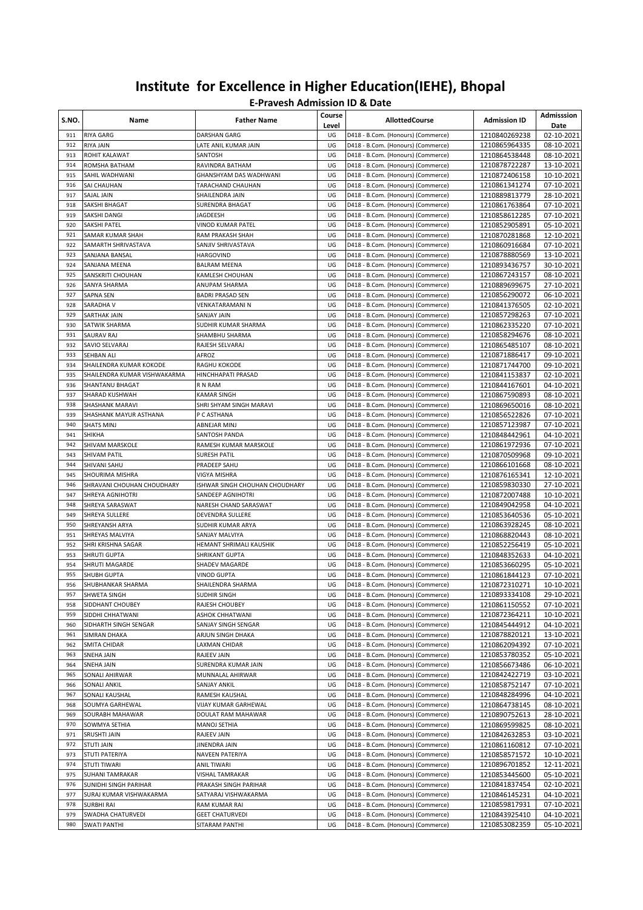| S.NO.      | Name                              | <b>Father Name</b>                               | Course<br>Level | <b>AllottedCourse</b>                                                    | <b>Admission ID</b>            | Admisssion<br>Date       |
|------------|-----------------------------------|--------------------------------------------------|-----------------|--------------------------------------------------------------------------|--------------------------------|--------------------------|
| 911        | <b>RIYA GARG</b>                  | DARSHAN GARG                                     | UG              | D418 - B.Com. (Honours) (Commerce)                                       | 1210840269238                  | 02-10-2021               |
| 912        | <b>RIYA JAIN</b>                  | LATE ANIL KUMAR JAIN                             | UG              | D418 - B.Com. (Honours) (Commerce)                                       | 1210865964335                  | 08-10-2021               |
| 913        | ROHIT KALAWAT                     | SANTOSH                                          | UG              | D418 - B.Com. (Honours) (Commerce)                                       | 1210864538448                  | 08-10-2021               |
| 914<br>915 | ROMSHA BATHAM<br>SAHIL WADHWANI   | RAVINDRA BATHAM<br><b>GHANSHYAM DAS WADHWANI</b> | UG<br>UG        | D418 - B.Com. (Honours) (Commerce)                                       | 1210878722287                  | 13-10-2021               |
| 916        | SAI CHAUHAN                       | TARACHAND CHAUHAN                                | UG              | D418 - B.Com. (Honours) (Commerce)<br>D418 - B.Com. (Honours) (Commerce) | 1210872406158<br>1210861341274 | 10-10-2021<br>07-10-2021 |
| 917        | <b>SAJAL JAIN</b>                 | SHAILENDRA JAIN                                  | UG              | D418 - B.Com. (Honours) (Commerce)                                       | 1210889813779                  | 28-10-2021               |
| 918        | SAKSHI BHAGAT                     | SURENDRA BHAGAT                                  | UG              | D418 - B.Com. (Honours) (Commerce)                                       | 1210861763864                  | 07-10-2021               |
| 919        | SAKSHI DANGI                      | JAGDEESH                                         | UG              | D418 - B.Com. (Honours) (Commerce)                                       | 1210858612285                  | 07-10-2021               |
| 920        | SAKSHI PATEL                      | <b>VINOD KUMAR PATEL</b>                         | UG              | D418 - B.Com. (Honours) (Commerce)                                       | 1210852905891                  | 05-10-2021               |
| 921        | SAMAR KUMAR SHAH                  | RAM PRAKASH SHAH                                 | UG              | D418 - B.Com. (Honours) (Commerce)                                       | 1210870281868                  | 12-10-2021               |
| 922        | SAMARTH SHRIVASTAVA               | SANJIV SHRIVASTAVA                               | UG              | D418 - B.Com. (Honours) (Commerce)                                       | 1210860916684                  | 07-10-2021               |
| 923        | SANJANA BANSAL                    | HARGOVIND                                        | UG              | D418 - B.Com. (Honours) (Commerce)                                       | 1210878880569                  | 13-10-2021               |
| 924        | SANJANA MEENA                     | <b>BALRAM MEENA</b>                              | UG              | D418 - B.Com. (Honours) (Commerce)                                       | 1210893436757                  | 30-10-2021               |
| 925        | SANSKRITI CHOUHAN                 | KAMLESH CHOUHAN                                  | UG              | D418 - B.Com. (Honours) (Commerce)                                       | 1210867243157                  | 08-10-2021               |
| 926        | SANYA SHARMA                      | ANUPAM SHARMA                                    | UG              | D418 - B.Com. (Honours) (Commerce)                                       | 1210889699675                  | 27-10-2021               |
| 927        | SAPNA SEN                         | <b>BADRI PRASAD SEN</b>                          | UG<br>UG        | D418 - B.Com. (Honours) (Commerce)                                       | 1210856290072                  | 06-10-2021               |
| 928<br>929 | SARADHA V<br>SARTHAK JAIN         | VENKATARAMANI N<br>SANJAY JAIN                   | UG              | D418 - B.Com. (Honours) (Commerce)<br>D418 - B.Com. (Honours) (Commerce) | 1210841376505<br>1210857298263 | 02-10-2021<br>07-10-2021 |
| 930        | SATWIK SHARMA                     | SUDHIR KUMAR SHARMA                              | UG              | D418 - B.Com. (Honours) (Commerce)                                       | 1210862335220                  | 07-10-2021               |
| 931        | SAURAV RAJ                        | SHAMBHU SHARMA                                   | UG              | D418 - B.Com. (Honours) (Commerce)                                       | 1210858294676                  | 08-10-2021               |
| 932        | SAVIO SELVARAJ                    | RAJESH SELVARAJ                                  | UG              | D418 - B.Com. (Honours) (Commerce)                                       | 1210865485107                  | 08-10-2021               |
| 933        | SEHBAN ALI                        | AFROZ                                            | UG              | D418 - B.Com. (Honours) (Commerce)                                       | 1210871886417                  | 09-10-2021               |
| 934        | SHAILENDRA KUMAR KOKODE           | RAGHU KOKODE                                     | UG              | D418 - B.Com. (Honours) (Commerce)                                       | 1210871744700                  | 09-10-2021               |
| 935        | SHAILENDRA KUMAR VISHWAKARMA      | HINCHHAPATI PRASAD                               | UG              | D418 - B.Com. (Honours) (Commerce)                                       | 1210841153837                  | 02-10-2021               |
| 936        | SHANTANU BHAGAT                   | R N RAM                                          | UG              | D418 - B.Com. (Honours) (Commerce)                                       | 1210844167601                  | 04-10-2021               |
| 937        | SHARAD KUSHWAH                    | <b>KAMAR SINGH</b>                               | UG              | D418 - B.Com. (Honours) (Commerce)                                       | 1210867590893                  | 08-10-2021               |
| 938        | SHASHANK MARAVI                   | SHRI SHYAM SINGH MARAVI                          | UG              | D418 - B.Com. (Honours) (Commerce)                                       | 1210869650016                  | 08-10-2021               |
| 939        | SHASHANK MAYUR ASTHANA            | P C ASTHANA                                      | UG              | D418 - B.Com. (Honours) (Commerce)                                       | 1210856522826                  | 07-10-2021               |
| 940        | <b>SHATS MINJ</b>                 | ABNEJAR MINJ                                     | UG              | D418 - B.Com. (Honours) (Commerce)                                       | 1210857123987                  | 07-10-2021               |
| 941<br>942 | <b>SHIKHA</b><br>SHIVAM MARSKOLE  | SANTOSH PANDA<br>RAMESH KUMAR MARSKOLE           | UG<br>UG        | D418 - B.Com. (Honours) (Commerce)                                       | 1210848442961                  | 04-10-2021<br>07-10-2021 |
| 943        | SHIVAM PATIL                      | <b>SURESH PATIL</b>                              | UG              | D418 - B.Com. (Honours) (Commerce)<br>D418 - B.Com. (Honours) (Commerce) | 1210861972936<br>1210870509968 | 09-10-2021               |
| 944        | SHIVANI SAHU                      | PRADEEP SAHU                                     | UG              | D418 - B.Com. (Honours) (Commerce)                                       | 1210866101668                  | 08-10-2021               |
| 945        | SHOURIMA MISHRA                   | VIGYA MISHRA                                     | UG              | D418 - B.Com. (Honours) (Commerce)                                       | 1210876165341                  | 12-10-2021               |
| 946        | SHRAVANI CHOUHAN CHOUDHARY        | ISHWAR SINGH CHOUHAN CHOUDHARY                   | UG              | D418 - B.Com. (Honours) (Commerce)                                       | 1210859830330                  | 27-10-2021               |
| 947        | SHREYA AGNIHOTRI                  | SANDEEP AGNIHOTRI                                | UG              | D418 - B.Com. (Honours) (Commerce)                                       | 1210872007488                  | 10-10-2021               |
| 948        | SHREYA SARASWAT                   | NARESH CHAND SARASWAT                            | UG              | D418 - B.Com. (Honours) (Commerce)                                       | 1210849042958                  | 04-10-2021               |
| 949        | SHREYA SULLERE                    | DEVENDRA SULLERE                                 | UG              | D418 - B.Com. (Honours) (Commerce)                                       | 1210853640536                  | 05-10-2021               |
| 950        | SHREYANSH ARYA                    | SUDHIR KUMAR ARYA                                | UG              | D418 - B.Com. (Honours) (Commerce)                                       | 1210863928245                  | 08-10-2021               |
| 951        | SHREYAS MALVIYA                   | SANJAY MALVIYA                                   | UG              | D418 - B.Com. (Honours) (Commerce)                                       | 1210868820443                  | 08-10-2021               |
| 952        | SHRI KRISHNA SAGAR                | HEMANT SHRIMALI KAUSHIK                          | UG              | D418 - B.Com. (Honours) (Commerce)                                       | 1210852256419                  | 05-10-2021               |
| 953        | <b>SHRUTI GUPTA</b>               | <b>SHRIKANT GUPTA</b>                            | UG              | D418 - B.Com. (Honours) (Commerce)                                       | 1210848352633                  | 04-10-2021               |
| 954<br>955 | SHRUTI MAGARDE                    | SHADEV MAGARDE                                   | UG<br>UG        | D418 - B.Com. (Honours) (Commerce)                                       | 1210853660295                  | 05-10-2021               |
| 956        | SHUBH GUPTA<br>SHUBHANKAR SHARMA  | <b>VINOD GUPTA</b><br>SHAILENDRA SHARMA          | UG              | D418 - B.Com. (Honours) (Commerce)<br>D418 - B.Com. (Honours) (Commerce) | 1210861844123<br>1210872310271 | 07-10-2021<br>10-10-2021 |
| 957        | SHWETA SINGH                      | SUDHIR SINGH                                     | UG              | D418 - B.Com. (Honours) (Commerce)                                       | 1210893334108                  | 29-10-2021               |
| 958        | SIDDHANT CHOUBEY                  | RAJESH CHOUBEY                                   | UG              | D418 - B.Com. (Honours) (Commerce)                                       | 1210861150552                  | 07-10-2021               |
| 959        | SIDDHI CHHATWANI                  | ASHOK CHHATWANI                                  | UG              | D418 - B.Com. (Honours) (Commerce)                                       | 1210872364211                  | 10-10-2021               |
| 960        | SIDHARTH SINGH SENGAR             | SANJAY SINGH SENGAR                              | UG              | D418 - B.Com. (Honours) (Commerce)                                       | 1210845444912                  | 04-10-2021               |
| 961        | SIMRAN DHAKA                      | ARJUN SINGH DHAKA                                | UG              | D418 - B.Com. (Honours) (Commerce)                                       | 1210878820121                  | 13-10-2021               |
| 962        | SMITA CHIDAR                      | LAXMAN CHIDAR                                    | UG              | D418 - B.Com. (Honours) (Commerce)                                       | 1210862094392                  | 07-10-2021               |
| 963        | SNEHA JAIN                        | RAJEEV JAIN                                      | UG              | D418 - B.Com. (Honours) (Commerce)                                       | 1210853780352                  | 05-10-2021               |
| 964        | SNEHA JAIN                        | SURENDRA KUMAR JAIN                              | UG              | D418 - B.Com. (Honours) (Commerce)                                       | 1210856673486                  | 06-10-2021               |
| 965        | SONALI AHIRWAR                    | MUNNALAL AHIRWAR                                 | UG              | D418 - B.Com. (Honours) (Commerce)                                       | 1210842422719                  | 03-10-2021               |
| 966        | SONALI ANKIL                      | SANJAY ANKIL                                     | UG              | D418 - B.Com. (Honours) (Commerce)                                       | 1210858752147                  | 07-10-2021               |
| 967        | SONALI KAUSHAL<br>SOUMYA GARHEWAL | RAMESH KAUSHAL                                   | UG              | D418 - B.Com. (Honours) (Commerce)                                       | 1210848284996                  | 04-10-2021               |
| 968<br>969 | SOURABH MAHAWAR                   | VIJAY KUMAR GARHEWAL<br>DOULAT RAM MAHAWAR       | UG<br>UG        | D418 - B.Com. (Honours) (Commerce)<br>D418 - B.Com. (Honours) (Commerce) | 1210864738145<br>1210890752613 | 08-10-2021<br>28-10-2021 |
| 970        | SOWMYA SETHIA                     | MANOJ SETHIA                                     | UG              | D418 - B.Com. (Honours) (Commerce)                                       | 1210869599825                  | 08-10-2021               |
| 971        | SRUSHTI JAIN                      | RAJEEV JAIN                                      | UG              | D418 - B.Com. (Honours) (Commerce)                                       | 1210842632853                  | 03-10-2021               |
| 972        | STUTI JAIN                        | JINENDRA JAIN                                    | UG              | D418 - B.Com. (Honours) (Commerce)                                       | 1210861160812                  | 07-10-2021               |
| 973        | STUTI PATERIYA                    | NAVEEN PATERIYA                                  | UG              | D418 - B.Com. (Honours) (Commerce)                                       | 1210858571572                  | 10-10-2021               |
| 974        | <b>STUTI TIWARI</b>               | ANIL TIWARI                                      | UG              | D418 - B.Com. (Honours) (Commerce)                                       | 1210896701852                  | 12-11-2021               |
| 975        | <b>SUHANI TAMRAKAR</b>            | VISHAL TAMRAKAR                                  | UG              | D418 - B.Com. (Honours) (Commerce)                                       | 1210853445600                  | 05-10-2021               |
| 976        | SUNIDHI SINGH PARIHAR             | PRAKASH SINGH PARIHAR                            | UG              | D418 - B.Com. (Honours) (Commerce)                                       | 1210841837454                  | 02-10-2021               |
| 977        | SURAJ KUMAR VISHWAKARMA           | SATYARAJ VISHWAKARMA                             | UG              | D418 - B.Com. (Honours) (Commerce)                                       | 1210846145231                  | 04-10-2021               |
| 978        | <b>SURBHI RAI</b>                 | RAM KUMAR RAI                                    | UG              | D418 - B.Com. (Honours) (Commerce)                                       | 1210859817931                  | 07-10-2021               |
| 979        | SWADHA CHATURVEDI                 | <b>GEET CHATURVEDI</b>                           | UG              | D418 - B.Com. (Honours) (Commerce)                                       | 1210843925410                  | 04-10-2021               |
| 980        | <b>SWATI PANTHI</b>               | SITARAM PANTHI                                   | UG              | D418 - B.Com. (Honours) (Commerce)                                       | 1210853082359                  | 05-10-2021               |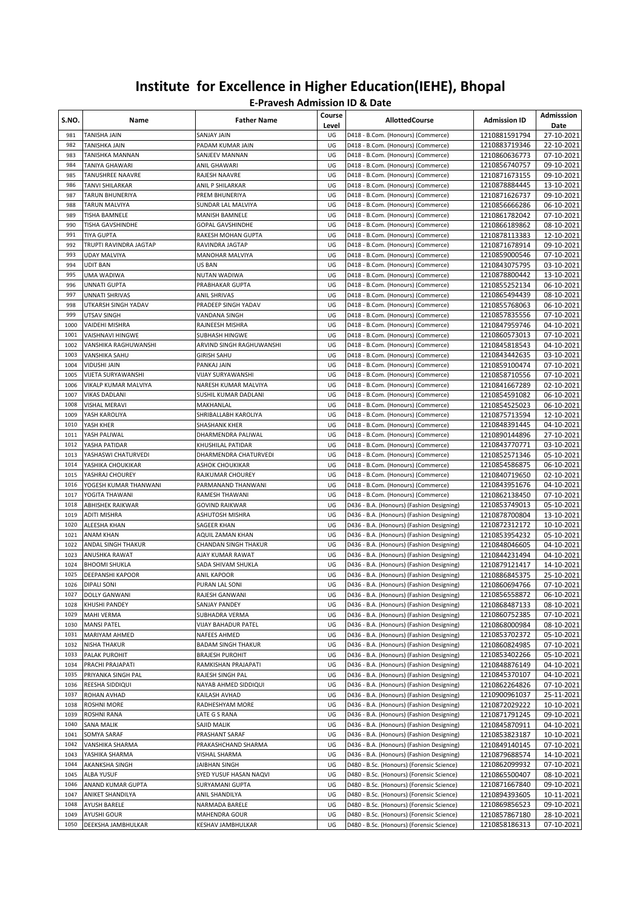| S.NO.        | Name                                            | <b>Father Name</b>                         | Course<br>Level | <b>AllottedCourse</b>                                                                  | <b>Admission ID</b>            | Admisssion<br>Date       |
|--------------|-------------------------------------------------|--------------------------------------------|-----------------|----------------------------------------------------------------------------------------|--------------------------------|--------------------------|
| 981          | <b>TANISHA JAIN</b>                             | SANJAY JAIN                                | UG              | D418 - B.Com. (Honours) (Commerce)                                                     | 1210881591794                  | 27-10-2021               |
| 982          | TANISHKA JAIN                                   | PADAM KUMAR JAIN                           | UG              | D418 - B.Com. (Honours) (Commerce)                                                     | 1210883719346                  | 22-10-2021               |
| 983          | TANISHKA MANNAN                                 | SANJEEV MANNAN                             | UG              | D418 - B.Com. (Honours) (Commerce)                                                     | 1210860636773                  | 07-10-2021               |
| 984<br>985   | TANIYA GHAWARI<br>TANUSHREE NAAVRE              | ANIL GHAWARI<br>RAJESH NAAVRE              | UG<br>UG        | D418 - B.Com. (Honours) (Commerce)<br>D418 - B.Com. (Honours) (Commerce)               | 1210856740757<br>1210871673155 | 09-10-2021<br>09-10-2021 |
| 986          | TANVI SHILARKAR                                 | ANIL P SHILARKAR                           | UG              | D418 - B.Com. (Honours) (Commerce)                                                     | 1210878884445                  | 13-10-2021               |
| 987          | TARUN BHUNERIYA                                 | PREM BHUNERIYA                             | UG              | D418 - B.Com. (Honours) (Commerce)                                                     | 1210871626737                  | 09-10-2021               |
| 988          | TARUN MALVIYA                                   | SUNDAR LAL MALVIYA                         | UG              | D418 - B.Com. (Honours) (Commerce)                                                     | 1210856666286                  | 06-10-2021               |
| 989          | TISHA BAMNELE                                   | MANISH BAMNELE                             | UG              | D418 - B.Com. (Honours) (Commerce)                                                     | 1210861782042                  | 07-10-2021               |
| 990          | TISHA GAVSHINDHE                                | <b>GOPAL GAVSHINDHE</b>                    | UG              | D418 - B.Com. (Honours) (Commerce)                                                     | 1210866189862                  | 08-10-2021               |
| 991          | <b>TIYA GUPTA</b>                               | RAKESH MOHAN GUPTA                         | UG              | D418 - B.Com. (Honours) (Commerce)                                                     | 1210878113383                  | 12-10-2021               |
| 992          | TRUPTI RAVINDRA JAGTAP                          | RAVINDRA JAGTAP                            | UG              | D418 - B.Com. (Honours) (Commerce)                                                     | 1210871678914                  | 09-10-2021               |
| 993          | <b>UDAY MALVIYA</b>                             | MANOHAR MALVIYA                            | UG              | D418 - B.Com. (Honours) (Commerce)                                                     | 1210859000546                  | 07-10-2021               |
| 994          | <b>UDIT BAN</b>                                 | US BAN                                     | UG              | D418 - B.Com. (Honours) (Commerce)                                                     | 1210843075795                  | 03-10-2021               |
| 995          | UMA WADIWA                                      | NUTAN WADIWA                               | UG              | D418 - B.Com. (Honours) (Commerce)                                                     | 1210878800442                  | 13-10-2021               |
| 996          | <b>UNNATI GUPTA</b>                             | PRABHAKAR GUPTA                            | UG              | D418 - B.Com. (Honours) (Commerce)                                                     | 1210855252134                  | 06-10-2021               |
| 997          | <b>UNNATI SHRIVAS</b>                           | <b>ANIL SHRIVAS</b>                        | UG              | D418 - B.Com. (Honours) (Commerce)                                                     | 1210865494439                  | 08-10-2021               |
| 998<br>999   | UTKARSH SINGH YADAV<br>UTSAV SINGH              | PRADEEP SINGH YADAV<br>VANDANA SINGH       | UG<br>UG        | D418 - B.Com. (Honours) (Commerce)<br>D418 - B.Com. (Honours) (Commerce)               | 1210855768063<br>1210857835556 | 06-10-2021<br>07-10-2021 |
| 1000         | VAIDEHI MISHRA                                  | RAJNEESH MISHRA                            | UG              | D418 - B.Com. (Honours) (Commerce)                                                     | 1210847959746                  | 04-10-2021               |
| 1001         | VAISHNAVI HINGWE                                | SUBHASH HINGWE                             | UG              | D418 - B.Com. (Honours) (Commerce)                                                     | 1210860573013                  | 07-10-2021               |
| 1002         | VANSHIKA RAGHUWANSHI                            | ARVIND SINGH RAGHUWANSHI                   | UG              | D418 - B.Com. (Honours) (Commerce)                                                     | 1210845818543                  | 04-10-2021               |
| 1003         | VANSHIKA SAHU                                   | <b>GIRISH SAHU</b>                         | UG              | D418 - B.Com. (Honours) (Commerce)                                                     | 1210843442635                  | 03-10-2021               |
| 1004         | VIDUSHI JAIN                                    | PANKAJ JAIN                                | UG              | D418 - B.Com. (Honours) (Commerce)                                                     | 1210859100474                  | 07-10-2021               |
| 1005         | VIJETA SURYAWANSHI                              | VIJAY SURYAWANSHI                          | UG              | D418 - B.Com. (Honours) (Commerce)                                                     | 1210858710556                  | 07-10-2021               |
| 1006         | VIKALP KUMAR MALVIYA                            | NARESH KUMAR MALVIYA                       | UG              | D418 - B.Com. (Honours) (Commerce)                                                     | 1210841667289                  | 02-10-2021               |
| 1007         | <b>VIKAS DADLANI</b>                            | SUSHIL KUMAR DADLANI                       | UG              | D418 - B.Com. (Honours) (Commerce)                                                     | 1210854591082                  | 06-10-2021               |
| 1008         | <b>VISHAL MERAVI</b>                            | MAKHANLAL                                  | UG              | D418 - B.Com. (Honours) (Commerce)                                                     | 1210854525023                  | 06-10-2021               |
| 1009         | YASH KAROLIYA                                   | SHRIBALLABH KAROLIYA                       | UG              | D418 - B.Com. (Honours) (Commerce)                                                     | 1210875713594                  | 12-10-2021               |
| 1010         | YASH KHER                                       | SHASHANK KHER                              | UG              | D418 - B.Com. (Honours) (Commerce)                                                     | 1210848391445                  | 04-10-2021               |
| 1011<br>1012 | YASH PALIWAL                                    | DHARMENDRA PALIWAL                         | UG<br>UG        | D418 - B.Com. (Honours) (Commerce)                                                     | 1210890144896                  | 27-10-2021<br>03-10-2021 |
| 1013         | YASHA PATIDAR<br>YASHASWI CHATURVEDI            | KHUSHILAL PATIDAR<br>DHARMENDRA CHATURVEDI | UG              | D418 - B.Com. (Honours) (Commerce)<br>D418 - B.Com. (Honours) (Commerce)               | 1210843770771<br>1210852571346 | 05-10-2021               |
| 1014         | YASHIKA CHOUKIKAR                               | ASHOK CHOUKIKAR                            | UG              | D418 - B.Com. (Honours) (Commerce)                                                     | 1210854586875                  | 06-10-2021               |
| 1015         | YASHRAJ CHOUREY                                 | RAJKUMAR CHOUREY                           | UG              | D418 - B.Com. (Honours) (Commerce)                                                     | 1210840719650                  | 02-10-2021               |
| 1016         | YOGESH KUMAR THANWANI                           | PARMANAND THANWANI                         | UG              | D418 - B.Com. (Honours) (Commerce)                                                     | 1210843951676                  | 04-10-2021               |
| 1017         | YOGITA THAWANI                                  | RAMESH THAWANI                             | UG              | D418 - B.Com. (Honours) (Commerce)                                                     | 1210862138450                  | 07-10-2021               |
| 1018         | ABHISHEK RAIKWAR                                | GOVIND RAIKWAR                             | UG              | D436 - B.A. (Honours) (Fashion Designing)                                              | 1210853749013                  | 05-10-2021               |
| 1019         | <b>ADITI MISHRA</b>                             | ASHUTOSH MISHRA                            | UG              | D436 - B.A. (Honours) (Fashion Designing)                                              | 1210878700804                  | 13-10-2021               |
| 1020         | <b>ALEESHA KHAN</b>                             | SAGEER KHAN                                | UG              | D436 - B.A. (Honours) (Fashion Designing)                                              | 1210872312172                  | 10-10-2021               |
| 1021         | <b>ANAM KHAN</b>                                | AQUIL ZAMAN KHAN                           | UG              | D436 - B.A. (Honours) (Fashion Designing)                                              | 1210853954232                  | 05-10-2021               |
| 1022         | ANDAL SINGH THAKUR                              | CHANDAN SINGH THAKUR                       | UG              | D436 - B.A. (Honours) (Fashion Designing)                                              | 1210848046605                  | 04-10-2021               |
| 1023         | ANUSHKA RAWAT                                   | AJAY KUMAR RAWAT                           | UG              | D436 - B.A. (Honours) (Fashion Designing)                                              | 1210844231494                  | 04-10-2021               |
| 1024<br>1025 | <b>BHOOMI SHUKLA</b><br><b>DEEPANSHI KAPOOR</b> | SADA SHIVAM SHUKLA                         | UG<br>UG        | D436 - B.A. (Honours) (Fashion Designing)                                              | 1210879121417                  | 14-10-2021               |
| 1026         | <b>DIPALI SONI</b>                              | ANIL KAPOOR<br>PURAN LAL SONI              | UG              | D436 - B.A. (Honours) (Fashion Designing)<br>D436 - B.A. (Honours) (Fashion Designing) | 1210886845375<br>1210860694766 | 25-10-2021<br>07-10-2021 |
| 1027         | <b>DOLLY GANWANI</b>                            | RAJESH GANWANI                             | UG              | D436 - B.A. (Honours) (Fashion Designing)                                              | 1210856558872                  | 06-10-2021               |
| 1028         | <b>KHUSHI PANDEY</b>                            | SANJAY PANDEY                              | UG              | D436 - B.A. (Honours) (Fashion Designing)                                              | 1210868487133                  | 08-10-2021               |
| 1029         | <b>MAHI VERMA</b>                               | SUBHADRA VERMA                             | UG              | D436 - B.A. (Honours) (Fashion Designing)                                              | 1210860752385                  | 07-10-2021               |
| 1030         | <b>MANSI PATEL</b>                              | VIJAY BAHADUR PATEL                        | UG              | D436 - B.A. (Honours) (Fashion Designing)                                              | 1210868000984                  | 08-10-2021               |
| 1031         | MARIYAM AHMED                                   | NAFEES AHMED                               | UG              | D436 - B.A. (Honours) (Fashion Designing)                                              | 1210853702372                  | 05-10-2021               |
| 1032         | NISHA THAKUR                                    | <b>BADAM SINGH THAKUR</b>                  | UG              | D436 - B.A. (Honours) (Fashion Designing)                                              | 1210860824985                  | 07-10-2021               |
| 1033         | PALAK PUROHIT                                   | <b>BRAJESH PUROHIT</b>                     | UG              | D436 - B.A. (Honours) (Fashion Designing)                                              | 1210853402266                  | 05-10-2021               |
| 1034         | PRACHI PRAJAPATI                                | RAMKISHAN PRAJAPATI                        | UG              | D436 - B.A. (Honours) (Fashion Designing)                                              | 1210848876149                  | 04-10-2021               |
| 1035         | PRIYANKA SINGH PAL                              | RAJESH SINGH PAL                           | UG              | D436 - B.A. (Honours) (Fashion Designing)                                              | 1210845370107                  | 04-10-2021               |
| 1036         | REESHA SIDDIQUI                                 | NAYAB AHMED SIDDIQUI                       | UG              | D436 - B.A. (Honours) (Fashion Designing)                                              | 1210862264826                  | 07-10-2021               |
| 1037         | ROHAN AVHAD                                     | KAILASH AVHAD<br>RADHESHYAM MORE           | UG<br>UG        | D436 - B.A. (Honours) (Fashion Designing)                                              | 1210900961037                  | 25-11-2021               |
| 1038<br>1039 | <b>ROSHNI MORE</b><br>ROSHNI RANA               | LATE G S RANA                              | UG              | D436 - B.A. (Honours) (Fashion Designing)<br>D436 - B.A. (Honours) (Fashion Designing) | 1210872029222<br>1210871791245 | 10-10-2021<br>09-10-2021 |
| 1040         | SANA MALIK                                      | SAJID MALIK                                | UG              | D436 - B.A. (Honours) (Fashion Designing)                                              | 1210845870911                  | 04-10-2021               |
| 1041         | SOMYA SARAF                                     | PRASHANT SARAF                             | UG              | D436 - B.A. (Honours) (Fashion Designing)                                              | 1210853823187                  | 10-10-2021               |
| 1042         | VANSHIKA SHARMA                                 | PRAKASHCHAND SHARMA                        | UG              | D436 - B.A. (Honours) (Fashion Designing)                                              | 1210849140145                  | 07-10-2021               |
| 1043         | YASHIKA SHARMA                                  | VISHAL SHARMA                              | UG              | D436 - B.A. (Honours) (Fashion Designing)                                              | 1210879688574                  | 14-10-2021               |
| 1044         | AKANKSHA SINGH                                  | JAIBHAN SINGH                              | UG              | D480 - B.Sc. (Honours) (Forensic Science)                                              | 1210862099932                  | 07-10-2021               |
| 1045         | ALBA YUSUF                                      | SYED YUSUF HASAN NAQVI                     | UG              | D480 - B.Sc. (Honours) (Forensic Science)                                              | 1210865500407                  | 08-10-2021               |
| 1046         | ANAND KUMAR GUPTA                               | SURYAMANI GUPTA                            | UG              | D480 - B.Sc. (Honours) (Forensic Science)                                              | 1210871667840                  | 09-10-2021               |
| 1047         | ANIKET SHANDILYA                                | ANIL SHANDILYA                             | UG              | D480 - B.Sc. (Honours) (Forensic Science)                                              | 1210894393605                  | 10-11-2021               |
| 1048         | <b>AYUSH BARELE</b>                             | NARMADA BARELE                             | UG              | D480 - B.Sc. (Honours) (Forensic Science)                                              | 1210869856523                  | 09-10-2021               |
| 1049         | AYUSHI GOUR                                     | MAHENDRA GOUR                              | UG<br>UG        | D480 - B.Sc. (Honours) (Forensic Science)                                              | 1210857867180                  | 28-10-2021               |
| 1050         | DEEKSHA JAMBHULKAR                              | KESHAV JAMBHULKAR                          |                 | D480 - B.Sc. (Honours) (Forensic Science)                                              | 1210858186313                  | 07-10-2021               |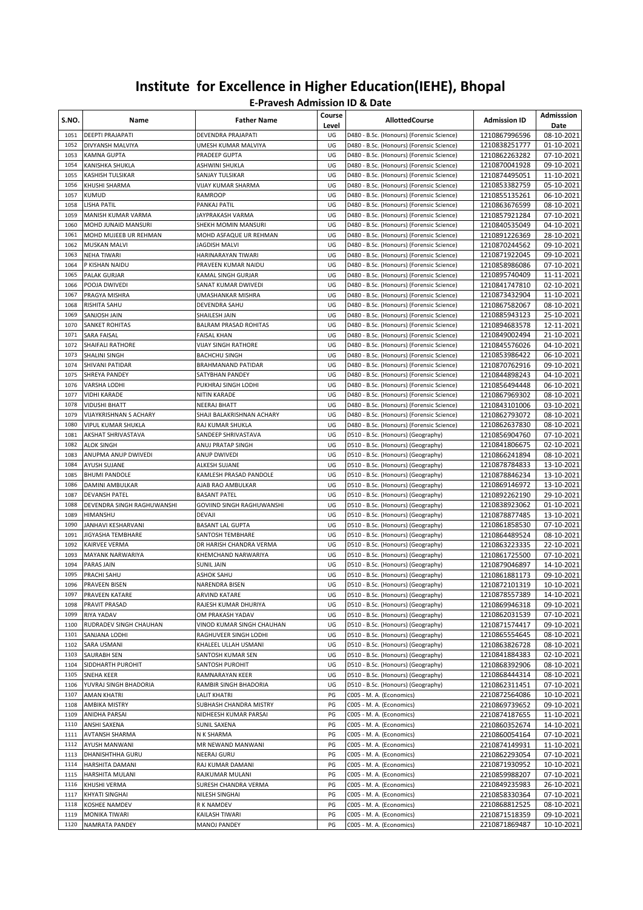| S.NO.        | Name                                      | <b>Father Name</b>                                 | Course<br>Level | <b>AllottedCourse</b>                                                                  | <b>Admission ID</b>            | Admisssion<br>Date       |
|--------------|-------------------------------------------|----------------------------------------------------|-----------------|----------------------------------------------------------------------------------------|--------------------------------|--------------------------|
| 1051         | DEEPTI PRAJAPATI                          | DEVENDRA PRAJAPATI                                 | UG              | D480 - B.Sc. (Honours) (Forensic Science)                                              | 1210867996596                  | 08-10-2021               |
| 1052         | DIVYANSH MALVIYA                          | UMESH KUMAR MALVIYA                                | UG              | D480 - B.Sc. (Honours) (Forensic Science)                                              | 1210838251777                  | 01-10-2021               |
| 1053         | <b>KAMNA GUPTA</b>                        | PRADEEP GUPTA                                      | UG              | D480 - B.Sc. (Honours) (Forensic Science)                                              | 1210862263282                  | 07-10-2021               |
| 1054         | KANISHKA SHUKLA                           | ASHWINI SHUKLA                                     | UG              | D480 - B.Sc. (Honours) (Forensic Science)                                              | 1210870041928                  | 09-10-2021               |
| 1055         | <b>KASHISH TULSIKAR</b>                   | SANJAY TULSIKAR                                    | UG              | D480 - B.Sc. (Honours) (Forensic Science)                                              | 1210874495051                  | 11-10-2021               |
| 1056         | KHUSHI SHARMA                             | <b>VIJAY KUMAR SHARMA</b>                          | UG              | D480 - B.Sc. (Honours) (Forensic Science)                                              | 1210853382759                  | 05-10-2021               |
| 1057         | KUMUD                                     | <b>RAMROOP</b>                                     | UG              | D480 - B.Sc. (Honours) (Forensic Science)                                              | 1210855135261                  | 06-10-2021               |
| 1058         | LISHA PATIL                               | PANKAJ PATIL                                       | UG              | D480 - B.Sc. (Honours) (Forensic Science)                                              | 1210863676599                  | 08-10-2021               |
| 1059         | MANISH KUMAR VARMA                        | JAYPRAKASH VARMA                                   | UG              | D480 - B.Sc. (Honours) (Forensic Science)                                              | 1210857921284                  | 07-10-2021               |
| 1060         | MOHD JUNAID MANSURI                       | SHEKH MOMIN MANSURI                                | UG              | D480 - B.Sc. (Honours) (Forensic Science)                                              | 1210840535049                  | 04-10-2021               |
| 1061         | MOHD MUJEEB UR REHMAN                     | MOHD ASFAQUE UR REHMAN                             | UG<br>UG        | D480 - B.Sc. (Honours) (Forensic Science)                                              | 1210891226369                  | 28-10-2021               |
| 1062<br>1063 | <b>MUSKAN MALVI</b><br><b>NEHA TIWARI</b> | JAGDISH MALVI<br>HARINARAYAN TIWARI                | UG              | D480 - B.Sc. (Honours) (Forensic Science)                                              | 1210870244562<br>1210871922045 | 09-10-2021<br>09-10-2021 |
| 1064         | P KISHAN NAIDU                            | PRAVEEN KUMAR NAIDU                                | UG              | D480 - B.Sc. (Honours) (Forensic Science)                                              |                                |                          |
| 1065         | <b>PALAK GURJAR</b>                       | KAMAL SINGH GURJAR                                 | UG              | D480 - B.Sc. (Honours) (Forensic Science)<br>D480 - B.Sc. (Honours) (Forensic Science) | 1210858986086<br>1210895740409 | 07-10-2021<br>11-11-2021 |
| 1066         | POOJA DWIVEDI                             | SANAT KUMAR DWIVEDI                                | UG              | D480 - B.Sc. (Honours) (Forensic Science)                                              | 1210841747810                  | 02-10-2021               |
| 1067         | PRAGYA MISHRA                             | UMASHANKAR MISHRA                                  | UG              | D480 - B.Sc. (Honours) (Forensic Science)                                              | 1210873432904                  | 11-10-2021               |
| 1068         | RISHITA SAHU                              | DEVENDRA SAHU                                      | UG              | D480 - B.Sc. (Honours) (Forensic Science)                                              | 1210867582067                  | 08-10-2021               |
| 1069         | SANJOSH JAIN                              | SHAILESH JAIN                                      | UG              | D480 - B.Sc. (Honours) (Forensic Science)                                              | 1210885943123                  | 25-10-2021               |
| 1070         | SANKET ROHITAS                            | <b>BALRAM PRASAD ROHITAS</b>                       | UG              | D480 - B.Sc. (Honours) (Forensic Science)                                              | 1210894683578                  | 12-11-2021               |
| 1071         | <b>SARA FAISAL</b>                        | FAISAL KHAN                                        | UG              | D480 - B.Sc. (Honours) (Forensic Science)                                              | 1210849002494                  | 21-10-2021               |
| 1072         | SHAIFALI RATHORE                          | VIJAY SINGH RATHORE                                | UG              | D480 - B.Sc. (Honours) (Forensic Science)                                              | 1210845576026                  | 04-10-2021               |
| 1073         | SHALINI SINGH                             | <b>BACHCHU SINGH</b>                               | UG              | D480 - B.Sc. (Honours) (Forensic Science)                                              | 1210853986422                  | 06-10-2021               |
| 1074         | SHIVANI PATIDAR                           | BRAHMANAND PATIDAR                                 | UG              | D480 - B.Sc. (Honours) (Forensic Science)                                              | 1210870762916                  | 09-10-2021               |
| 1075         | SHREYA PANDEY                             | SATYBHAN PANDEY                                    | UG              | D480 - B.Sc. (Honours) (Forensic Science)                                              | 1210844898243                  | 04-10-2021               |
| 1076         | VARSHA LODHI                              | PUKHRAJ SINGH LODHI                                | UG              | D480 - B.Sc. (Honours) (Forensic Science)                                              | 1210856494448                  | 06-10-2021               |
| 1077         | <b>VIDHI KARADE</b>                       | NITIN KARADE                                       | UG              | D480 - B.Sc. (Honours) (Forensic Science)                                              | 1210867969302                  | 08-10-2021               |
| 1078         | <b>VIDUSHI BHATT</b>                      | NEERAJ BHATT                                       | UG              | D480 - B.Sc. (Honours) (Forensic Science)                                              | 1210843101006                  | 03-10-2021               |
| 1079         | <b>VIJAYKRISHNAN S ACHARY</b>             | SHAJI BALAKRISHNAN ACHARY                          | UG              | D480 - B.Sc. (Honours) (Forensic Science)                                              | 1210862793072                  | 08-10-2021               |
| 1080         | VIPUL KUMAR SHUKLA                        | RAJ KUMAR SHUKLA                                   | UG              | D480 - B.Sc. (Honours) (Forensic Science)                                              | 1210862637830                  | 08-10-2021               |
| 1081         | AKSHAT SHRIVASTAVA                        | SANDEEP SHRIVASTAVA                                | UG              | D510 - B.Sc. (Honours) (Geography)                                                     | 1210856904760                  | 07-10-2021               |
| 1082         | <b>ALOK SINGH</b>                         | ANUJ PRATAP SINGH                                  | UG              | D510 - B.Sc. (Honours) (Geography)                                                     | 1210841806675                  | 02-10-2021               |
| 1083         | ANUPMA ANUP DWIVEDI                       | ANUP DWIVEDI                                       | UG              | D510 - B.Sc. (Honours) (Geography)                                                     | 1210866241894                  | 08-10-2021               |
| 1084         | <b>AYUSH SUJANE</b>                       | ALKESH SUJANE                                      | UG              | D510 - B.Sc. (Honours) (Geography)                                                     | 1210878784833                  | 13-10-2021               |
| 1085         | <b>BHUMI PANDOLE</b>                      | KAMLESH PRASAD PANDOLE                             | UG              | D510 - B.Sc. (Honours) (Geography)                                                     | 1210878846234                  | 13-10-2021               |
| 1086         | DAMINI AMBULKAR                           | AJAB RAO AMBULKAR                                  | UG              | D510 - B.Sc. (Honours) (Geography)                                                     | 1210869146972                  | 13-10-2021               |
| 1087         | <b>DEVANSH PATEL</b>                      | <b>BASANT PATEL</b>                                | UG              | D510 - B.Sc. (Honours) (Geography)                                                     | 1210892262190                  | 29-10-2021               |
| 1088         | DEVENDRA SINGH RAGHUWANSHI                | GOVIIND SINGH RAGHUWANSHI                          | UG              | D510 - B.Sc. (Honours) (Geography)                                                     | 1210838923062                  | 01-10-2021               |
| 1089         | <b>HIMANSHU</b>                           | <b>DEVAJI</b>                                      | UG              | D510 - B.Sc. (Honours) (Geography)                                                     | 1210878877485                  | 13-10-2021               |
| 1090         | JANHAVI KESHARVANI                        | <b>BASANT LAL GUPTA</b>                            | UG              | D510 - B.Sc. (Honours) (Geography)                                                     | 1210861858530                  | 07-10-2021               |
| 1091         | JIGYASHA TEMBHARE                         | SANTOSH TEMBHARE                                   | UG              | D510 - B.Sc. (Honours) (Geography)                                                     | 1210864489524                  | 08-10-2021               |
| 1092         | <b>KAIRVEE VERMA</b>                      | DR HARISH CHANDRA VERMA                            | UG              | D510 - B.Sc. (Honours) (Geography)                                                     | 1210863223335                  | 22-10-2021               |
| 1093         | <b>MAYANK NARWARIYA</b>                   | KHEMCHAND NARWARIYA                                | UG              | D510 - B.Sc. (Honours) (Geography)                                                     | 1210861725500                  | 07-10-2021               |
| 1094         | PARAS JAIN                                | <b>SUNIL JAIN</b>                                  | UG              | D510 - B.Sc. (Honours) (Geography)                                                     | 1210879046897                  | 14-10-2021               |
| 1095         | PRACHI SAHU                               | ASHOK SAHU                                         | UG              | D510 - B.Sc. (Honours) (Geography)                                                     | 1210861881173                  | 09-10-2021               |
| 1096         | PRAVEEN BISEN                             | NARENDRA BISEN                                     | UG              | D510 - B.Sc. (Honours) (Geography)                                                     | 1210872101319                  | 10-10-2021               |
|              | 1097 PRAVEEN KATARE                       | ARVIND KATARE                                      | UG              | D510 - B.Sc. (Honours) (Geography)                                                     | 1210878557389                  | 14-10-2021               |
| 1098         | PRAVIT PRASAD                             | RAJESH KUMAR DHURIYA<br>OM PRAKASH YADAV           | UG              | D510 - B.Sc. (Honours) (Geography)<br>D510 - B.Sc. (Honours) (Geography)               | 1210869946318                  | 09-10-2021               |
| 1099<br>1100 | RIYA YADAV                                |                                                    | UG              |                                                                                        | 1210862031539                  | 07-10-2021               |
|              | RUDRADEV SINGH CHAUHAN                    | VINOD KUMAR SINGH CHAUHAN<br>RAGHUVEER SINGH LODHI | UG              | D510 - B.Sc. (Honours) (Geography)                                                     | 1210871574417                  | 09-10-2021               |
| 1101<br>1102 | SANJANA LODHI<br>SARA USMANI              | KHALEEL ULLAH USMANI                               | UG<br>UG        | D510 - B.Sc. (Honours) (Geography)<br>D510 - B.Sc. (Honours) (Geography)               | 1210865554645<br>1210863826728 | 08-10-2021<br>08-10-2021 |
| 1103         | <b>SAURABH SEN</b>                        | SANTOSH KUMAR SEN                                  | UG              | D510 - B.Sc. (Honours) (Geography)                                                     | 1210841884383                  | 02-10-2021               |
| 1104         | SIDDHARTH PUROHIT                         | SANTOSH PUROHIT                                    | UG              | D510 - B.Sc. (Honours) (Geography)                                                     | 1210868392906                  | 08-10-2021               |
| 1105         | <b>SNEHA KEER</b>                         | RAMNARAYAN KEER                                    | UG              | D510 - B.Sc. (Honours) (Geography)                                                     | 1210868444314                  | 08-10-2021               |
| 1106         | YUVRAJ SINGH BHADORIA                     | RAMBIR SINGH BHADORIA                              | UG              | D510 - B.Sc. (Honours) (Geography)                                                     | 1210862311451                  | 07-10-2021               |
| 1107         | <b>AMAN KHATRI</b>                        | LALIT KHATRI                                       | PG              | C005 - M. A. (Economics)                                                               | 2210872564086                  | 10-10-2021               |
| 1108         | AMBIKA MISTRY                             | SUBHASH CHANDRA MISTRY                             | PG              | C005 - M. A. (Economics)                                                               | 2210869739652                  | 09-10-2021               |
| 1109         | ANIDHA PARSAI                             | NIDHEESH KUMAR PARSAI                              | PG              | C005 - M. A. (Economics)                                                               | 2210874187655                  | 11-10-2021               |
| 1110         | ANSHI SAXENA                              | SUNIL SAXENA                                       | PG              | C005 - M. A. (Economics)                                                               | 2210860352674                  | 14-10-2021               |
| 1111         | <b>AVTANSH SHARMA</b>                     | N K SHARMA                                         | PG              | C005 - M. A. (Economics)                                                               | 2210860054164                  | 07-10-2021               |
| 1112         | <b>AYUSH MANWANI</b>                      | MR NEWAND MANWANI                                  | PG              | C005 - M. A. (Economics)                                                               | 2210874149931                  | 11-10-2021               |
| 1113         | DHANISHTHHA GURU                          | NEERAJ GURU                                        | PG              | C005 - M. A. (Economics)                                                               | 2210862293054                  | 07-10-2021               |
| 1114         | HARSHITA DAMANI                           | RAJ KUMAR DAMANI                                   | PG              | C005 - M. A. (Economics)                                                               | 2210871930952                  | 10-10-2021               |
| 1115         | HARSHITA MULANI                           | RAJKUMAR MULANI                                    | PG              | C005 - M. A. (Economics)                                                               | 2210859988207                  | 07-10-2021               |
| 1116         | KHUSHI VERMA                              | SURESH CHANDRA VERMA                               | PG              | C005 - M. A. (Economics)                                                               | 2210849235983                  | 26-10-2021               |
| 1117         | <b>KHYATI SINGHAI</b>                     | NILESH SINGHAI                                     | PG              | C005 - M. A. (Economics)                                                               | 2210858330364                  | 07-10-2021               |
| 1118         | KOSHEE NAMDEV                             | R K NAMDEV                                         | PG              | C005 - M. A. (Economics)                                                               | 2210868812525                  | 08-10-2021               |
| 1119         | <b>MONIKA TIWARI</b>                      | KAILASH TIWARI                                     | PG              | C005 - M. A. (Economics)                                                               | 2210871518359                  | 09-10-2021               |
| 1120         | NAMRATA PANDEY                            | MANOJ PANDEY                                       | PG              | C005 - M. A. (Economics)                                                               | 2210871869487                  | 10-10-2021               |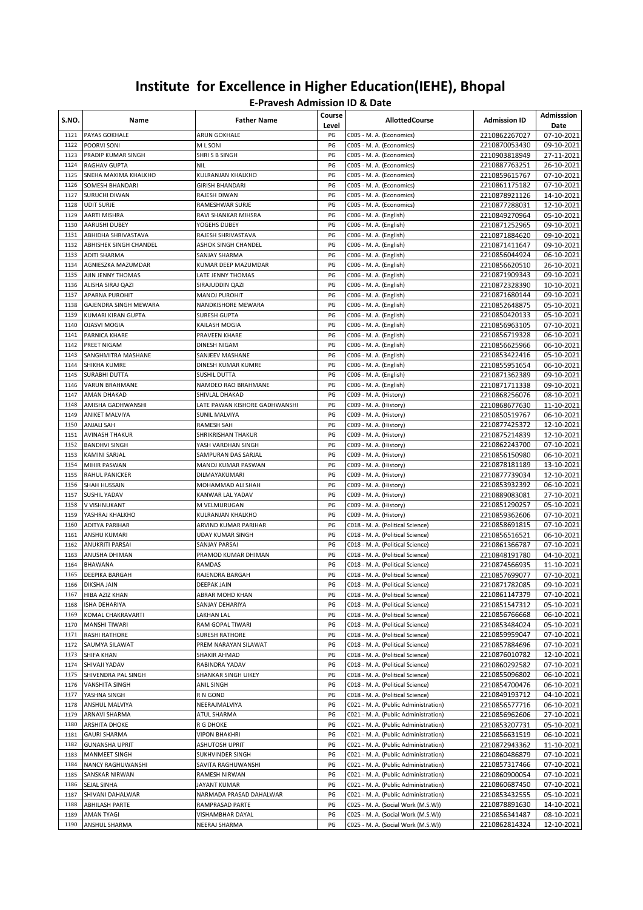| S.NO.        | Name                               | <b>Father Name</b>                     | Course<br>Level | <b>AllottedCourse</b>                                                        | <b>Admission ID</b>            | Admisssion<br>Date       |
|--------------|------------------------------------|----------------------------------------|-----------------|------------------------------------------------------------------------------|--------------------------------|--------------------------|
| 1121         | PAYAS GOKHALE                      | ARUN GOKHALE                           | PG              | C005 - M. A. (Economics)                                                     | 2210862267027                  | 07-10-2021               |
| 1122         | POORVI SONI                        | M L SONI                               | PG              | C005 - M. A. (Economics)                                                     | 2210870053430                  | 09-10-2021               |
| 1123         | PRADIP KUMAR SINGH                 | SHRIS B SINGH                          | PG              | C005 - M. A. (Economics)                                                     | 2210903818949                  | 27-11-2021               |
| 1124         | RAGHAV GUPTA                       | NIL                                    | PG              | C005 - M. A. (Economics)                                                     | 2210887763251                  | 26-10-2021               |
| 1125         | SNEHA MAXIMA KHALKHO               | KULRANJAN KHALKHO                      | PG              | C005 - M. A. (Economics)                                                     | 2210859615767                  | 07-10-2021               |
| 1126<br>1127 | SOMESH BHANDARI<br>SURUCHI DIWAN   | <b>GIRISH BHANDARI</b><br>RAJESH DIWAN | PG<br>PG        | C005 - M. A. (Economics)<br>C005 - M. A. (Economics)                         | 2210861175182<br>2210878921126 | 07-10-2021<br>14-10-2021 |
| 1128         | <b>UDIT SURJE</b>                  | RAMESHWAR SURJE                        | PG              | C005 - M. A. (Economics)                                                     | 2210877288031                  | 12-10-2021               |
| 1129         | AARTI MISHRA                       | RAVI SHANKAR MIHSRA                    | PG              | C006 - M. A. (English)                                                       | 2210849270964                  | 05-10-2021               |
| 1130         | AARUSHI DUBEY                      | YOGEHS DUBEY                           | PG              | C006 - M. A. (English)                                                       | 2210871252965                  | 09-10-2021               |
| 1131         | ABHIDHA SHRIVASTAVA                | RAJESH SHRIVASTAVA                     | PG              | C006 - M. A. (English)                                                       | 2210871884620                  | 09-10-2021               |
| 1132         | ABHISHEK SINGH CHANDEL             | ASHOK SINGH CHANDEL                    | PG              | C006 - M. A. (English)                                                       | 2210871411647                  | 09-10-2021               |
| 1133         | ADITI SHARMA                       | SANJAY SHARMA                          | PG              | C006 - M. A. (English)                                                       | 2210856044924                  | 06-10-2021               |
| 1134         | AGNIESZKA MAZUMDAR                 | KUMAR DEEP MAZUMDAR                    | PG              | C006 - M. A. (English)                                                       | 2210856620510                  | 26-10-2021               |
| 1135         | AJIN JENNY THOMAS                  | LATE JENNY THOMAS                      | PG              | C006 - M. A. (English)                                                       | 2210871909343                  | 09-10-2021               |
| 1136         | ALISHA SIRAJ QAZI                  | SIRAJUDDIN QAZI                        | PG              | C006 - M. A. (English)                                                       | 2210872328390                  | 10-10-2021               |
| 1137         | APARNA PUROHIT                     | <b>MANOJ PUROHIT</b>                   | PG              | C006 - M. A. (English)                                                       | 2210871680144                  | 09-10-2021               |
| 1138         | GAJENDRA SINGH MEWARA              | NANDKISHORE MEWARA                     | PG              | C006 - M. A. (English)                                                       | 2210852648875                  | 05-10-2021               |
| 1139         | KUMARI KIRAN GUPTA                 | SURESH GUPTA                           | PG              | C006 - M. A. (English)                                                       | 2210850420133                  | 05-10-2021               |
| 1140         | <b>OJASVI MOGIA</b>                | KAILASH MOGIA                          | PG              | C006 - M. A. (English)                                                       | 2210856963105                  | 07-10-2021               |
| 1141         | PARNICA KHARE                      | PRAVEEN KHARE                          | PG              | C006 - M. A. (English)                                                       | 2210856719328                  | 06-10-2021               |
| 1142         | PREET NIGAM                        | DINESH NIGAM                           | PG              | C006 - M. A. (English)                                                       | 2210856625966                  | 06-10-2021               |
| 1143         | SANGHMITRA MASHANE                 | SANJEEV MASHANE                        | PG              | C006 - M. A. (English)                                                       | 2210853422416                  | 05-10-2021               |
| 1144         | SHIKHA KUMRE                       | DINESH KUMAR KUMRE                     | PG              | C006 - M. A. (English)                                                       | 2210855951654                  | 06-10-2021               |
| 1145         | SURABHI DUTTA                      | SUSHIL DUTTA                           | PG              | C006 - M. A. (English)                                                       | 2210871362389                  | 09-10-2021               |
| 1146<br>1147 | VARUN BRAHMANE<br>AMAN DHAKAD      | NAMDEO RAO BRAHMANE<br>SHIVLAL DHAKAD  | PG<br>PG        | C006 - M. A. (English)                                                       | 2210871711338<br>2210868256076 | 09-10-2021<br>08-10-2021 |
| 1148         | AMISHA GADHWANSHI                  | LATE PAWAN KISHORE GADHWANSHI          | PG              | C009 - M. A. (History)<br>C009 - M. A. (History)                             | 2210868677630                  | 11-10-2021               |
| 1149         | ANIKET MALVIYA                     | SUNIL MALVIYA                          | PG              | C009 - M. A. (History)                                                       | 2210850519767                  | 06-10-2021               |
| 1150         | ANJALI SAH                         | RAMESH SAH                             | PG              | C009 - M. A. (History)                                                       | 2210877425372                  | 12-10-2021               |
| 1151         | <b>AVINASH THAKUR</b>              | SHRIKRISHAN THAKUR                     | PG              | C009 - M. A. (History)                                                       | 2210875214839                  | 12-10-2021               |
| 1152         | <b>BANDHVI SINGH</b>               | YASH VARDHAN SINGH                     | PG              | C009 - M. A. (History)                                                       | 2210862243700                  | 07-10-2021               |
| 1153         | KAMINI SARJAL                      | SAMPURAN DAS SARJAL                    | PG              | C009 - M. A. (History)                                                       | 2210856150980                  | 06-10-2021               |
| 1154         | MIHIR PASWAN                       | MANOJ KUMAR PASWAN                     | PG              | C009 - M. A. (History)                                                       | 2210878181189                  | 13-10-2021               |
| 1155         | RAHUL PANICKER                     | DILMAYAKUMARI                          | PG              | C009 - M. A. (History)                                                       | 2210877739034                  | 12-10-2021               |
| 1156         | SHAH HUSSAIN                       | MOHAMMAD ALI SHAH                      | PG              | C009 - M. A. (History)                                                       | 2210853932392                  | 06-10-2021               |
| 1157         | SUSHIL YADAV                       | KANWAR LAL YADAV                       | PG              | C009 - M. A. (History)                                                       | 2210889083081                  | 27-10-2021               |
| 1158         | V VISHNUKANT                       | M VELMURUGAN                           | PG              | C009 - M. A. (History)                                                       | 2210851290257                  | 05-10-2021               |
| 1159         | YASHRAJ KHALKHO                    | KULRANJAN KHALKHO                      | PG              | C009 - M. A. (History)                                                       | 2210859362606                  | 07-10-2021               |
| 1160         | ADITYA PARIHAR                     | ARVIND KUMAR PARIHAR                   | PG              | C018 - M. A. (Political Science)                                             | 2210858691815                  | 07-10-2021               |
| 1161         | ANSHU KUMARI                       | <b>UDAY KUMAR SINGH</b>                | PG              | C018 - M. A. (Political Science)                                             | 2210856516521                  | 06-10-2021               |
| 1162         | ANUKRITI PARSAI                    | <b>SANJAY PARSAI</b>                   | PG              | C018 - M. A. (Political Science)                                             | 2210861366787                  | 07-10-2021               |
| 1163         | ANUSHA DHIMAN<br>BHAWANA           | PRAMOD KUMAR DHIMAN                    | PG<br>PG        | C018 - M. A. (Political Science)                                             | 2210848191780                  | 04-10-2021               |
| 1164<br>1165 | DEEPIKA BARGAH                     | RAMDAS<br>RAJENDRA BARGAH              | PG              | C018 - M. A. (Political Science)<br>C018 - M. A. (Political Science)         | 2210874566935                  | 11-10-2021<br>07-10-2021 |
| 1166         | DIKSHA JAIN                        | DEEPAK JAIN                            | PG              | C018 - M. A. (Political Science)                                             | 2210857699077<br>2210871782085 | 09-10-2021               |
| 1167         | HIBA AZIZ KHAN                     | ABRAR MOHD KHAN                        | PG              | C018 - M. A. (Political Science)                                             | 2210861147379                  | 07-10-2021               |
| 1168         | ISHA DEHARIYA                      | SANJAY DEHARIYA                        | PG              | C018 - M. A. (Political Science)                                             | 2210851547312                  | 05-10-2021               |
| 1169         | KOMAL CHAKRAVARTI                  | LAKHAN LAL                             | PG              | C018 - M. A. (Political Science)                                             | 2210856766668                  | 06-10-2021               |
| 1170         | MANSHI TIWARI                      | RAM GOPAL TIWARI                       | PG              | C018 - M. A. (Political Science)                                             | 2210853484024                  | 05-10-2021               |
| 1171         | RASHI RATHORE                      | SURESH RATHORE                         | PG              | C018 - M. A. (Political Science)                                             | 2210859959047                  | 07-10-2021               |
| 1172         | SAUMYA SILAWAT                     | PREM NARAYAN SILAWAT                   | PG              | C018 - M. A. (Political Science)                                             | 2210857884696                  | 07-10-2021               |
| 1173         | SHIFA KHAN                         | SHAKIR AHMAD                           | PG              | C018 - M. A. (Political Science)                                             | 2210876010782                  | 12-10-2021               |
| 1174         | SHIVAJI YADAV                      | RABINDRA YADAV                         | PG              | C018 - M. A. (Political Science)                                             | 2210860292582                  | 07-10-2021               |
| 1175         | SHIVENDRA PAL SINGH                | SHANKAR SINGH UIKEY                    | PG              | C018 - M. A. (Political Science)                                             | 2210855096802                  | 06-10-2021               |
| 1176         | VANSHITA SINGH                     | ANIL SINGH                             | PG              | C018 - M. A. (Political Science)                                             | 2210854700476                  | 06-10-2021               |
| 1177         | YASHNA SINGH                       | R N GOND                               | PG              | C018 - M. A. (Political Science)                                             | 2210849193712                  | 04-10-2021               |
| 1178         | ANSHUL MALVIYA                     | NEERAJMALVIYA                          | PG              | C021 - M. A. (Public Administration)                                         | 2210856577716                  | 06-10-2021               |
| 1179         | ARNAVI SHARMA                      | ATUL SHARMA                            | PG              | C021 - M. A. (Public Administration)                                         | 2210856962606                  | 27-10-2021               |
| 1180         | ARSHITA DHOKE                      | R G DHOKE                              | PG              | C021 - M. A. (Public Administration)                                         | 2210853207731                  | 05-10-2021               |
| 1181<br>1182 | <b>GAURI SHARMA</b>                | VIPON BHAKHRI                          | PG              | C021 - M. A. (Public Administration)                                         | 2210856631519                  | 06-10-2021               |
| 1183         | <b>GUNANSHA UPRIT</b>              | ASHUTOSH UPRIT                         | PG<br>PG        | C021 - M. A. (Public Administration)<br>C021 - M. A. (Public Administration) | 2210872943362                  | 11-10-2021               |
| 1184         | MANMEET SINGH<br>NANCY RAGHUWANSHI | SUKHVINDER SINGH<br>SAVITA RAGHUWANSHI | PG              | C021 - M. A. (Public Administration)                                         | 2210860486879<br>2210857317466 | 07-10-2021<br>07-10-2021 |
| 1185         | SANSKAR NIRWAN                     | RAMESH NIRWAN                          | PG              | C021 - M. A. (Public Administration)                                         | 2210860900054                  | 07-10-2021               |
| 1186         | SEJAL SINHA                        | JAYANT KUMAR                           | PG              | C021 - M. A. (Public Administration)                                         | 2210860687450                  | 07-10-2021               |
| 1187         | SHIVANI DAHALWAR                   | NARMADA PRASAD DAHALWAR                | PG              | C021 - M. A. (Public Administration)                                         | 2210853432555                  | 05-10-2021               |
| 1188         | ABHILASH PARTE                     | RAMPRASAD PARTE                        | PG              | C025 - M. A. (Social Work (M.S.W))                                           | 2210878891630                  | 14-10-2021               |
| 1189         | AMAN TYAGI                         | VISHAMBHAR DAYAL                       | PG              | C025 - M. A. (Social Work (M.S.W))                                           | 2210856341487                  | 08-10-2021               |
| 1190         | ANSHUL SHARMA                      | NEERAJ SHARMA                          | PG              | C025 - M. A. (Social Work (M.S.W))                                           | 2210862814324                  | 12-10-2021               |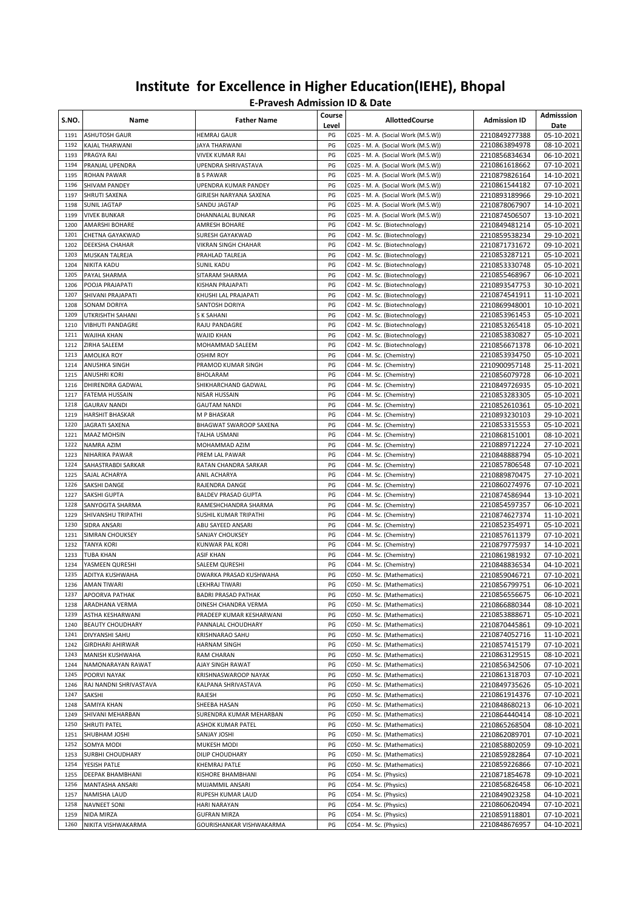| S.NO.        | Name                                          | <b>Father Name</b>                       | Course<br>Level | <b>AllottedCourse</b>                                                    | <b>Admission ID</b>            | Admisssion<br>Date       |
|--------------|-----------------------------------------------|------------------------------------------|-----------------|--------------------------------------------------------------------------|--------------------------------|--------------------------|
| 1191         | <b>ASHUTOSH GAUR</b>                          | HEMRAJ GAUR                              | PG              | C025 - M. A. (Social Work (M.S.W))                                       | 2210849277388                  | 05-10-2021               |
| 1192         | KAJAL THARWANI                                | JAYA THARWANI                            | PG              | C025 - M. A. (Social Work (M.S.W))                                       | 2210863894978                  | 08-10-2021               |
| 1193         | PRAGYA RAI                                    | VIVEK KUMAR RAI                          | PG              | C025 - M. A. (Social Work (M.S.W))                                       | 2210856834634                  | 06-10-2021               |
| 1194         | PRANJAL UPENDRA                               | UPENDRA SHRIVASTAVA                      | PG              | C025 - M. A. (Social Work (M.S.W))                                       | 2210861618662                  | 07-10-2021               |
| 1195         | <b>ROHAN PAWAR</b>                            | <b>B S PAWAR</b>                         | PG              | C025 - M. A. (Social Work (M.S.W))                                       | 2210879826164                  | 14-10-2021               |
| 1196         | <b>SHIVAM PANDEY</b>                          | UPENDRA KUMAR PANDEY                     | PG              | C025 - M. A. (Social Work (M.S.W))                                       | 2210861544182                  | 07-10-2021               |
| 1197         | SHRUTI SAXENA                                 | GIRJESH NARYANA SAXENA                   | PG              | C025 - M. A. (Social Work (M.S.W))                                       | 2210893189966                  | 29-10-2021               |
| 1198<br>1199 | <b>SUNIL JAGTAP</b><br><b>VIVEK BUNKAR</b>    | SANDU JAGTAP<br>DHANNALAL BUNKAR         | PG<br>PG        | C025 - M. A. (Social Work (M.S.W))<br>C025 - M. A. (Social Work (M.S.W)) | 2210878067907                  | 14-10-2021               |
| 1200         | AMARSHI BOHARE                                | AMRESH BOHARE                            | PG              | C042 - M. Sc. (Biotechnology)                                            | 2210874506507<br>2210849481214 | 13-10-2021<br>05-10-2021 |
| 1201         | CHETNA GAYAKWAD                               | <b>SURESH GAYAKWAD</b>                   | PG              | C042 - M. Sc. (Biotechnology)                                            | 2210859538234                  | 29-10-2021               |
| 1202         | <b>DEEKSHA CHAHAR</b>                         | VIKRAN SINGH CHAHAR                      | PG              | C042 - M. Sc. (Biotechnology)                                            | 2210871731672                  | 09-10-2021               |
| 1203         | <b>MUSKAN TALREJA</b>                         | PRAHLAD TALREJA                          | PG              | C042 - M. Sc. (Biotechnology)                                            | 2210853287121                  | 05-10-2021               |
| 1204         | <b>NIKITA KADU</b>                            | SUNIL KADU                               | PG              | C042 - M. Sc. (Biotechnology)                                            | 2210853330748                  | 05-10-2021               |
| 1205         | PAYAL SHARMA                                  | SITARAM SHARMA                           | PG              | C042 - M. Sc. (Biotechnology)                                            | 2210855468967                  | 06-10-2021               |
| 1206         | POOJA PRAJAPATI                               | KISHAN PRAJAPATI                         | PG              | C042 - M. Sc. (Biotechnology)                                            | 2210893547753                  | 30-10-2021               |
| 1207         | SHIVANI PRAJAPATI                             | KHUSHI LAL PRAJAPATI                     | PG              | C042 - M. Sc. (Biotechnology)                                            | 2210874541911                  | 11-10-2021               |
| 1208         | SONAM DORIYA                                  | SANTOSH DORIYA                           | PG              | C042 - M. Sc. (Biotechnology)                                            | 2210869948001                  | 10-10-2021               |
| 1209         | UTKRISHTH SAHANI                              | S K SAHANI                               | PG              | C042 - M. Sc. (Biotechnology)                                            | 2210853961453                  | 05-10-2021               |
| 1210         | <b>VIBHUTI PANDAGRE</b>                       | RAJU PANDAGRE                            | PG              | C042 - M. Sc. (Biotechnology)                                            | 2210853265418                  | 05-10-2021               |
| 1211         | <b>WAJIHA KHAN</b>                            | <b>WAJID KHAN</b>                        | PG              | C042 - M. Sc. (Biotechnology)                                            | 2210853830827                  | 05-10-2021               |
| 1212         | ZIRHA SALEEM                                  | MOHAMMAD SALEEM                          | PG              | C042 - M. Sc. (Biotechnology)                                            | 2210856671378                  | 06-10-2021               |
| 1213         | <b>AMOLIKA ROY</b>                            | OSHIM ROY                                | PG              | C044 - M. Sc. (Chemistry)                                                | 2210853934750                  | 05-10-2021               |
| 1214         | <b>ANUSHKA SINGH</b>                          | PRAMOD KUMAR SINGH                       | PG              | C044 - M. Sc. (Chemistry)                                                | 2210900957148                  | 25-11-2021               |
| 1215         | <b>ANUSHRI KORI</b>                           | BHOLARAM                                 | PG              | C044 - M. Sc. (Chemistry)                                                | 2210856079728                  | 06-10-2021               |
| 1216         | DHIRENDRA GADWAL                              | SHIKHARCHAND GADWAL                      | PG              | C044 - M. Sc. (Chemistry)                                                | 2210849726935                  | 05-10-2021               |
| 1217<br>1218 | <b>FATEMA HUSSAIN</b>                         | NISAR HUSSAIN                            | PG              | C044 - M. Sc. (Chemistry)                                                | 2210853283305                  | 05-10-2021               |
| 1219         | <b>GAURAV NANDI</b><br><b>HARSHIT BHASKAR</b> | <b>GAUTAM NANDI</b><br>M P BHASKAR       | PG<br>PG        | C044 - M. Sc. (Chemistry)<br>C044 - M. Sc. (Chemistry)                   | 2210852610361<br>2210893230103 | 05-10-2021<br>29-10-2021 |
| 1220         | JAGRATI SAXENA                                | BHAGWAT SWAROOP SAXENA                   | PG              | C044 - M. Sc. (Chemistry)                                                | 2210853315553                  | 05-10-2021               |
| 1221         | <b>MAAZ MOHSIN</b>                            | TALHA USMANI                             | PG              | C044 - M. Sc. (Chemistry)                                                | 2210868151001                  | 08-10-2021               |
| 1222         | NAMRA AZIM                                    | MOHAMMAD AZIM                            | PG              | C044 - M. Sc. (Chemistry)                                                | 2210889712224                  | 27-10-2021               |
| 1223         | NIHARIKA PAWAR                                | PREM LAL PAWAR                           | PG              | C044 - M. Sc. (Chemistry)                                                | 2210848888794                  | 05-10-2021               |
| 1224         | SAHASTRABDI SARKAR                            | RATAN CHANDRA SARKAR                     | PG              | C044 - M. Sc. (Chemistry)                                                | 2210857806548                  | 07-10-2021               |
| 1225         | SAJAL ACHARYA                                 | ANIL ACHARYA                             | PG              | C044 - M. Sc. (Chemistry)                                                | 2210889870475                  | 27-10-2021               |
| 1226         | SAKSHI DANGE                                  | RAJENDRA DANGE                           | PG              | C044 - M. Sc. (Chemistry)                                                | 2210860274976                  | 07-10-2021               |
| 1227         | <b>SAKSHI GUPTA</b>                           | <b>BALDEV PRASAD GUPTA</b>               | PG              | C044 - M. Sc. (Chemistry)                                                | 2210874586944                  | 13-10-2021               |
| 1228         | SANYOGITA SHARMA                              | RAMESHCHANDRA SHARMA                     | PG              | C044 - M. Sc. (Chemistry)                                                | 2210854597357                  | 06-10-2021               |
| 1229         | SHIVANSHU TRIPATHI                            | SUSHIL KUMAR TRIPATHI                    | PG              | C044 - M. Sc. (Chemistry)                                                | 2210874627374                  | 11-10-2021               |
| 1230         | SIDRA ANSARI                                  | ABU SAYEED ANSARI                        | PG              | C044 - M. Sc. (Chemistry)                                                | 2210852354971                  | 05-10-2021               |
| 1231         | <b>SIMRAN CHOUKSEY</b>                        | SANJAY CHOUKSEY                          | PG              | C044 - M. Sc. (Chemistry)                                                | 2210857611379                  | 07-10-2021               |
| 1232         | <b>TANYA KORI</b>                             | KUNWAR PAL KORI                          | PG              | C044 - M. Sc. (Chemistry)                                                | 2210879775937                  | 14-10-2021               |
| 1233<br>1234 | <b>TUBA KHAN</b><br>YASMEEN QURESHI           | ASIF KHAN                                | PG<br>PG        | C044 - M. Sc. (Chemistry)                                                | 2210861981932                  | 07-10-2021               |
| 1235         | ADITYA KUSHWAHA                               | SALEEM QURESHI<br>DWARKA PRASAD KUSHWAHA | PG              | C044 - M. Sc. (Chemistry)<br>C050 - M. Sc. (Mathematics)                 | 2210848836534<br>2210859046721 | 04-10-2021<br>07-10-2021 |
| 1236         | <b>AMAN TIWARI</b>                            | LEKHRAJ TIWARI                           | PG              | C050 - M. Sc. (Mathematics)                                              | 2210856799751                  | 06-10-2021               |
| 1237         | APOORVA PATHAK                                | BADRI PRASAD PATHAK                      | $\mathsf{PG}$   | C050 - M. Sc. (Mathematics)                                              | 2210856556675                  | 06-10-2021               |
| 1238         | ARADHANA VERMA                                | DINESH CHANDRA VERMA                     | PG              | C050 - M. Sc. (Mathematics)                                              | 2210866880344                  | 08-10-2021               |
| 1239         | ASTHA KESHARWANI                              | PRADEEP KUMAR KESHARWANI                 | PG              | C050 - M. Sc. (Mathematics)                                              | 2210853888671                  | 05-10-2021               |
| 1240         | <b>BEAUTY CHOUDHARY</b>                       | PANNALAL CHOUDHARY                       | PG              | C050 - M. Sc. (Mathematics)                                              | 2210870445861                  | 09-10-2021               |
| 1241         | DIVYANSHI SAHU                                | KRISHNARAO SAHU                          | PG              | C050 - M. Sc. (Mathematics)                                              | 2210874052716                  | 11-10-2021               |
| 1242         | <b>GIRDHARI AHIRWAR</b>                       | HARNAM SINGH                             | PG              | C050 - M. Sc. (Mathematics)                                              | 2210857415179                  | 07-10-2021               |
| 1243         | <b>MANISH KUSHWAHA</b>                        | RAM CHARAN                               | PG              | C050 - M. Sc. (Mathematics)                                              | 2210863129515                  | 08-10-2021               |
| 1244         | NAMONARAYAN RAWAT                             | AJAY SINGH RAWAT                         | PG              | C050 - M. Sc. (Mathematics)                                              | 2210856342506                  | 07-10-2021               |
| 1245         | POORVI NAYAK                                  | KRISHNASWAROOP NAYAK                     | PG              | C050 - M. Sc. (Mathematics)                                              | 2210861318703                  | 07-10-2021               |
| 1246         | RAJ NANDNI SHRIVASTAVA                        | KALPANA SHRIVASTAVA                      | PG              | C050 - M. Sc. (Mathematics)                                              | 2210849735626                  | 05-10-2021               |
| 1247         | <b>SAKSHI</b>                                 | RAJESH                                   | PG              | C050 - M. Sc. (Mathematics)                                              | 2210861914376                  | 07-10-2021               |
| 1248         | SAMIYA KHAN                                   | SHEEBA HASAN                             | PG              | C050 - M. Sc. (Mathematics)                                              | 2210848680213                  | 06-10-2021               |
| 1249         | SHIVANI MEHARBAN                              | SURENDRA KUMAR MEHARBAN                  | PG              | C050 - M. Sc. (Mathematics)                                              | 2210864440414                  | 08-10-2021               |
| 1250         | <b>SHRUTI PATEL</b>                           | ASHOK KUMAR PATEL                        | PG              | C050 - M. Sc. (Mathematics)                                              | 2210865268504                  | 08-10-2021               |
| 1251<br>1252 | SHUBHAM JOSHI                                 | SANJAY JOSHI                             | PG              | C050 - M. Sc. (Mathematics)                                              | 2210862089701                  | 07-10-2021               |
| 1253         | SOMYA MODI                                    | MUKESH MODI<br>DILIP CHOUDHARY           | PG              | C050 - M. Sc. (Mathematics)                                              | 2210858802059                  | 09-10-2021               |
| 1254         | SURBHI CHOUDHARY<br>YESISH PATLE              | KHEMRAJ PATLE                            | PG<br>PG        | C050 - M. Sc. (Mathematics)<br>C050 - M. Sc. (Mathematics)               | 2210859282864<br>2210859226866 | 07-10-2021<br>07-10-2021 |
| 1255         | DEEPAK BHAMBHANI                              | KISHORE BHAMBHANI                        | PG              | C054 - M. Sc. (Physics)                                                  | 2210871854678                  | 09-10-2021               |
| 1256         | MANTASHA ANSARI                               | MUJAMMIL ANSARI                          | PG              | C054 - M. Sc. (Physics)                                                  | 2210856826458                  | 06-10-2021               |
| 1257         | NAMISHA LAUD                                  | RUPESH KUMAR LAUD                        | PG              | C054 - M. Sc. (Physics)                                                  | 2210849023258                  | 04-10-2021               |
| 1258         | NAVNEET SONI                                  | HARI NARAYAN                             | PG              | C054 - M. Sc. (Physics)                                                  | 2210860620494                  | 07-10-2021               |
| 1259         | NIDA MIRZA                                    | <b>GUFRAN MIRZA</b>                      | PG              | C054 - M. Sc. (Physics)                                                  | 2210859118801                  | 07-10-2021               |
| 1260         | NIKITA VISHWAKARMA                            | GOURISHANKAR VISHWAKARMA                 | PG              | C054 - M. Sc. (Physics)                                                  | 2210848676957                  | 04-10-2021               |